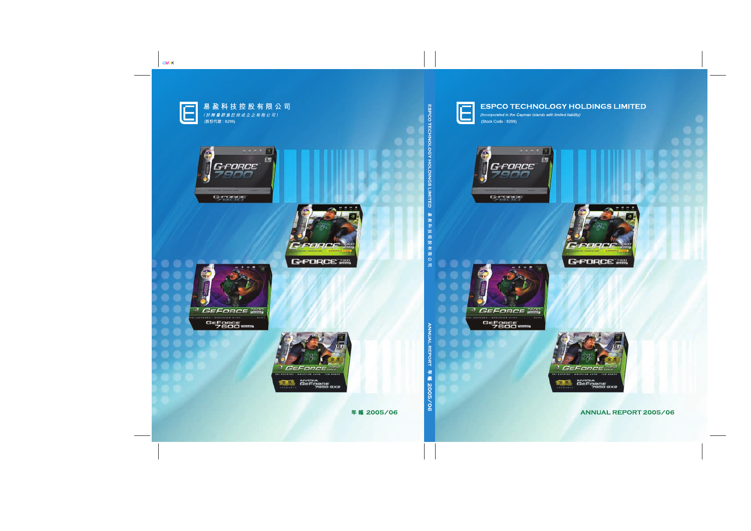

## **ESPCO TECHNOLOGY HOLDINGS LIMITED**

(Incorporated in the Cayman Islands with limited liability) (Stock Code: 8299)









**ANNUAL REPORT 2005/06**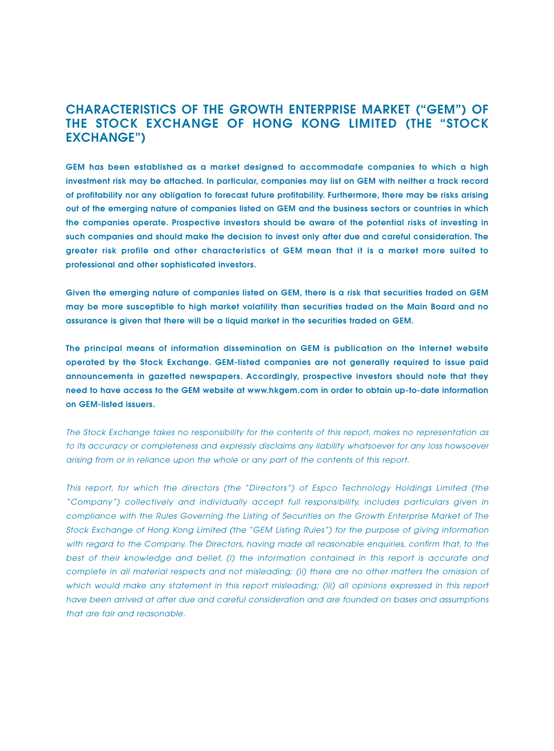#### **CHARACTERISTICS OF THE GROWTH ENTERPRISE MARKET ("GEM") OF THE STOCK EXCHANGE OF HONG KONG LIMITED (THE "STOCK EXCHANGE")**

**GEM has been established as a market designed to accommodate companies to which a high investment risk may be attached. In particular, companies may list on GEM with neither a track record of profitability nor any obligation to forecast future profitability. Furthermore, there may be risks arising out of the emerging nature of companies listed on GEM and the business sectors or countries in which the companies operate. Prospective investors should be aware of the potential risks of investing in such companies and should make the decision to invest only after due and careful consideration. The greater risk profile and other characteristics of GEM mean that it is a market more suited to professional and other sophisticated investors.**

**Given the emerging nature of companies listed on GEM, there is a risk that securities traded on GEM may be more susceptible to high market volatility than securities traded on the Main Board and no assurance is given that there will be a liquid market in the securities traded on GEM.**

**The principal means of information dissemination on GEM is publication on the Internet website operated by the Stock Exchange. GEM-listed companies are not generally required to issue paid announcements in gazetted newspapers. Accordingly, prospective investors should note that they need to have access to the GEM website at www.hkgem.com in order to obtain up-to-date information on GEM-listed issuers.**

*The Stock Exchange takes no responsibility for the contents of this report, makes no representation as to its accuracy or completeness and expressly disclaims any liability whatsoever for any loss howsoever arising from or in reliance upon the whole or any part of the contents of this report.*

*This report, for which the directors (the "Directors") of Espco Technology Holdings Limited (the "Company") collectively and individually accept full responsibility, includes particulars given in compliance with the Rules Governing the Listing of Securities on the Growth Enterprise Market of The Stock Exchange of Hong Kong Limited (the "GEM Listing Rules") for the purpose of giving information with regard to the Company. The Directors, having made all reasonable enquiries, confirm that, to the best of their knowledge and belief, (i) the information contained in this report is accurate and complete in all material respects and not misleading; (ii) there are no other matters the omission of which would make any statement in this report misleading; (iii) all opinions expressed in this report have been arrived at after due and careful consideration and are founded on bases and assumptions that are fair and reasonable.*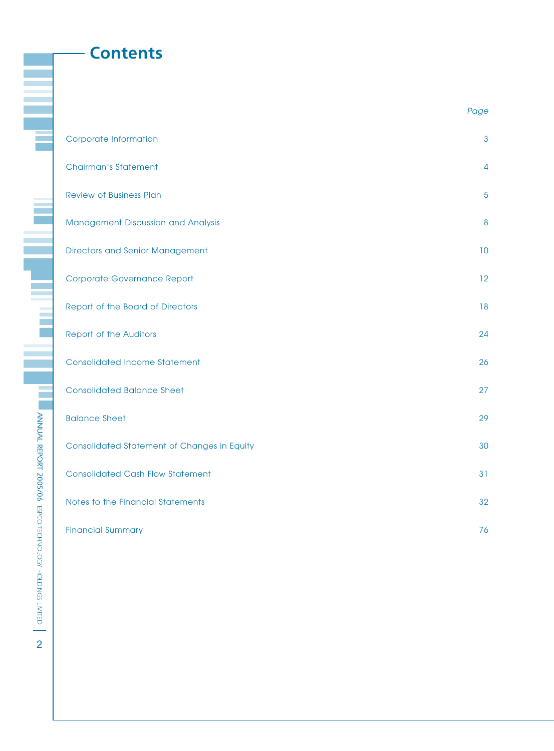# **Contents**

|                                  |                                                    | Page         |
|----------------------------------|----------------------------------------------------|--------------|
|                                  | Corporate Information                              | $\mathbf{3}$ |
|                                  | Chairman's Statement                               | 4            |
|                                  | <b>Review of Business Plan</b>                     | 5            |
|                                  | <b>Management Discussion and Analysis</b>          | 8            |
|                                  | <b>Directors and Senior Management</b>             | 10           |
|                                  | <b>Corporate Governance Report</b>                 | 12           |
|                                  | Report of the Board of Directors                   | 18           |
|                                  | Report of the Auditors                             | 24           |
|                                  | <b>Consolidated Income Statement</b>               | 26           |
|                                  | <b>Consolidated Balance Sheet</b>                  | 27           |
|                                  | <b>Balance Sheet</b>                               | 29           |
|                                  | <b>Consolidated Statement of Changes in Equity</b> | 30           |
|                                  | <b>Consolidated Cash Flow Statement</b>            | 31           |
| ANNUAL REPORT 2005/06 ESPCO TECH | Notes to the Financial Statements                  | 32           |
|                                  | <b>Financial Summary</b>                           | 76           |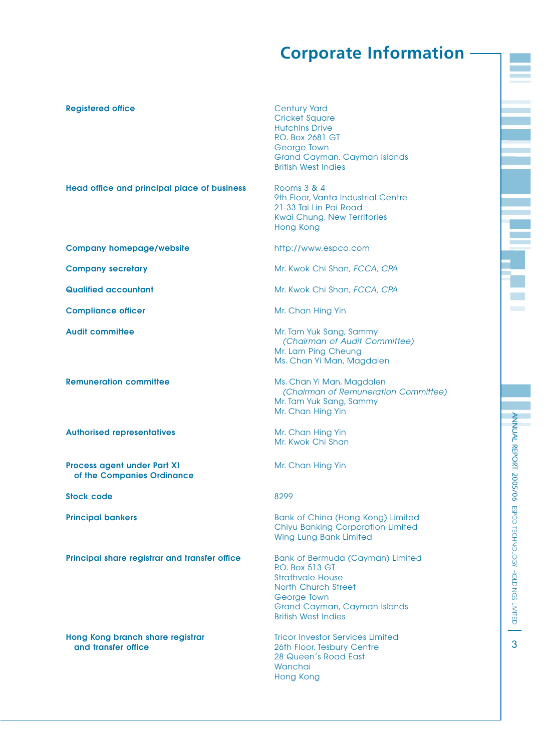## **Corporate Information**

#### **Registered office** *Century Yard*

**Head office and principal place of business** *Rooms 3 & 4*

**Company homepage/website** *http://www.espco.com*

**Remuneration committee** *Ms. Chan Yi Man, Magdalen*

**Authorised representatives** *Mr. Chan Hing Yin*

**Process agent under Part XI** *Mr. Chan Hing Yin* **of the Companies Ordinance**

**Stock code** *8299*

**Principal share registrar and transfer office** *Bank of Bermuda (Cayman) Limited*

**Hong Kong branch share registrar** *Tricor Investor Services Limited*

*Cricket Square Hutchins Drive P.O. Box 2681 GT George Town Grand Cayman, Cayman Islands British West Indies*

*9th Floor, Vanta Industrial Centre 21-33 Tai Lin Pai Road Kwai Chung, New Territories Hong Kong*

**Company secretary** *Mr. Kwok Chi Shan, FCCA, CPA*

**Qualified accountant** *Mr. Kwok Chi Shan, FCCA, CPA*

**Compliance officer** *Mr. Chan Hing Yin*

**Audit committee** *Mr. Tam Yuk Sang, Sammy (Chairman of Audit Committee) Mr. Lam Ping Cheung Ms. Chan Yi Man, Magdalen*

> *(Chairman of Remuneration Committee) Mr. Tam Yuk Sang, Sammy Mr. Chan Hing Yin*

*Mr. Kwok Chi Shan*

**Principal bankers** *Bank of China (Hong Kong) Limited Chiyu Banking Corporation Limited Wing Lung Bank Limited*

> *P.O. Box 513 GT Strathvale House North Church Street George Town Grand Cayman, Cayman Islands British West Indies*

**and transfer office** *26th Floor, Tesbury Centre 28 Queen's Road East Wanchai Hong Kong*

3

Ξ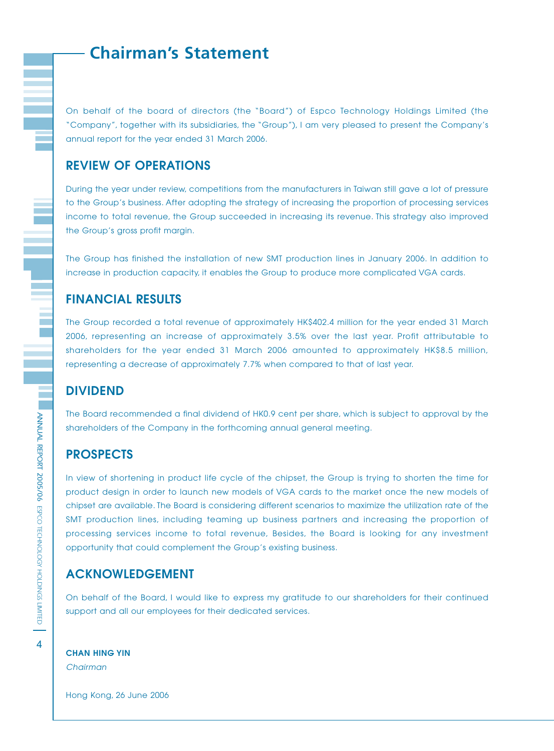## **Chairman's Statement**

*On behalf of the board of directors (the "Board") of Espco Technology Holdings Limited (the "Company", together with its subsidiaries, the "Group"), I am very pleased to present the Company's annual report for the year ended 31 March 2006.*

#### **REVIEW OF OPERATIONS**

*During the year under review, competitions from the manufacturers in Taiwan still gave a lot of pressure to the Group's business. After adopting the strategy of increasing the proportion of processing services income to total revenue, the Group succeeded in increasing its revenue. This strategy also improved the Group's gross profit margin.*

*The Group has finished the installation of new SMT production lines in January 2006. In addition to increase in production capacity, it enables the Group to produce more complicated VGA cards.*

#### **FINANCIAL RESULTS**

*The Group recorded a total revenue of approximately HK\$402.4 million for the year ended 31 March 2006, representing an increase of approximately 3.5% over the last year. Profit attributable to shareholders for the year ended 31 March 2006 amounted to approximately HK\$8.5 million, representing a decrease of approximately 7.7% when compared to that of last year.*

#### **DIVIDEND**

*The Board recommended a final dividend of HK0.9 cent per share, which is subject to approval by the shareholders of the Company in the forthcoming annual general meeting.*

#### **PROSPECTS**

*In view of shortening in product life cycle of the chipset, the Group is trying to shorten the time for product design in order to launch new models of VGA cards to the market once the new models of chipset are available. The Board is considering different scenarios to maximize the utilization rate of the SMT production lines, including teaming up business partners and increasing the proportion of processing services income to total revenue, Besides, the Board is looking for any investment opportunity that could complement the Group's existing business.*

#### **ACKNOWLEDGEMENT**

*On behalf of the Board, I would like to express my gratitude to our shareholders for their continued support and all our employees for their dedicated services.*

#### **CHAN HING YIN**

*Chairman*

*Hong Kong, 26 June 2006*

ī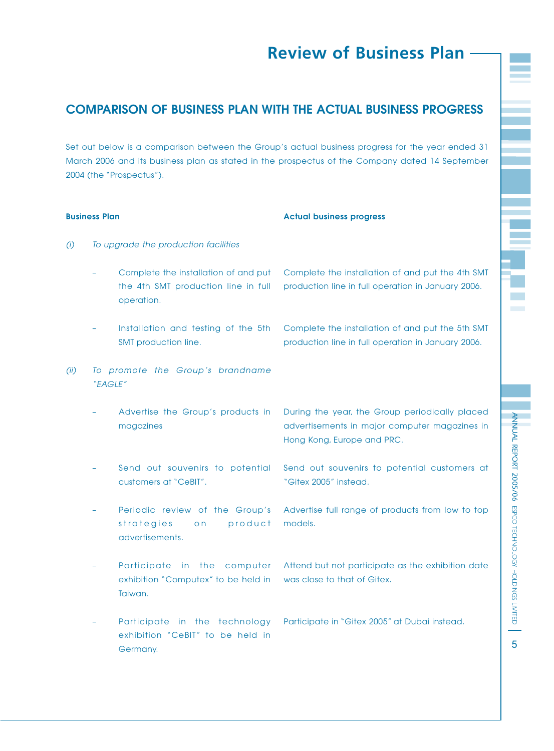## **Review of Business Plan**

#### **COMPARISON OF BUSINESS PLAN WITH THE ACTUAL BUSINESS PROGRESS**

*Set out below is a comparison between the Group's actual business progress for the year ended 31 March 2006 and its business plan as stated in the prospectus of the Company dated 14 September 2004 (the "Prospectus").*

| <b>Business Plan</b> |         |                                                                                           | <b>Actual business progress</b>                                                                                               |  |  |
|----------------------|---------|-------------------------------------------------------------------------------------------|-------------------------------------------------------------------------------------------------------------------------------|--|--|
| (i)                  |         | To upgrade the production facilities                                                      |                                                                                                                               |  |  |
|                      |         | Complete the installation of and put<br>the 4th SMT production line in full<br>operation. | Complete the installation of and put the 4th SMT<br>production line in full operation in January 2006.                        |  |  |
|                      |         | Installation and testing of the 5th<br>SMT production line.                               | Complete the installation of and put the 5th SMT<br>production line in full operation in January 2006.                        |  |  |
| (ii)                 | "EAGLE" | To promote the Group's brandname                                                          |                                                                                                                               |  |  |
|                      |         | Advertise the Group's products in<br>magazines                                            | During the year, the Group periodically placed<br>advertisements in major computer magazines in<br>Hong Kong, Europe and PRC. |  |  |
|                      |         | Send out souvenirs to potential<br>customers at "CeBIT".                                  | Send out souvenirs to potential customers at<br>"Gitex 2005" instead.                                                         |  |  |
|                      |         | Periodic review of the Group's<br>strategies<br>product<br>o n<br>advertisements.         | Advertise full range of products from low to top<br>models.                                                                   |  |  |
|                      |         | Participate in the computer<br>exhibition "Computex" to be held in<br>Taiwan.             | Attend but not participate as the exhibition date<br>was close to that of Gitex.                                              |  |  |
|                      |         | Participate in the technology<br>exhibition "CeBIT" to be held in<br>Germany.             | Participate in "Gitex 2005" at Dubai instead.                                                                                 |  |  |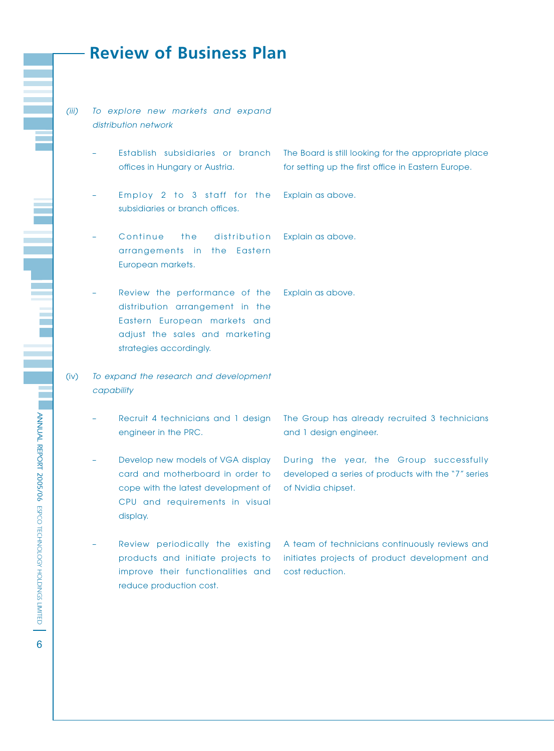

## **Review of Business Plan**

*The Board is still looking for the appropriate place for setting up the first office in Eastern Europe.*

*Explain as above.*

- *– Employ 2 to 3 staff for the subsidiaries or branch offices. Explain as above.*
- *– Continue the distribution arrangements in the Eastern European markets. Explain as above.*
- *– Review the performance of the distribution arrangement in the Eastern European markets and adjust the sales and marketing strategies accordingly.*
- *(iv) To expand the research and development*
	- *– Recruit 4 technicians and 1 design engineer in the PRC.*
	- *– Develop new models of VGA display card and motherboard in order to cope with the latest development of CPU and requirements in visual display.*
	- *– Review periodically the existing products and initiate projects to improve their functionalities and reduce production cost.*

*The Group has already recruited 3 technicians and 1 design engineer.*

*During the year, the Group successfully developed a series of products with the "7" series of Nvidia chipset.*

*A team of technicians continuously reviews and initiates projects of product development and cost reduction.*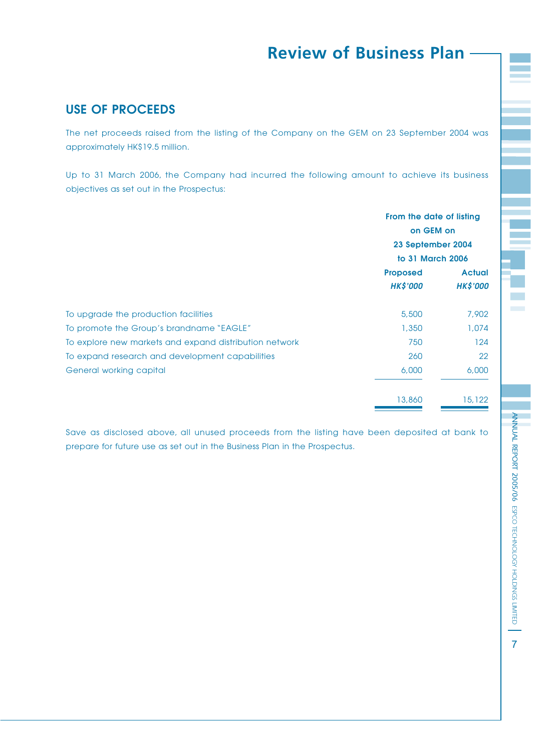#### **USE OF PROCEEDS**

*The net proceeds raised from the listing of the Company on the GEM on 23 September 2004 was approximately HK\$19.5 million.*

*Up to 31 March 2006, the Company had incurred the following amount to achieve its business objectives as set out in the Prospectus:*

|                                                        | From the date of listing         |                 |
|--------------------------------------------------------|----------------------------------|-----------------|
|                                                        | on GEM on                        |                 |
|                                                        | 23 September 2004                |                 |
|                                                        | to 31 March 2006                 |                 |
|                                                        | <b>Actual</b><br><b>Proposed</b> |                 |
|                                                        | <b>HK\$'000</b>                  | <b>HK\$'000</b> |
| To upgrade the production facilities                   | 5,500                            | 7,902           |
| To promote the Group's brandname "EAGLE"               | 1,350                            | 1,074           |
| To explore new markets and expand distribution network | 750                              | 124             |
| To expand research and development capabilities        | 260                              | 22              |
| General working capital                                | 6,000                            |                 |
|                                                        | 13,860                           | 15,122          |

*Save as disclosed above, all unused proceeds from the listing have been deposited at bank to prepare for future use as set out in the Business Plan in the Prospectus.*

 $\overline{7}$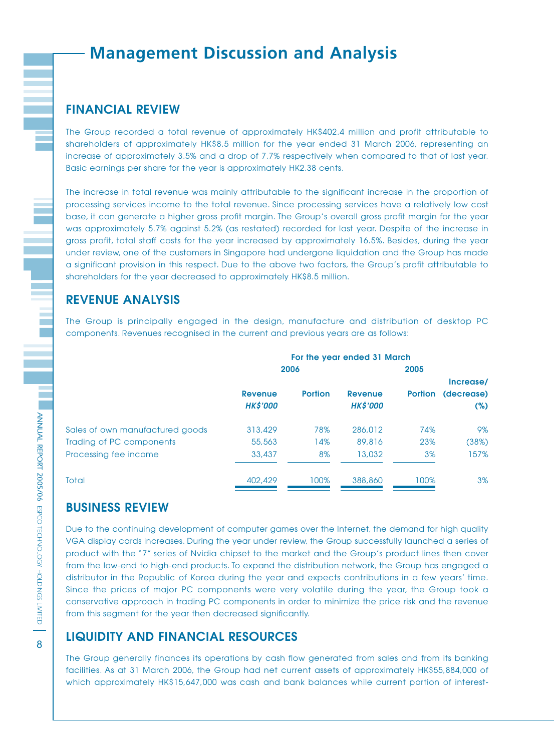## **Management Discussion and Analysis**

#### **FINANCIAL REVIEW**

*The Group recorded a total revenue of approximately HK\$402.4 million and profit attributable to shareholders of approximately HK\$8.5 million for the year ended 31 March 2006, representing an increase of approximately 3.5% and a drop of 7.7% respectively when compared to that of last year. Basic earnings per share for the year is approximately HK2.38 cents.*

*The increase in total revenue was mainly attributable to the significant increase in the proportion of processing services income to the total revenue. Since processing services have a relatively low cost base, it can generate a higher gross profit margin. The Group's overall gross profit margin for the year was approximately 5.7% against 5.2% (as restated) recorded for last year. Despite of the increase in gross profit, total staff costs for the year increased by approximately 16.5%. Besides, during the year under review, one of the customers in Singapore had undergone liquidation and the Group has made a significant provision in this respect. Due to the above two factors, the Group's profit attributable to shareholders for the year decreased to approximately HK\$8.5 million.*

#### **REVENUE ANALYSIS**

*The Group is principally engaged in the design, manufacture and distribution of desktop PC components. Revenues recognised in the current and previous years are as follows:*

|                                 | For the year ended 31 March       |                |                                   |                |                   |  |
|---------------------------------|-----------------------------------|----------------|-----------------------------------|----------------|-------------------|--|
|                                 | 2006                              |                |                                   | 2005           |                   |  |
|                                 |                                   |                |                                   | Increase/      |                   |  |
|                                 | <b>Revenue</b><br><b>HK\$'000</b> | <b>Portion</b> | <b>Revenue</b><br><b>HK\$'000</b> | <b>Portion</b> | (decrease)<br>(%) |  |
| Sales of own manufactured goods | 313,429                           | 78%            | 286,012                           | 74%            | 9%                |  |
| Trading of PC components        | 55,563                            | 14%            | 89,816                            | 23%            | (38%)             |  |
| Processing fee income           | 33,437                            | 8%             | 13,032                            | 3%             | 157%              |  |
| Total                           | 402,429                           | 100%           | 388,860                           | 100%           | 3%                |  |

#### **BUSINESS REVIEW**

*Due to the continuing development of computer games over the Internet, the demand for high quality VGA display cards increases. During the year under review, the Group successfully launched a series of product with the "7" series of Nvidia chipset to the market and the Group's product lines then cover from the low-end to high-end products. To expand the distribution network, the Group has engaged a distributor in the Republic of Korea during the year and expects contributions in a few years' time. Since the prices of major PC components were very volatile during the year, the Group took a conservative approach in trading PC components in order to minimize the price risk and the revenue from this segment for the year then decreased significantly.*

#### **LIQUIDITY AND FINANCIAL RESOURCES**

*The Group generally finances its operations by cash flow generated from sales and from its banking facilities. As at 31 March 2006, the Group had net current assets of approximately HK\$55,884,000 of which approximately HK\$15,647,000 was cash and bank balances while current portion of interest-*

Ė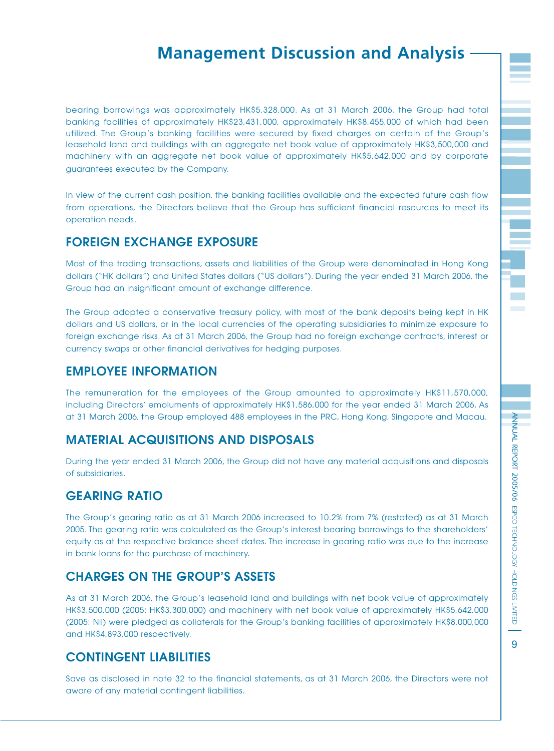## **Management Discussion and Analysis**

*bearing borrowings was approximately HK\$5,328,000. As at 31 March 2006, the Group had total banking facilities of approximately HK\$23,431,000, approximately HK\$8,455,000 of which had been utilized. The Group's banking facilities were secured by fixed charges on certain of the Group's leasehold land and buildings with an aggregate net book value of approximately HK\$3,500,000 and machinery with an aggregate net book value of approximately HK\$5,642,000 and by corporate guarantees executed by the Company.*

*In view of the current cash position, the banking facilities available and the expected future cash flow from operations, the Directors believe that the Group has sufficient financial resources to meet its operation needs.*

#### **FOREIGN EXCHANGE EXPOSURE**

*Most of the trading transactions, assets and liabilities of the Group were denominated in Hong Kong dollars ("HK dollars") and United States dollars ("US dollars"). During the year ended 31 March 2006, the Group had an insignificant amount of exchange difference.*

*The Group adopted a conservative treasury policy, with most of the bank deposits being kept in HK dollars and US dollars, or in the local currencies of the operating subsidiaries to minimize exposure to foreign exchange risks. As at 31 March 2006, the Group had no foreign exchange contracts, interest or currency swaps or other financial derivatives for hedging purposes.*

#### **EMPLOYEE INFORMATION**

*The remuneration for the employees of the Group amounted to approximately HK\$11,570,000, including Directors' emoluments of approximately HK\$1,586,000 for the year ended 31 March 2006. As at 31 March 2006, the Group employed 488 employees in the PRC, Hong Kong, Singapore and Macau.*

#### **MATERIAL ACQUISITIONS AND DISPOSALS**

*During the year ended 31 March 2006, the Group did not have any material acquisitions and disposals of subsidiaries.*

### **GEARING RATIO**

*The Group's gearing ratio as at 31 March 2006 increased to 10.2% from 7% (restated) as at 31 March 2005. The gearing ratio was calculated as the Group's interest-bearing borrowings to the shareholders' equity as at the respective balance sheet dates. The increase in gearing ratio was due to the increase in bank loans for the purchase of machinery.*

### **CHARGES ON THE GROUP'S ASSETS**

*As at 31 March 2006, the Group's leasehold land and buildings with net book value of approximately HK\$3,500,000 (2005: HK\$3,300,000) and machinery with net book value of approximately HK\$5,642,000 (2005: Nil) were pledged as collaterals for the Group's banking facilities of approximately HK\$8,000,000 and HK\$4,893,000 respectively.*

### **CONTINGENT LIABILITIES**

*Save as disclosed in note 32 to the financial statements, as at 31 March 2006, the Directors were not aware of any material contingent liabilities.*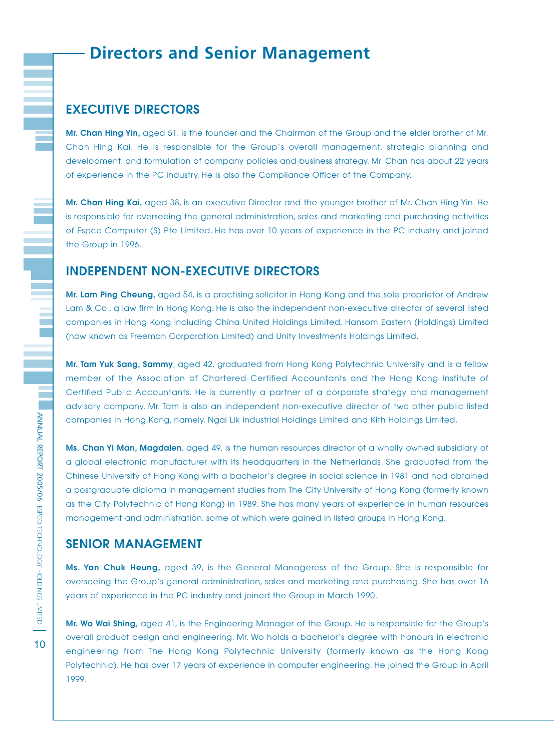## **Directors and Senior Management**

#### **EXECUTIVE DIRECTORS**

**Mr. Chan Hing Yin,** *aged 51, is the founder and the Chairman of the Group and the elder brother of Mr. Chan Hing Kai. He is responsible for the Group's overall management, strategic planning and development, and formulation of company policies and business strategy. Mr. Chan has about 22 years of experience in the PC industry. He is also the Compliance Officer of the Company.*

**Mr. Chan Hing Kai,** *aged 38, is an executive Director and the younger brother of Mr. Chan Hing Yin. He is responsible for overseeing the general administration, sales and marketing and purchasing activities of Espco Computer (S) Pte Limited. He has over 10 years of experience in the PC industry and joined the Group in 1996.*

#### **INDEPENDENT NON-EXECUTIVE DIRECTORS**

**Mr. Lam Ping Cheung,** *aged 54, is a practising solicitor in Hong Kong and the sole proprietor of Andrew Lam & Co., a law firm in Hong Kong. He is also the independent non-executive director of several listed companies in Hong Kong including China United Holdings Limited, Hansom Eastern (Holdings) Limited (now known as Freeman Corporation Limited) and Unity Investments Holdings Limited.*

**Mr. Tam Yuk Sang, Sammy***, aged 42, graduated from Hong Kong Polytechnic University and is a fellow member of the Association of Chartered Certified Accountants and the Hong Kong Institute of Certified Public Accountants. He is currently a partner of a corporate strategy and management advisory company. Mr. Tam is also an independent non-executive director of two other public listed companies in Hong Kong, namely, Ngai Lik Industrial Holdings Limited and Kith Holdings Limited.*

**Ms. Chan Yi Man, Magdalen***, aged 49, is the human resources director of a wholly owned subsidiary of a global electronic manufacturer with its headquarters in the Netherlands. She graduated from the Chinese University of Hong Kong with a bachelor's degree in social science in 1981 and had obtained a postgraduate diploma in management studies from The City University of Hong Kong (formerly known as the City Polytechnic of Hong Kong) in 1989. She has many years of experience in human resources management and administration, some of which were gained in listed groups in Hong Kong.*

#### **SENIOR MANAGEMENT**

**Ms. Yan Chuk Heung,** *aged 39, is the General Manageress of the Group. She is responsible for overseeing the Group's general administration, sales and marketing and purchasing. She has over 16 years of experience in the PC industry and joined the Group in March 1990.*

**Mr. Wo Wai Shing,** *aged 41, is the Engineering Manager of the Group. He is responsible for the Group's overall product design and engineering. Mr. Wo holds a bachelor's degree with honours in electronic engineering from The Hong Kong Polytechnic University (formerly known as the Hong Kong Polytechnic). He has over 17 years of experience in computer engineering. He joined the Group in April 1999.*

i. п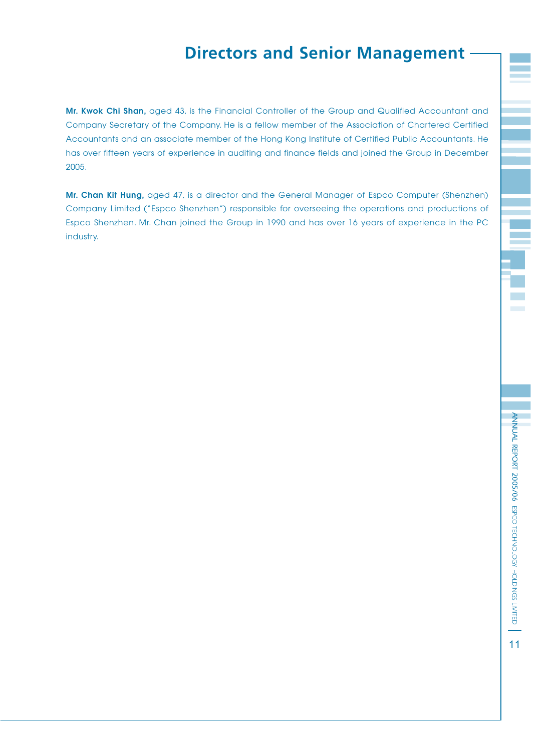## **Directors and Senior Management**

**Mr. Kwok Chi Shan,** *aged 43, is the Financial Controller of the Group and Qualified Accountant and Company Secretary of the Company. He is a fellow member of the Association of Chartered Certified Accountants and an associate member of the Hong Kong Institute of Certified Public Accountants. He has over fifteen years of experience in auditing and finance fields and joined the Group in December 2005.*

**Mr. Chan Kit Hung,** *aged 47, is a director and the General Manager of Espco Computer (Shenzhen) Company Limited ("Espco Shenzhen") responsible for overseeing the operations and productions of Espco Shenzhen. Mr. Chan joined the Group in 1990 and has over 16 years of experience in the PC industry.*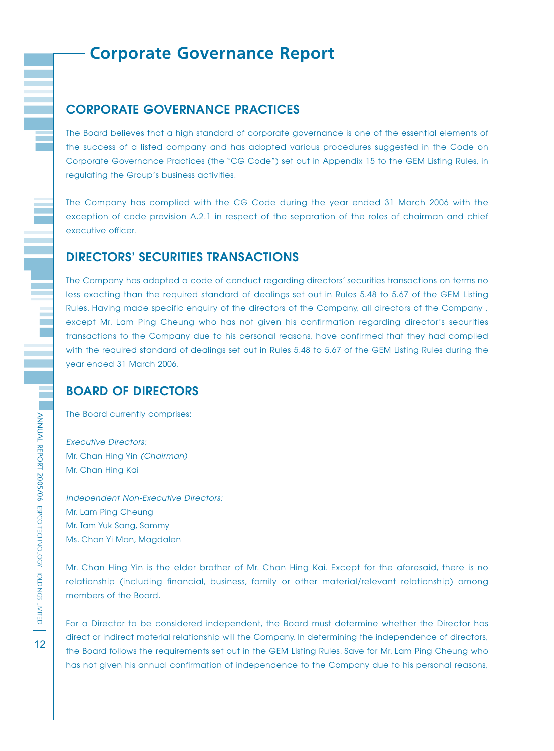#### **CORPORATE GOVERNANCE PRACTICES**

*The Board believes that a high standard of corporate governance is one of the essential elements of the success of a listed company and has adopted various procedures suggested in the Code on Corporate Governance Practices (the "CG Code") set out in Appendix 15 to the GEM Listing Rules, in regulating the Group's business activities.*

*The Company has complied with the CG Code during the year ended 31 March 2006 with the exception of code provision A.2.1 in respect of the separation of the roles of chairman and chief executive officer.*

#### **DIRECTORS' SECURITIES TRANSACTIONS**

*The Company has adopted a code of conduct regarding directors' securities transactions on terms no less exacting than the required standard of dealings set out in Rules 5.48 to 5.67 of the GEM Listing Rules. Having made specific enquiry of the directors of the Company, all directors of the Company , except Mr. Lam Ping Cheung who has not given his confirmation regarding director's securities transactions to the Company due to his personal reasons, have confirmed that they had complied with the required standard of dealings set out in Rules 5.48 to 5.67 of the GEM Listing Rules during the year ended 31 March 2006.*

#### **BOARD OF DIRECTORS**

*The Board currently comprises:*

*Executive Directors: Mr. Chan Hing Yin (Chairman) Mr. Chan Hing Kai*

*Independent Non-Executive Directors: Mr. Lam Ping Cheung Mr. Tam Yuk Sang, Sammy Ms. Chan Yi Man, Magdalen*

*Mr. Chan Hing Yin is the elder brother of Mr. Chan Hing Kai. Except for the aforesaid, there is no relationship (including financial, business, family or other material/relevant relationship) among members of the Board.*

*For a Director to be considered independent, the Board must determine whether the Director has direct or indirect material relationship will the Company. In determining the independence of directors, the Board follows the requirements set out in the GEM Listing Rules. Save for Mr. Lam Ping Cheung who has not given his annual confirmation of independence to the Company due to his personal reasons,*

i<br>Bandar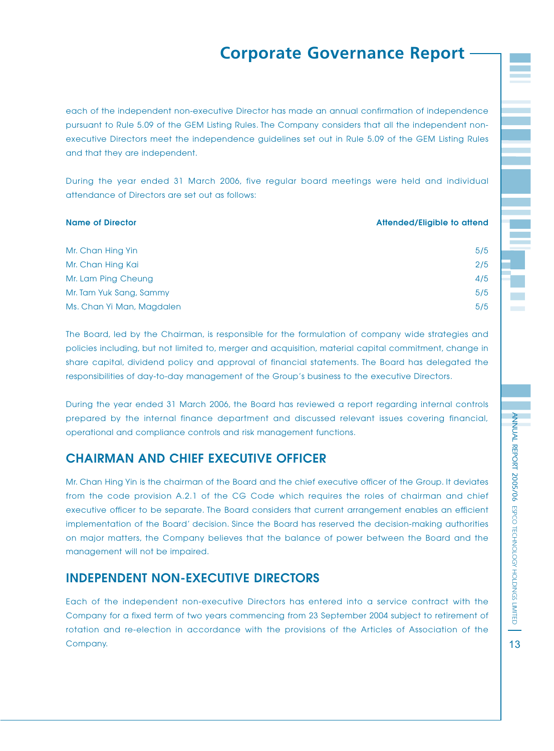*each of the independent non-executive Director has made an annual confirmation of independence pursuant to Rule 5.09 of the GEM Listing Rules. The Company considers that all the independent nonexecutive Directors meet the independence guidelines set out in Rule 5.09 of the GEM Listing Rules and that they are independent.*

*During the year ended 31 March 2006, five regular board meetings were held and individual attendance of Directors are set out as follows:*

#### **Name of Director Attended/Eligible to attend**

| Mr. Chan Hing Yin         | 5/5 |
|---------------------------|-----|
| Mr. Chan Hing Kai         | 2/5 |
| Mr. Lam Ping Cheung       | 4/5 |
| Mr. Tam Yuk Sang, Sammy   | 5/5 |
| Ms. Chan Yi Man, Magdalen | 5/5 |

*The Board, led by the Chairman, is responsible for the formulation of company wide strategies and policies including, but not limited to, merger and acquisition, material capital commitment, change in share capital, dividend policy and approval of financial statements. The Board has delegated the responsibilities of day-to-day management of the Group's business to the executive Directors.*

*During the year ended 31 March 2006, the Board has reviewed a report regarding internal controls prepared by the internal finance department and discussed relevant issues covering financial, operational and compliance controls and risk management functions.*

#### **CHAIRMAN AND CHIEF EXECUTIVE OFFICER**

*Mr. Chan Hing Yin is the chairman of the Board and the chief executive officer of the Group. It deviates from the code provision A.2.1 of the CG Code which requires the roles of chairman and chief executive officer to be separate. The Board considers that current arrangement enables an efficient implementation of the Board' decision. Since the Board has reserved the decision-making authorities on major matters, the Company believes that the balance of power between the Board and the management will not be impaired.*

#### **INDEPENDENT NON-EXECUTIVE DIRECTORS**

*Each of the independent non-executive Directors has entered into a service contract with the Company for a fixed term of two years commencing from 23 September 2004 subject to retirement of rotation and re-election in accordance with the provisions of the Articles of Association of the Company.*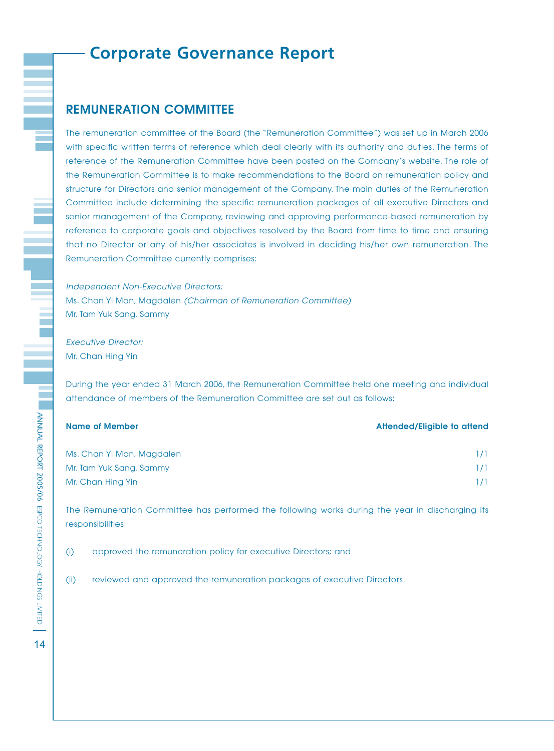#### **REMUNERATION COMMITTEE**

*The remuneration committee of the Board (the "Remuneration Committee") was set up in March 2006 with specific written terms of reference which deal clearly with its authority and duties. The terms of reference of the Remuneration Committee have been posted on the Company's website. The role of the Remuneration Committee is to make recommendations to the Board on remuneration policy and structure for Directors and senior management of the Company. The main duties of the Remuneration Committee include determining the specific remuneration packages of all executive Directors and senior management of the Company, reviewing and approving performance-based remuneration by reference to corporate goals and objectives resolved by the Board from time to time and ensuring that no Director or any of his/her associates is involved in deciding his/her own remuneration. The Remuneration Committee currently comprises:*

*Independent Non-Executive Directors: Ms. Chan Yi Man, Magdalen (Chairman of Remuneration Committee) Mr. Tam Yuk Sang, Sammy*

*Executive Director: Mr. Chan Hing Yin*

*During the year ended 31 March 2006, the Remuneration Committee held one meeting and individual attendance of members of the Remuneration Committee are set out as follows:*

#### **Name of Member Attended/Eligible to attend**

*The Remuneration Committee has performed the following works during the year in discharging its responsibilities:*

*(i) approved the remuneration policy for executive Directors; and*

*(ii) reviewed and approved the remuneration packages of executive Directors.*

E<br>E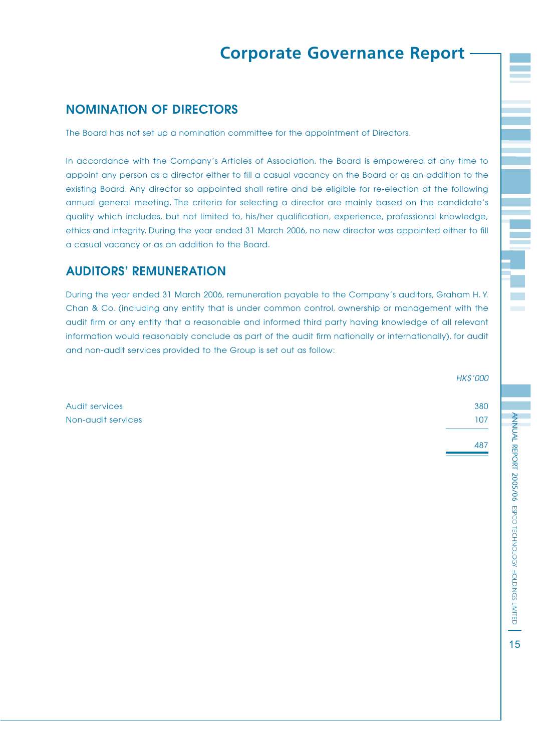#### **NOMINATION OF DIRECTORS**

*The Board has not set up a nomination committee for the appointment of Directors.*

*In accordance with the Company's Articles of Association, the Board is empowered at any time to appoint any person as a director either to fill a casual vacancy on the Board or as an addition to the existing Board. Any director so appointed shall retire and be eligible for re-election at the following annual general meeting. The criteria for selecting a director are mainly based on the candidate's quality which includes, but not limited to, his/her qualification, experience, professional knowledge, ethics and integrity. During the year ended 31 March 2006, no new director was appointed either to fill a casual vacancy or as an addition to the Board.*

#### **AUDITORS' REMUNERATION**

*During the year ended 31 March 2006, remuneration payable to the Company's auditors, Graham H. Y. Chan & Co. (including any entity that is under common control, ownership or management with the audit firm or any entity that a reasonable and informed third party having knowledge of all relevant information would reasonably conclude as part of the audit firm nationally or internationally), for audit and non-audit services provided to the Group is set out as follow:*

*HK\$'000*

*487*

| <b>Audit services</b> | 380 |
|-----------------------|-----|
| Non-audit services    | 107 |
|                       |     |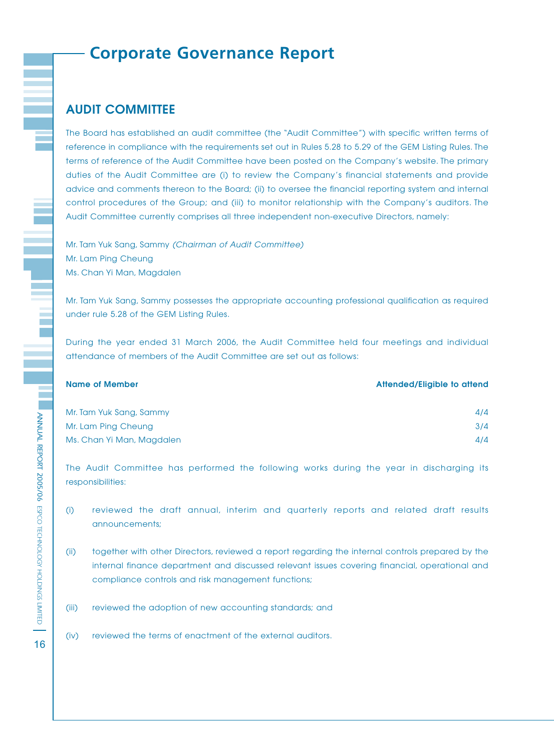#### **AUDIT COMMITTEE**

*The Board has established an audit committee (the "Audit Committee") with specific written terms of reference in compliance with the requirements set out in Rules 5.28 to 5.29 of the GEM Listing Rules. The terms of reference of the Audit Committee have been posted on the Company's website. The primary duties of the Audit Committee are (i) to review the Company's financial statements and provide advice and comments thereon to the Board; (ii) to oversee the financial reporting system and internal control procedures of the Group; and (iii) to monitor relationship with the Company's auditors. The Audit Committee currently comprises all three independent non-executive Directors, namely:*

*Mr. Tam Yuk Sang, Sammy (Chairman of Audit Committee) Mr. Lam Ping Cheung Ms. Chan Yi Man, Magdalen*

*Mr. Tam Yuk Sang, Sammy possesses the appropriate accounting professional qualification as required under rule 5.28 of the GEM Listing Rules.*

*During the year ended 31 March 2006, the Audit Committee held four meetings and individual attendance of members of the Audit Committee are set out as follows:*

# **Name of Member Attended/Eligible to attend**

| Mr. Tam Yuk Sang, Sammy   | 4/4 |
|---------------------------|-----|
| Mr. Lam Ping Cheung       | 3/4 |
| Ms. Chan Yi Man, Magdalen | 4/4 |

*The Audit Committee has performed the following works during the year in discharging its responsibilities:*

- *(i) reviewed the draft annual, interim and quarterly reports and related draft results announcements;*
- *(ii) together with other Directors, reviewed a report regarding the internal controls prepared by the internal finance department and discussed relevant issues covering financial, operational and compliance controls and risk management functions;*
- *(iii) reviewed the adoption of new accounting standards; and*
- *(iv) reviewed the terms of enactment of the external auditors.*

ī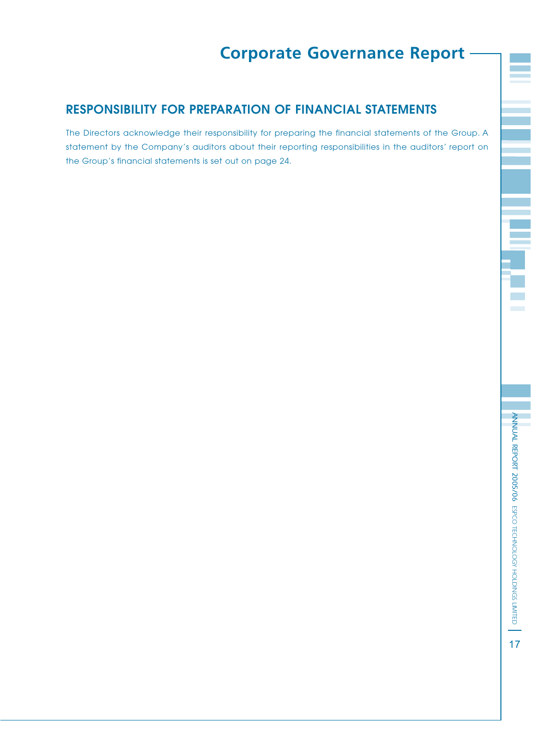#### **RESPONSIBILITY FOR PREPARATION OF FINANCIAL STATEMENTS**

*The Directors acknowledge their responsibility for preparing the financial statements of the Group. A statement by the Company's auditors about their reporting responsibilities in the auditors' report on the Group's financial statements is set out on page 24.*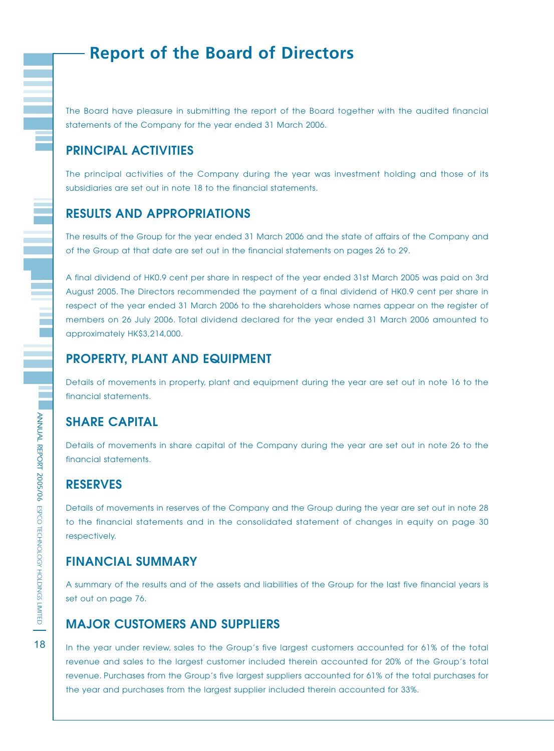*The Board have pleasure in submitting the report of the Board together with the audited financial statements of the Company for the year ended 31 March 2006.*

#### **PRINCIPAL ACTIVITIES**

*The principal activities of the Company during the year was investment holding and those of its subsidiaries are set out in note 18 to the financial statements.*

#### **RESULTS AND APPROPRIATIONS**

*The results of the Group for the year ended 31 March 2006 and the state of affairs of the Company and of the Group at that date are set out in the financial statements on pages 26 to 29.*

*A final dividend of HK0.9 cent per share in respect of the year ended 31st March 2005 was paid on 3rd August 2005. The Directors recommended the payment of a final dividend of HK0.9 cent per share in respect of the year ended 31 March 2006 to the shareholders whose names appear on the register of members on 26 July 2006. Total dividend declared for the year ended 31 March 2006 amounted to approximately HK\$3,214,000.*

#### **PROPERTY, PLANT AND EQUIPMENT**

*Details of movements in property, plant and equipment during the year are set out in note 16 to the financial statements.*

#### **SHARE CAPITAL**

*Details of movements in share capital of the Company during the year are set out in note 26 to the financial statements.*

#### **RESERVES**

*Details of movements in reserves of the Company and the Group during the year are set out in note 28 to the financial statements and in the consolidated statement of changes in equity on page 30 respectively.*

#### **FINANCIAL SUMMARY**

*A summary of the results and of the assets and liabilities of the Group for the last five financial years is set out on page 76.*

#### **MAJOR CUSTOMERS AND SUPPLIERS**

*In the year under review, sales to the Group's five largest customers accounted for 61% of the total revenue and sales to the largest customer included therein accounted for 20% of the Group's total revenue. Purchases from the Group's five largest suppliers accounted for 61% of the total purchases for the year and purchases from the largest supplier included therein accounted for 33%.*

Ė **COL** 

L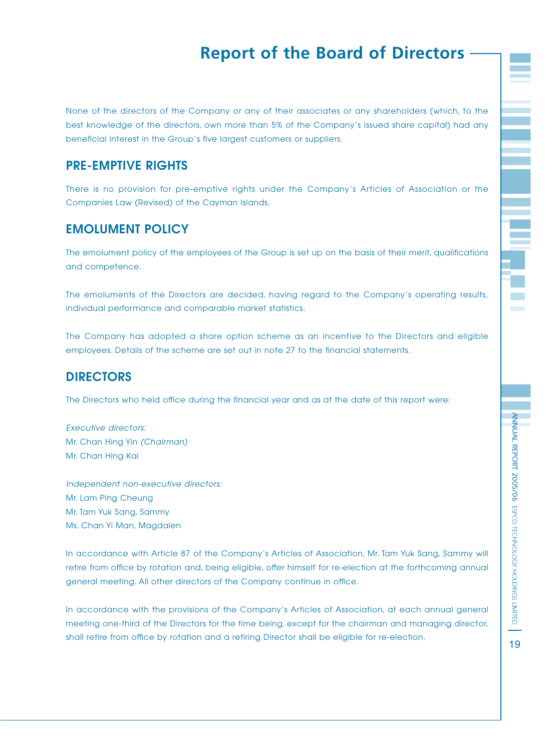*None of the directors of the Company or any of their associates or any shareholders (which, to the best knowledge of the directors, own more than 5% of the Company's issued share capital) had any beneficial interest in the Group's five largest customers or suppliers.*

#### **PRE-EMPTIVE RIGHTS**

*There is no provision for pre-emptive rights under the Company's Articles of Association or the Companies Law (Revised) of the Cayman Islands.*

#### **EMOLUMENT POLICY**

*The emolument policy of the employees of the Group is set up on the basis of their merit, qualifications and competence.*

*The emoluments of the Directors are decided, having regard to the Company's operating results, individual performance and comparable market statistics.*

*The Company has adopted a share option scheme as an incentive to the Directors and eligible employees. Details of the scheme are set out in note 27 to the financial statements.*

#### **DIRECTORS**

*The Directors who held office during the financial year and as at the date of this report were:*

*Executive directors: Mr. Chan Hing Yin (Chairman) Mr. Chan Hing Kai*

*Independent non-executive directors: Mr. Lam Ping Cheung Mr. Tam Yuk Sang, Sammy Ms. Chan Yi Man, Magdalen*

In accordance with Article 87 of the Company's Articles of Association, Mr. Tam Yuk Sang, Sammy will *retire from office by rotation and, being eligible, offer himself for re-election at the forthcoming annual general meeting. All other directors of the Company continue in office.*

*In accordance with the provisions of the Company's Articles of Association, at each annual general meeting one-third of the Directors for the time being, except for the chairman and managing director, shall retire from office by rotation and a retiring Director shall be eligible for re-election.*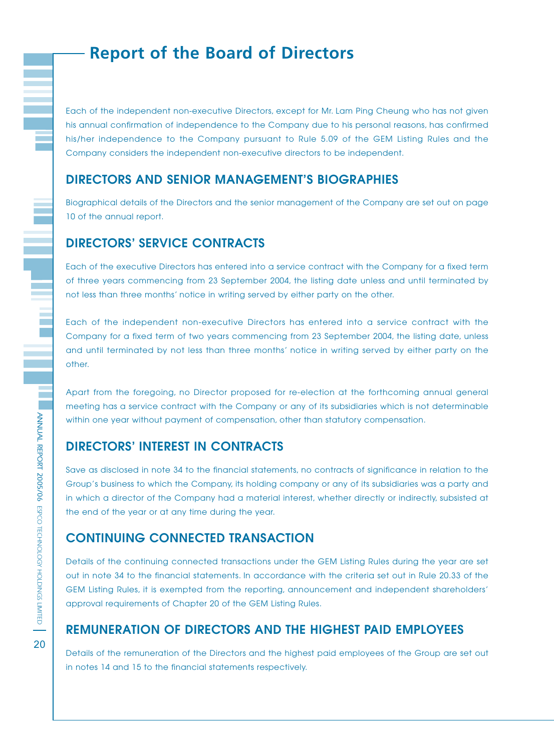*Each of the independent non-executive Directors, except for Mr. Lam Ping Cheung who has not given his annual confirmation of independence to the Company due to his personal reasons, has confirmed his/her independence to the Company pursuant to Rule 5.09 of the GEM Listing Rules and the Company considers the independent non-executive directors to be independent.*

#### **DIRECTORS AND SENIOR MANAGEMENT'S BIOGRAPHIES**

*Biographical details of the Directors and the senior management of the Company are set out on page 10 of the annual report.*

#### **DIRECTORS' SERVICE CONTRACTS**

*Each of the executive Directors has entered into a service contract with the Company for a fixed term of three years commencing from 23 September 2004, the listing date unless and until terminated by not less than three months' notice in writing served by either party on the other.*

*Each of the independent non-executive Directors has entered into a service contract with the Company for a fixed term of two years commencing from 23 September 2004, the listing date, unless and until terminated by not less than three months' notice in writing served by either party on the other.*

*Apart from the foregoing, no Director proposed for re-election at the forthcoming annual general meeting has a service contract with the Company or any of its subsidiaries which is not determinable within one year without payment of compensation, other than statutory compensation.*

#### **DIRECTORS' INTEREST IN CONTRACTS**

*Save as disclosed in note 34 to the financial statements, no contracts of significance in relation to the Group's business to which the Company, its holding company or any of its subsidiaries was a party and in which a director of the Company had a material interest, whether directly or indirectly, subsisted at the end of the year or at any time during the year.*

#### **CONTINUING CONNECTED TRANSACTION**

*Details of the continuing connected transactions under the GEM Listing Rules during the year are set out in note 34 to the financial statements. In accordance with the criteria set out in Rule 20.33 of the GEM Listing Rules, it is exempted from the reporting, announcement and independent shareholders' approval requirements of Chapter 20 of the GEM Listing Rules.*

#### **REMUNERATION OF DIRECTORS AND THE HIGHEST PAID EMPLOYEES**

*Details of the remuneration of the Directors and the highest paid employees of the Group are set out in notes 14 and 15 to the financial statements respectively.*

Ŧ ×

Ē

Ī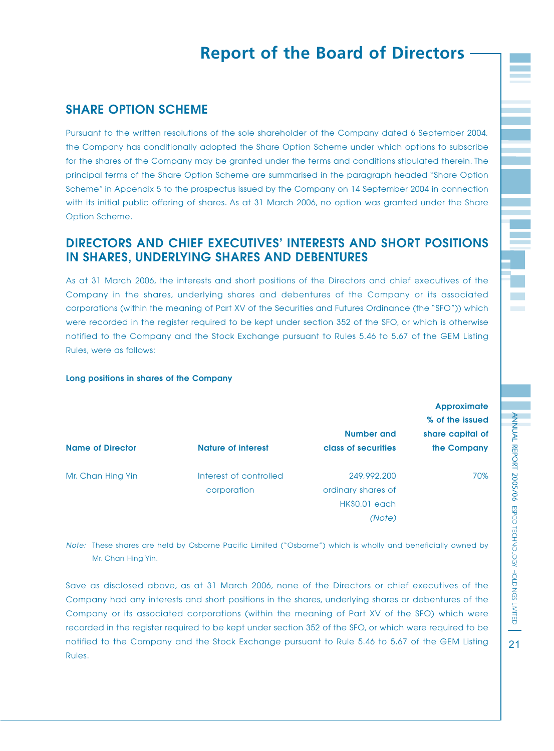#### **SHARE OPTION SCHEME**

*Pursuant to the written resolutions of the sole shareholder of the Company dated 6 September 2004, the Company has conditionally adopted the Share Option Scheme under which options to subscribe for the shares of the Company may be granted under the terms and conditions stipulated therein. The principal terms of the Share Option Scheme are summarised in the paragraph headed "Share Option Scheme" in Appendix 5 to the prospectus issued by the Company on 14 September 2004 in connection with its initial public offering of shares. As at 31 March 2006, no option was granted under the Share Option Scheme.*

#### **DIRECTORS AND CHIEF EXECUTIVES' INTERESTS AND SHORT POSITIONS IN SHARES, UNDERLYING SHARES AND DEBENTURES**

*As at 31 March 2006, the interests and short positions of the Directors and chief executives of the Company in the shares, underlying shares and debentures of the Company or its associated corporations (within the meaning of Part XV of the Securities and Futures Ordinance (the "SFO")) which were recorded in the register required to be kept under section 352 of the SFO, or which is otherwise notified to the Company and the Stock Exchange pursuant to Rules 5.46 to 5.67 of the GEM Listing Rules, were as follows:*

|                         |                           |                     | <b>Approximate</b><br>% of the issued |
|-------------------------|---------------------------|---------------------|---------------------------------------|
|                         |                           | <b>Number and</b>   | share capital of                      |
| <b>Name of Director</b> | <b>Nature of interest</b> | class of securities | the Company                           |
| Mr. Chan Hing Yin       | Interest of controlled    | 249,992,200         | 70%                                   |
|                         | corporation               | ordinary shares of  |                                       |
|                         |                           | $HK$0.01$ each      |                                       |
|                         |                           | (Note)              |                                       |

#### **Long positions in shares of the Company**

*Note: These shares are held by Osborne Pacific Limited ("Osborne") which is wholly and beneficially owned by Mr. Chan Hing Yin.*

*Save as disclosed above, as at 31 March 2006, none of the Directors or chief executives of the Company had any interests and short positions in the shares, underlying shares or debentures of the Company or its associated corporations (within the meaning of Part XV of the SFO) which were recorded in the register required to be kept under section 352 of the SFO, or which were required to be notified to the Company and the Stock Exchange pursuant to Rule 5.46 to 5.67 of the GEM Listing Rules.*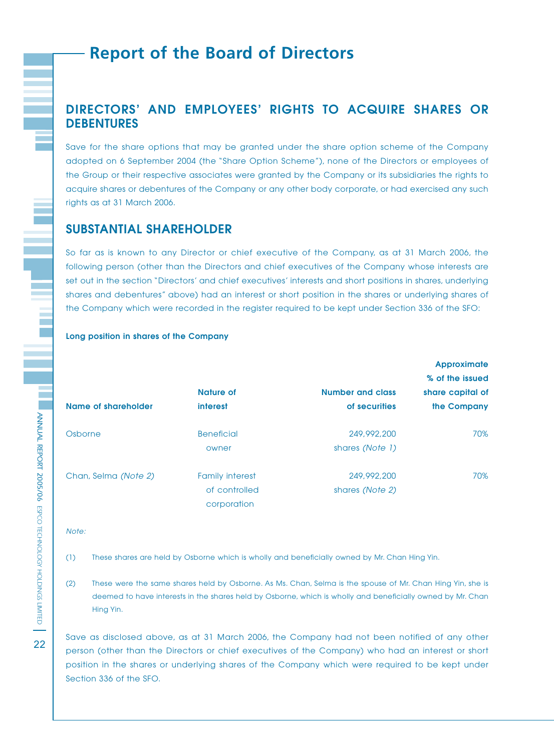#### **DIRECTORS' AND EMPLOYEES' RIGHTS TO ACQUIRE SHARES OR DEBENTURES**

*Save for the share options that may be granted under the share option scheme of the Company adopted on 6 September 2004 (the "Share Option Scheme"), none of the Directors or employees of the Group or their respective associates were granted by the Company or its subsidiaries the rights to acquire shares or debentures of the Company or any other body corporate, or had exercised any such rights as at 31 March 2006.*

#### **SUBSTANTIAL SHAREHOLDER**

*So far as is known to any Director or chief executive of the Company, as at 31 March 2006, the following person (other than the Directors and chief executives of the Company whose interests are set out in the section "Directors' and chief executives' interests and short positions in shares, underlying shares and debentures" above) had an interest or short position in the shares or underlying shares of the Company which were recorded in the register required to be kept under Section 336 of the SFO:*

| Name of shareholder  | <b>Nature of</b><br><b>interest</b> | <b>Number and class</b><br>of securities | <b>Approximate</b><br>% of the issued<br>share capital of<br>the Company |
|----------------------|-------------------------------------|------------------------------------------|--------------------------------------------------------------------------|
| Osborne              | <b>Beneficial</b>                   | 249,992,200                              | 70%                                                                      |
|                      | owner                               | shares (Note 1)                          |                                                                          |
| Chan, Selma (Note 2) | <b>Family interest</b>              | 249,992,200                              | 70%                                                                      |
|                      | of controlled                       | shares (Note 2)                          |                                                                          |
|                      | corporation                         |                                          |                                                                          |

#### **Long position in shares of the Company**

*Note:*

*(1) These shares are held by Osborne which is wholly and beneficially owned by Mr. Chan Hing Yin.*

*(2) These were the same shares held by Osborne. As Ms. Chan, Selma is the spouse of Mr. Chan Hing Yin, she is deemed to have interests in the shares held by Osborne, which is wholly and beneficially owned by Mr. Chan Hing Yin.*

*Save as disclosed above, as at 31 March 2006, the Company had not been notified of any other person (other than the Directors or chief executives of the Company) who had an interest or short position in the shares or underlying shares of the Company which were required to be kept under Section 336 of the SFO.*

Ē

i<br>F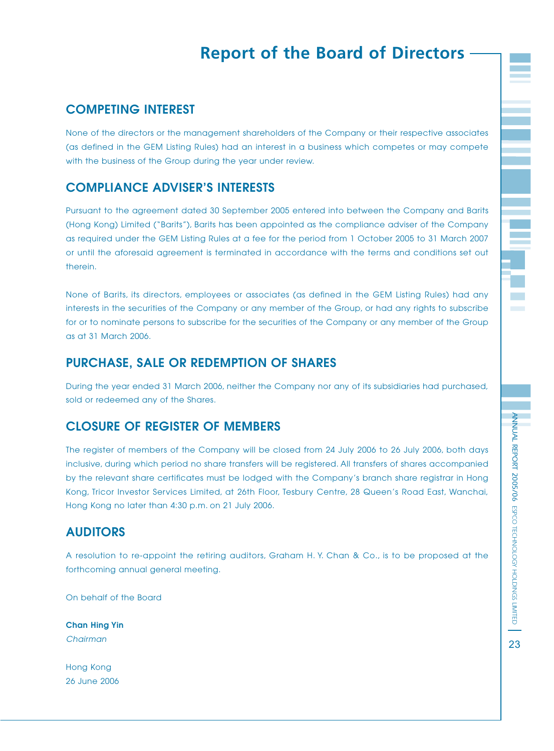#### **COMPETING INTEREST**

*None of the directors or the management shareholders of the Company or their respective associates (as defined in the GEM Listing Rules) had an interest in a business which competes or may compete with the business of the Group during the year under review.*

#### **COMPLIANCE ADVISER'S INTERESTS**

*Pursuant to the agreement dated 30 September 2005 entered into between the Company and Barits (Hong Kong) Limited ("Barits"), Barits has been appointed as the compliance adviser of the Company as required under the GEM Listing Rules at a fee for the period from 1 October 2005 to 31 March 2007 or until the aforesaid agreement is terminated in accordance with the terms and conditions set out therein.*

*None of Barits, its directors, employees or associates (as defined in the GEM Listing Rules) had any interests in the securities of the Company or any member of the Group, or had any rights to subscribe for or to nominate persons to subscribe for the securities of the Company or any member of the Group as at 31 March 2006.*

#### **PURCHASE, SALE OR REDEMPTION OF SHARES**

*During the year ended 31 March 2006, neither the Company nor any of its subsidiaries had purchased, sold or redeemed any of the Shares.*

#### **CLOSURE OF REGISTER OF MEMBERS**

*The register of members of the Company will be closed from 24 July 2006 to 26 July 2006, both days inclusive, during which period no share transfers will be registered. All transfers of shares accompanied by the relevant share certificates must be lodged with the Company's branch share registrar in Hong Kong, Tricor Investor Services Limited, at 26th Floor, Tesbury Centre, 28 Queen's Road East, Wanchai, Hong Kong no later than 4:30 p.m. on 21 July 2006.*

#### **AUDITORS**

*A resolution to re-appoint the retiring auditors, Graham H. Y. Chan & Co., is to be proposed at the forthcoming annual general meeting.*

*On behalf of the Board*

**Chan Hing Yin** *Chairman*

*Hong Kong 26 June 2006*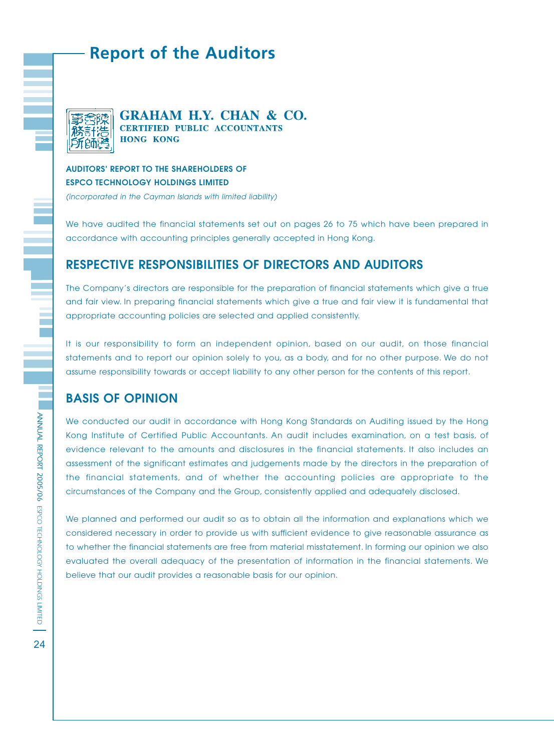## **Report of the Auditors**



**GRAHAM H.Y. CHAN & CO. CERTIFIED PUBLIC ACCOUNTANTS HONG KONG** 

**AUDITORS' REPORT TO THE SHAREHOLDERS OF ESPCO TECHNOLOGY HOLDINGS LIMITED**

*(incorporated in the Cayman Islands with limited liability)*

*We have audited the financial statements set out on pages 26 to 75 which have been prepared in accordance with accounting principles generally accepted in Hong Kong.*

#### **RESPECTIVE RESPONSIBILITIES OF DIRECTORS AND AUDITORS**

*The Company's directors are responsible for the preparation of financial statements which give a true and fair view. In preparing financial statements which give a true and fair view it is fundamental that appropriate accounting policies are selected and applied consistently.*

*It is our responsibility to form an independent opinion, based on our audit, on those financial statements and to report our opinion solely to you, as a body, and for no other purpose. We do not assume responsibility towards or accept liability to any other person for the contents of this report.*

#### **BASIS OF OPINION**

*We conducted our audit in accordance with Hong Kong Standards on Auditing issued by the Hong Kong Institute of Certified Public Accountants. An audit includes examination, on a test basis, of evidence relevant to the amounts and disclosures in the financial statements. It also includes an assessment of the significant estimates and judgements made by the directors in the preparation of the financial statements, and of whether the accounting policies are appropriate to the circumstances of the Company and the Group, consistently applied and adequately disclosed.*

*We planned and performed our audit so as to obtain all the information and explanations which we considered necessary in order to provide us with sufficient evidence to give reasonable assurance as to whether the financial statements are free from material misstatement. In forming our opinion we also evaluated the overall adequacy of the presentation of information in the financial statements. We believe that our audit provides a reasonable basis for our opinion.*

i<br>D

i<br>E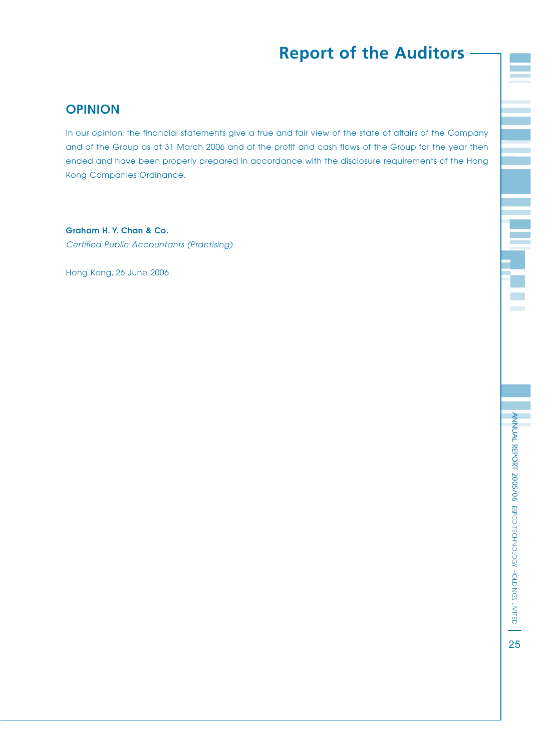## **Report of the Auditors**

#### **OPINION**

*In our opinion, the financial statements give a true and fair view of the state of affairs of the Company and of the Group as at 31 March 2006 and of the profit and cash flows of the Group for the year then ended and have been properly prepared in accordance with the disclosure requirements of the Hong Kong Companies Ordinance.*

**Graham H. Y. Chan & Co.**

*Certified Public Accountants (Practising)*

*Hong Kong, 26 June 2006*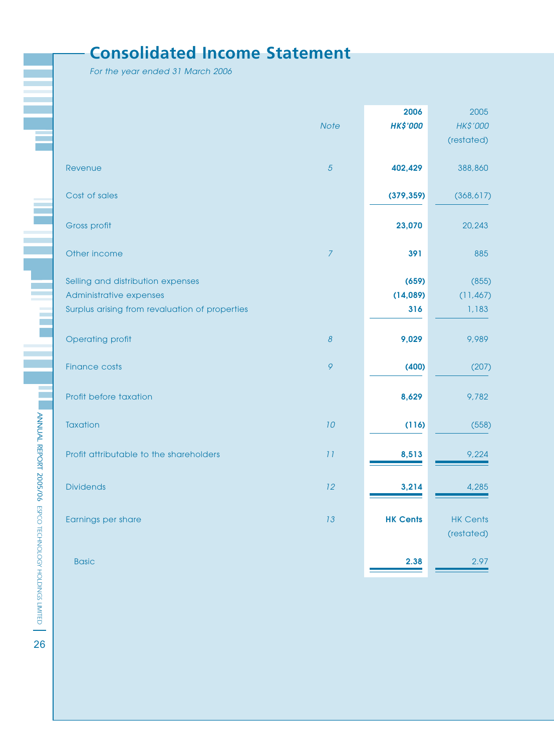## **Consolidated Income Statement**

*For the year ended 31 March 2006*

|                                                                                                                | <b>Note</b>                | 2006<br><b>HK\$'000</b>  | 2005<br>HK\$'000              |
|----------------------------------------------------------------------------------------------------------------|----------------------------|--------------------------|-------------------------------|
|                                                                                                                |                            |                          | (restated)                    |
| Revenue                                                                                                        | $\overline{5}$             | 402,429                  | 388,860                       |
| Cost of sales                                                                                                  |                            | (379, 359)               | (368, 617)                    |
| Gross profit                                                                                                   |                            | 23,070                   | 20,243                        |
| Other income                                                                                                   | $\boldsymbol{7}$           | 391                      | 885                           |
| Selling and distribution expenses<br>Administrative expenses<br>Surplus arising from revaluation of properties |                            | (659)<br>(14,089)<br>316 | (855)<br>(11, 467)<br>1,183   |
| Operating profit                                                                                               | $\boldsymbol{\mathcal{S}}$ | 9,029                    | 9,989                         |
| <b>Finance costs</b>                                                                                           | 9                          | (400)                    | (207)                         |
| Profit before taxation                                                                                         |                            | 8,629                    | 9,782                         |
| Taxation                                                                                                       | 10                         | (116)                    | (558)                         |
| Profit attributable to the shareholders                                                                        | 11                         | 8,513                    | 9,224                         |
| <b>Dividends</b>                                                                                               | 12                         | 3,214                    | 4,285                         |
| Earnings per share                                                                                             | 13                         | <b>HK Cents</b>          | <b>HK Cents</b><br>(restated) |
| <b>Basic</b>                                                                                                   |                            | 2.38                     | 2.97                          |

F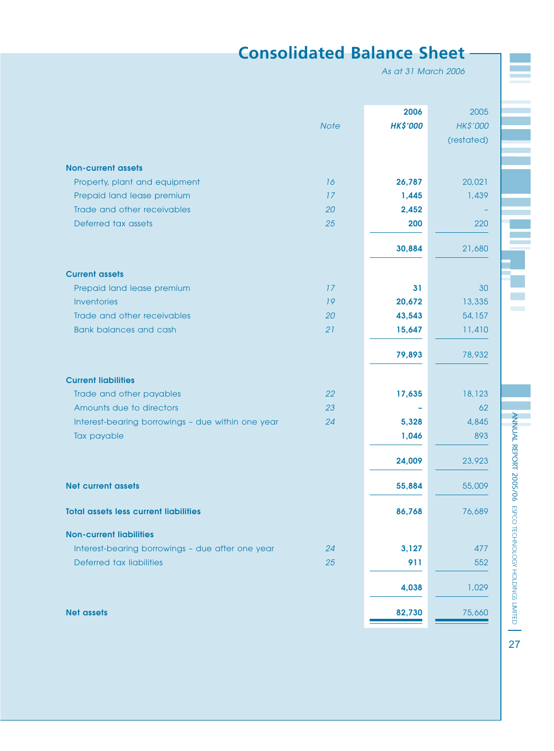## **Consolidated Balance Sheet**

*As at 31 March 2006*

|                                                   |             | 2006            | 2005       |                                                        |
|---------------------------------------------------|-------------|-----------------|------------|--------------------------------------------------------|
|                                                   | <b>Note</b> | <b>HK\$'000</b> | HK\$'000   |                                                        |
|                                                   |             |                 | (restated) |                                                        |
|                                                   |             |                 |            |                                                        |
| <b>Non-current assets</b>                         |             |                 |            |                                                        |
| Property, plant and equipment                     | 16          | 26,787          | 20,021     |                                                        |
| Prepaid land lease premium                        | 17          | 1,445           | 1,439      |                                                        |
| Trade and other receivables                       | 20          | 2,452           |            |                                                        |
| Deferred tax assets                               | 25          | 200             | 220        |                                                        |
|                                                   |             |                 |            |                                                        |
|                                                   |             | 30,884          | 21,680     |                                                        |
|                                                   |             |                 |            |                                                        |
| <b>Current assets</b>                             |             |                 |            |                                                        |
| Prepaid land lease premium                        | 17          | 31              | 30         |                                                        |
| Inventories                                       | 19          | 20,672          | 13,335     |                                                        |
| Trade and other receivables                       | 20          | 43,543          | 54,157     |                                                        |
| <b>Bank balances and cash</b>                     | 21          | 15,647          | 11,410     |                                                        |
|                                                   |             |                 |            |                                                        |
|                                                   |             | 79,893          | 78,932     |                                                        |
| <b>Current liabilities</b>                        |             |                 |            |                                                        |
| Trade and other payables                          | 22          | 17,635          | 18,123     |                                                        |
| Amounts due to directors                          | 23          |                 | 62         |                                                        |
| Interest-bearing borrowings - due within one year | 24          | 5,328           | 4,845      |                                                        |
| Tax payable                                       |             | 1,046           | 893        |                                                        |
|                                                   |             |                 |            |                                                        |
|                                                   |             | 24,009          | 23,923     |                                                        |
|                                                   |             |                 |            |                                                        |
| <b>Net current assets</b>                         |             | 55,884          | 55,009     |                                                        |
|                                                   |             |                 |            |                                                        |
| <b>Total assets less current liabilities</b>      |             | 86,768          | 76,689     |                                                        |
| <b>Non-current liabilities</b>                    |             |                 |            |                                                        |
| Interest-bearing borrowings - due after one year  | 24          | 3,127           | 477        |                                                        |
| Deferred tax liabilities                          | 25          | 911             | 552        |                                                        |
|                                                   |             |                 |            |                                                        |
|                                                   |             | 4,038           | 1,029      |                                                        |
|                                                   |             |                 |            | ANNUAL REPORT 2005/06 ESPCO TECHNOLOGY HOLDINGS LIMITE |
| <b>Net assets</b>                                 |             | 82,730          | 75,660     |                                                        |

ANNUAL REPORT 2005/06 ESPCO TECHNOLOGY HOLDINGS LIMITED **27ESPORT 2005/06 ESPCO TECHNOLOGY ANNUAL REPORT 2005/06**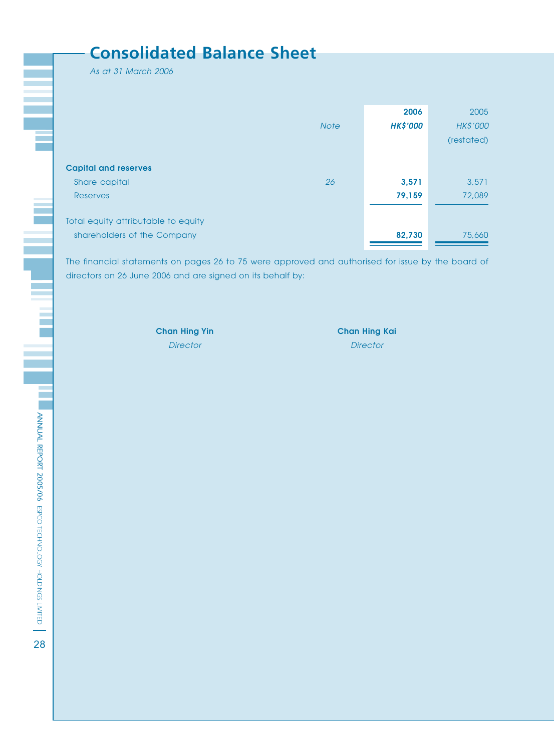## **Consolidated Balance Sheet**

*As at 31 March 2006*

|                                     |             | 2006            | 2005            |
|-------------------------------------|-------------|-----------------|-----------------|
|                                     | <b>Note</b> | <b>HK\$'000</b> | <b>HK\$'000</b> |
|                                     |             |                 | (restated)      |
|                                     |             |                 |                 |
| <b>Capital and reserves</b>         |             |                 |                 |
| Share capital                       | 26          | 3,571           | 3,571           |
| <b>Reserves</b>                     |             | 79,159          | 72,089          |
|                                     |             |                 |                 |
| Total equity attributable to equity |             |                 |                 |
| shareholders of the Company         |             | 82,730          | 75,660          |

*The financial statements on pages 26 to 75 were approved and authorised for issue by the board of directors on 26 June 2006 and are signed on its behalf by:*

**Chan Hing Yin Chan Hing Kai** *Director Director*

ī

Ŧ

<u>Time</u>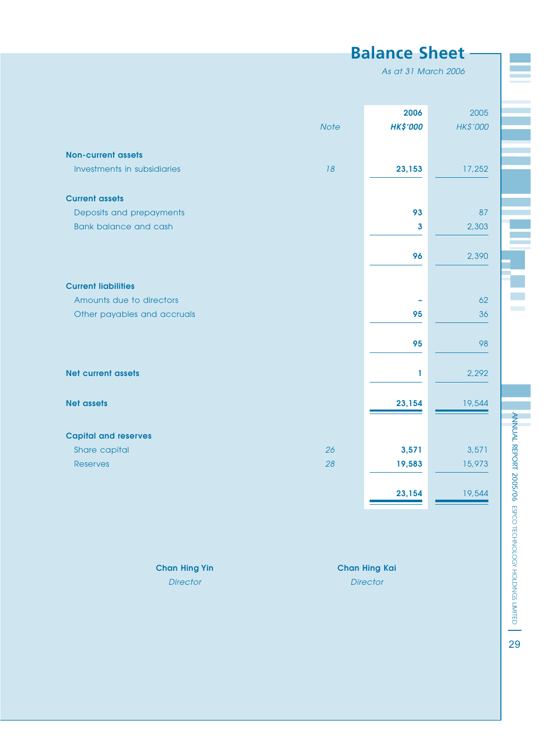|                                                                                       | <b>Balance Sheet</b><br>As at 31 March 2006 |                         |                   |                                |
|---------------------------------------------------------------------------------------|---------------------------------------------|-------------------------|-------------------|--------------------------------|
|                                                                                       | <b>Note</b>                                 | 2006<br><b>HK\$'000</b> | 2005<br>HK\$'000  |                                |
| <b>Non-current assets</b><br>Investments in subsidiaries                              | 18                                          | 23,153                  | 17,252            |                                |
| <b>Current assets</b><br>Deposits and prepayments<br><b>Bank balance and cash</b>     |                                             | 93<br>$\mathbf{3}$      | 87<br>2,303       |                                |
| <b>Current liabilities</b><br>Amounts due to directors<br>Other payables and accruals |                                             | 96<br>95                | 2,390<br>62<br>36 |                                |
|                                                                                       |                                             | 95                      | 98                |                                |
| <b>Net current assets</b><br><b>Net assets</b>                                        |                                             | ı.<br>23,154            | 2,292<br>19,544   |                                |
| <b>Capital and reserves</b><br>Share capital<br><b>Reserves</b>                       | 26<br>28                                    | 3,571<br>19,583         | 3,571<br>15,973   | ANNUAL REPORT 2005/06 ESPCO TE |
|                                                                                       |                                             | 23,154                  | 19,544            |                                |

**Chan Hing Yin Chan Hing Kai**

*Director Director*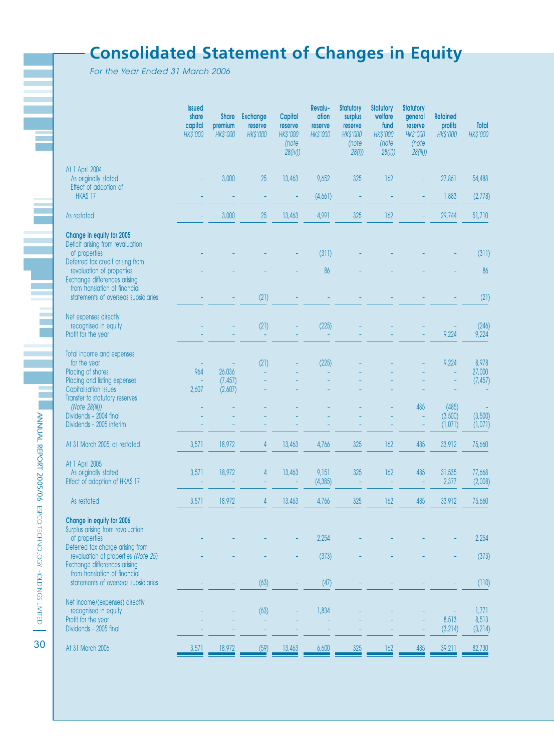## **Consolidated Statement of Changes in Equity**

*For the Year Ended 31 March 2006*

|                                                                                                                                                                                                              | <b>Issued</b><br>share<br>capital<br>HK\$'000 | <b>Share</b><br>premium<br>HK\$'000 | <b>Exchange</b><br>reserve<br>HK\$'000 | Capital<br>reserve<br>HK\$'000<br>(note<br>28(iv) | Revalu-<br>ation<br>reserve<br>HK\$'000 | <b>Statutory</b><br>surplus<br>reserve<br>HK\$'000<br>(note<br>28(i) | <b>Statutory</b><br>welfare<br>fund<br>HK\$'000<br>(note<br>28(ii)) | <b>Statutory</b><br>general<br>reserve<br>HK\$'000<br>(note<br>28(iii)) | <b>Retained</b><br>profits<br>HK\$'000 | Total<br>HK\$'000                      |
|--------------------------------------------------------------------------------------------------------------------------------------------------------------------------------------------------------------|-----------------------------------------------|-------------------------------------|----------------------------------------|---------------------------------------------------|-----------------------------------------|----------------------------------------------------------------------|---------------------------------------------------------------------|-------------------------------------------------------------------------|----------------------------------------|----------------------------------------|
| At 1 April 2004                                                                                                                                                                                              |                                               |                                     |                                        |                                                   |                                         |                                                                      |                                                                     |                                                                         |                                        |                                        |
| As originally stated<br>Effect of adoption of<br>HKAS 17                                                                                                                                                     |                                               | 3,000                               | 25                                     | 13,463                                            | 9,652<br>(4,661)                        | 325                                                                  | 162                                                                 |                                                                         | 27,861<br>1,883                        | 54,488<br>(2,778)                      |
|                                                                                                                                                                                                              |                                               |                                     |                                        |                                                   |                                         |                                                                      |                                                                     |                                                                         |                                        |                                        |
| As restated                                                                                                                                                                                                  |                                               | 3,000                               | 25                                     | 13,463                                            | 4,991                                   | 325                                                                  | 162                                                                 |                                                                         | 29,744                                 | 51,710                                 |
| Change in equity for 2005<br>Deficit arising from revaluation<br>of properties<br>Deferred tax credit arising from                                                                                           |                                               |                                     |                                        |                                                   | (311)                                   |                                                                      |                                                                     |                                                                         |                                        | (311)                                  |
| revaluation of properties<br>Exchange differences arising<br>from translation of financial                                                                                                                   |                                               |                                     |                                        |                                                   | 86                                      |                                                                      |                                                                     |                                                                         |                                        | 86                                     |
| statements of overseas subsidiaries                                                                                                                                                                          |                                               |                                     | (21)                                   |                                                   |                                         |                                                                      |                                                                     |                                                                         |                                        | (21)                                   |
| Net expenses directly<br>recognised in equity<br>Profit for the year                                                                                                                                         |                                               |                                     | (21)                                   |                                                   | (225)                                   |                                                                      |                                                                     |                                                                         | 9,224                                  | (246)<br>9,224                         |
| Total income and expenses<br>for the year<br>Placing of shares<br>Placing and listing expenses<br><b>Capitalisation issues</b><br>Transfer to statutory reserves<br>(Note 28(iii))<br>Dividends - 2004 final | 964<br>2,607                                  | 26,036<br>(7, 457)<br>(2,607)       | (21)                                   |                                                   | (225)<br>$\overline{\phantom{a}}$       |                                                                      |                                                                     | 485                                                                     | 9,224<br>÷<br>(485)<br>(3,500)         | 8,978<br>27,000<br>(7, 457)<br>(3,500) |
| Dividends - 2005 interim                                                                                                                                                                                     |                                               |                                     |                                        |                                                   |                                         |                                                                      |                                                                     |                                                                         | (1,071)                                | (1,071)                                |
| At 31 March 2005, as restated                                                                                                                                                                                | 3,571                                         | 18,972                              | 4                                      | 13,463                                            | 4,766                                   | 325                                                                  | 162                                                                 | 485                                                                     | 33,912                                 | 75,660                                 |
| At 1 April 2005<br>As originally stated<br>Effect of adoption of HKAS 17                                                                                                                                     | 3,571                                         | 18,972                              | 4                                      | 13,463                                            | 9,151<br>(4, 385)                       | 325                                                                  | 162                                                                 | 485                                                                     | 31,535<br>2,377                        | 77,668<br>(2,008)                      |
| As restated                                                                                                                                                                                                  | 3,571                                         | 18,972                              | 4                                      | 13,463                                            | 4,766                                   | 325                                                                  | 162                                                                 | 485                                                                     | 33,912                                 | 75,660                                 |
| Change in equity for 2006<br>Surplus arising from revaluation<br>of properties                                                                                                                               |                                               |                                     |                                        |                                                   | 2,254                                   |                                                                      |                                                                     |                                                                         |                                        | 2,254                                  |
| Deferred tax charge arising from<br>revaluation of properties (Note 25)<br>Exchange differences arising                                                                                                      |                                               |                                     |                                        |                                                   | (373)                                   |                                                                      |                                                                     |                                                                         |                                        | (373)                                  |
| from translation of financial<br>statements of overseas subsidiaries                                                                                                                                         |                                               |                                     | (63)                                   |                                                   | (47)                                    |                                                                      |                                                                     |                                                                         |                                        | (110)                                  |
| Net income/(expenses) directly<br>recognised in equity<br>Profit for the year<br>Dividends - 2005 final                                                                                                      |                                               |                                     | (63)                                   |                                                   | 1,834                                   |                                                                      |                                                                     |                                                                         | 8,513<br>(3,214)                       | 1,771<br>8,513<br>(3,214)              |
| At 31 March 2006                                                                                                                                                                                             | 3,571                                         | 18,972                              | (59)                                   | 13,463                                            | 6,600                                   | 325                                                                  | 162                                                                 | 485                                                                     | 39,211                                 | 82,730                                 |

Ē

Ē

**Contract**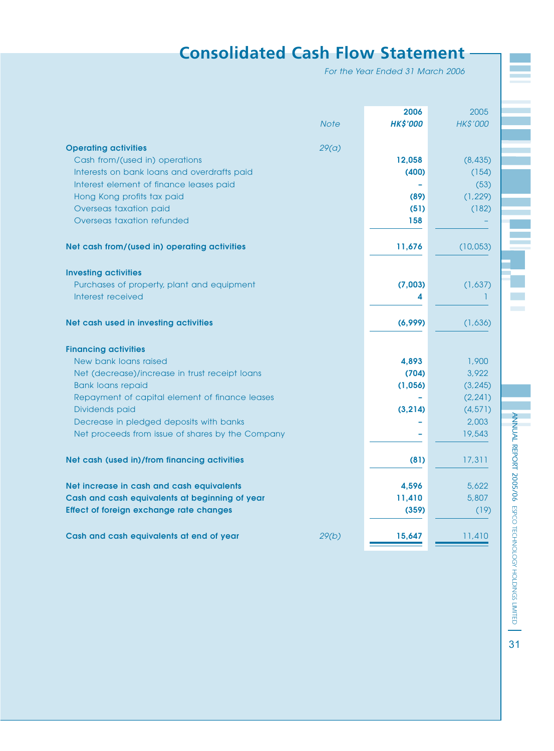## **Consolidated Cash Flow Statement**

*For the Year Ended 31 March 2006*

|                                                  |             | 2006            | 2005            |                                          |
|--------------------------------------------------|-------------|-----------------|-----------------|------------------------------------------|
|                                                  | <b>Note</b> | <b>HK\$'000</b> | <b>HK\$'000</b> |                                          |
|                                                  |             |                 |                 |                                          |
| <b>Operating activities</b>                      | 29(a)       |                 |                 |                                          |
| Cash from/(used in) operations                   |             | 12,058          | (8, 435)        |                                          |
|                                                  |             |                 |                 |                                          |
| Interests on bank loans and overdrafts paid      |             | (400)           | (154)           |                                          |
| Interest element of finance leases paid          |             |                 | (53)            |                                          |
| Hong Kong profits tax paid                       |             | (89)            | (1, 229)        |                                          |
| Overseas taxation paid                           |             | (51)            | (182)           |                                          |
| Overseas taxation refunded                       |             | 158             |                 |                                          |
|                                                  |             |                 |                 |                                          |
| Net cash from/(used in) operating activities     |             | 11,676          | (10, 053)       |                                          |
|                                                  |             |                 |                 |                                          |
| <b>Investing activities</b>                      |             |                 |                 |                                          |
| Purchases of property, plant and equipment       |             | (7,003)         | (1,637)         |                                          |
| Interest received                                |             | 4               | Ш               |                                          |
|                                                  |             |                 |                 |                                          |
| Net cash used in investing activities            |             | (6,999)         | (1,636)         |                                          |
|                                                  |             |                 |                 |                                          |
| <b>Financing activities</b>                      |             |                 |                 |                                          |
| New bank loans raised                            |             | 4,893           | 1,900           |                                          |
|                                                  |             | (704)           | 3,922           |                                          |
| Net (decrease)/increase in trust receipt loans   |             |                 |                 |                                          |
| <b>Bank loans repaid</b>                         |             | (1,056)         | (3, 245)        |                                          |
| Repayment of capital element of finance leases   |             |                 | (2, 241)        |                                          |
| Dividends paid                                   |             | (3, 214)        | (4, 571)        |                                          |
| Decrease in pledged deposits with banks          |             |                 | 2,003           |                                          |
| Net proceeds from issue of shares by the Company |             |                 | 19,543          |                                          |
|                                                  |             |                 |                 |                                          |
| Net cash (used in)/from financing activities     |             | (81)            | 17,311          |                                          |
|                                                  |             |                 |                 |                                          |
| Net increase in cash and cash equivalents        |             | 4,596           | 5,622           |                                          |
| Cash and cash equivalents at beginning of year   |             | 11,410          | 5,807           |                                          |
| <b>Effect of foreign exchange rate changes</b>   |             | (359)           | (19)            |                                          |
|                                                  |             |                 |                 | <b>ANNUAL REPORT 2005/06 ESPCO TECHN</b> |
| Cash and cash equivalents at end of year         | 29(b)       | 15,647          | 11,410          |                                          |
|                                                  |             |                 |                 |                                          |

**ANNUAL REPORT 2005/06 ESPCO TECHNOLOGY HOLDINGS LIMITED** ANNUAL REPORT 2005/06 ESPCO TECHNOLOGY HOLDINGS LIMITED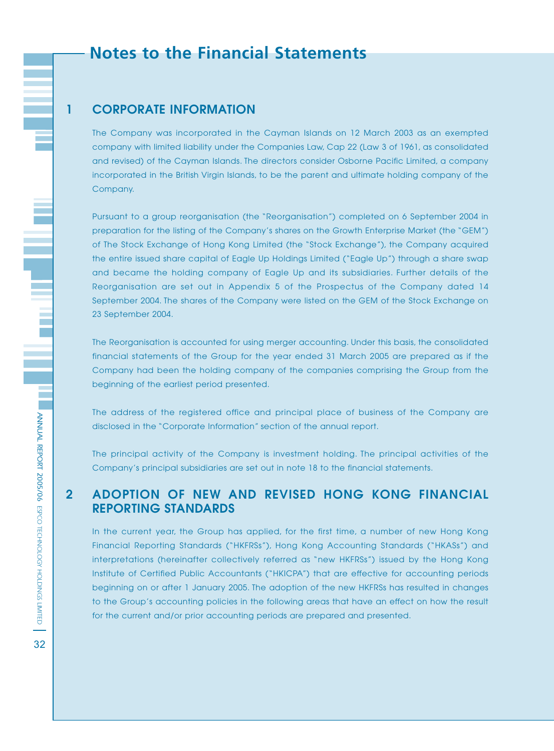#### **1 CORPORATE INFORMATION**

*The Company was incorporated in the Cayman Islands on 12 March 2003 as an exempted company with limited liability under the Companies Law, Cap 22 (Law 3 of 1961, as consolidated and revised) of the Cayman Islands. The directors consider Osborne Pacific Limited, a company incorporated in the British Virgin Islands, to be the parent and ultimate holding company of the Company.*

*Pursuant to a group reorganisation (the "Reorganisation") completed on 6 September 2004 in preparation for the listing of the Company's shares on the Growth Enterprise Market (the "GEM") of The Stock Exchange of Hong Kong Limited (the "Stock Exchange"), the Company acquired the entire issued share capital of Eagle Up Holdings Limited ("Eagle Up") through a share swap and became the holding company of Eagle Up and its subsidiaries. Further details of the Reorganisation are set out in Appendix 5 of the Prospectus of the Company dated 14 September 2004. The shares of the Company were listed on the GEM of the Stock Exchange on 23 September 2004.*

*The Reorganisation is accounted for using merger accounting. Under this basis, the consolidated financial statements of the Group for the year ended 31 March 2005 are prepared as if the Company had been the holding company of the companies comprising the Group from the beginning of the earliest period presented.*

*The address of the registered office and principal place of business of the Company are disclosed in the "Corporate Information" section of the annual report.*

*The principal activity of the Company is investment holding. The principal activities of the Company's principal subsidiaries are set out in note 18 to the financial statements.*

#### **2 ADOPTION OF NEW AND REVISED HONG KONG FINANCIAL REPORTING STANDARDS**

*In the current year, the Group has applied, for the first time, a number of new Hong Kong Financial Reporting Standards ("HKFRSs"), Hong Kong Accounting Standards ("HKASs") and interpretations (hereinafter collectively referred as "new HKFRSs") issued by the Hong Kong Institute of Certified Public Accountants ("HKICPA") that are effective for accounting periods beginning on or after 1 January 2005. The adoption of the new HKFRSs has resulted in changes to the Group's accounting policies in the following areas that have an effect on how the result for the current and/or prior accounting periods are prepared and presented.*

ESPCO TECHNOLOGY HOLDINGS LIMITED ANNUAL REPORT 2005/06

ANNUMED ANNUMED ANNUME REPORT 2005/06 ESPCO TECHNOLOGY HOLDINGS LIMITED

ţ

į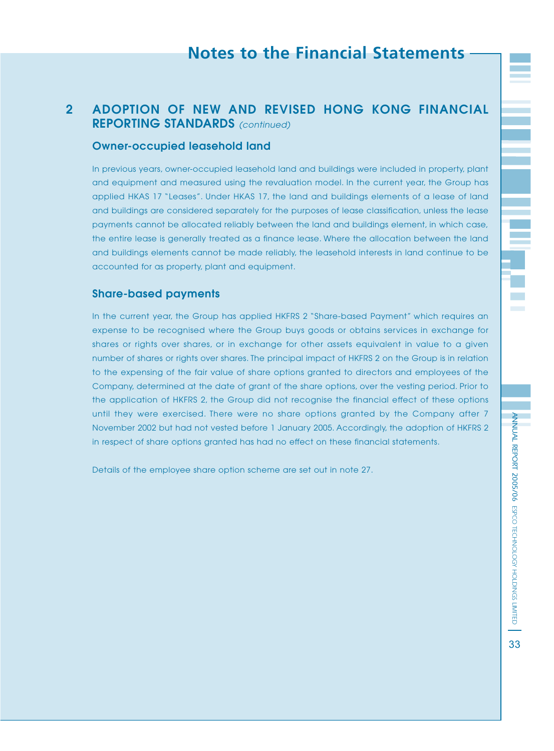#### **2 ADOPTION OF NEW AND REVISED HONG KONG FINANCIAL REPORTING STANDARDS** *(continued)*

#### **Owner-occupied leasehold land**

*In previous years, owner-occupied leasehold land and buildings were included in property, plant and equipment and measured using the revaluation model. In the current year, the Group has applied HKAS 17 "Leases". Under HKAS 17, the land and buildings elements of a lease of land and buildings are considered separately for the purposes of lease classification, unless the lease payments cannot be allocated reliably between the land and buildings element, in which case, the entire lease is generally treated as a finance lease. Where the allocation between the land and buildings elements cannot be made reliably, the leasehold interests in land continue to be accounted for as property, plant and equipment.*

#### **Share-based payments**

*In the current year, the Group has applied HKFRS 2 "Share-based Payment" which requires an expense to be recognised where the Group buys goods or obtains services in exchange for shares or rights over shares, or in exchange for other assets equivalent in value to a given number of shares or rights over shares. The principal impact of HKFRS 2 on the Group is in relation to the expensing of the fair value of share options granted to directors and employees of the Company, determined at the date of grant of the share options, over the vesting period. Prior to the application of HKFRS 2, the Group did not recognise the financial effect of these options until they were exercised. There were no share options granted by the Company after 7 November 2002 but had not vested before 1 January 2005. Accordingly, the adoption of HKFRS 2 in respect of share options granted has had no effect on these financial statements.*

*Details of the employee share option scheme are set out in note 27.*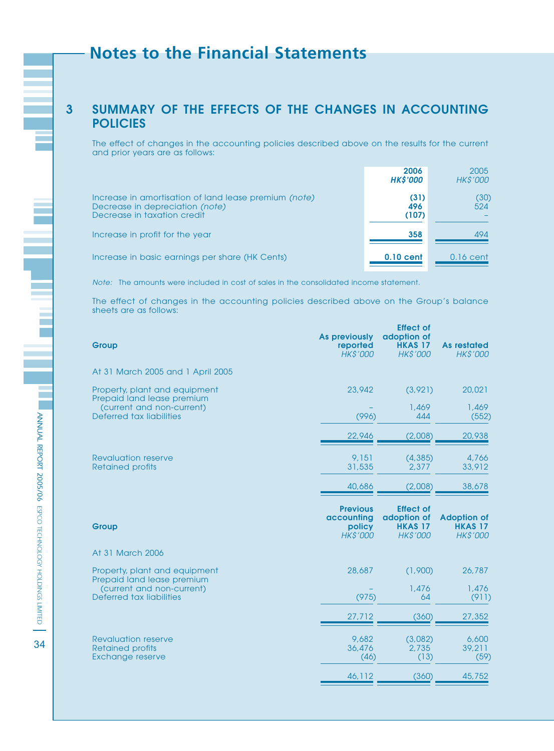#### **3 SUMMARY OF THE EFFECTS OF THE CHANGES IN ACCOUNTING POLICIES**

*The effect of changes in the accounting policies described above on the results for the current and prior years are as follows:*

|                                                                                                                         | 2006<br><b>HK\$'000</b> | 2005<br><b>HK\$'000</b> |
|-------------------------------------------------------------------------------------------------------------------------|-------------------------|-------------------------|
| Increase in amortisation of land lease premium (note)<br>Decrease in depreciation (note)<br>Decrease in taxation credit | (31)<br>496<br>(107)    | (30)<br>524             |
| Increase in profit for the year                                                                                         | 358                     | 494                     |
| Increase in basic earnings per share (HK Cents)                                                                         | $0.10$ cent             | 0.16 cent               |

*Note: The amounts were included in cost of sales in the consolidated income statement.*

*The effect of changes in the accounting policies described above on the Group's balance sheets are as follows:*

| Group                                                                               | <b>As previously</b><br>reported<br><b>HKS'000</b> | <b>Effect of</b><br>adoption of<br><b>HKAS 17</b><br><b>HK\$'000</b> | As restated<br><b>HK\$'000</b>                          |
|-------------------------------------------------------------------------------------|----------------------------------------------------|----------------------------------------------------------------------|---------------------------------------------------------|
| At 31 March 2005 and 1 April 2005                                                   |                                                    |                                                                      |                                                         |
| Property, plant and equipment<br>Prepaid land lease premium                         | 23,942                                             | (3,921)                                                              | 20,021                                                  |
| (current and non-current)<br>Deferred tax liabilities                               | (996)                                              | 1,469<br>444                                                         | 1,469<br>(552)                                          |
|                                                                                     | 22,946                                             | (2,008)                                                              | 20,938                                                  |
| Revaluation reserve<br><b>Retained profits</b>                                      | 9,151<br>31,535                                    | (4, 385)<br>2,377                                                    | 4,766<br>33,912                                         |
|                                                                                     | 40,686                                             | (2,008)                                                              | 38,678                                                  |
|                                                                                     | <b>Previous</b>                                    | <b>Effect of</b>                                                     |                                                         |
| Group                                                                               | accounting<br>policy<br><b>HK\$'000</b>            | adoption of<br><b>HKAS 17</b><br><b>HK\$'000</b>                     | <b>Adoption of</b><br><b>HKAS 17</b><br><b>HK\$'000</b> |
| At 31 March 2006                                                                    |                                                    |                                                                      |                                                         |
| Property, plant and equipment                                                       | 28,687                                             | (1,900)                                                              | 26,787                                                  |
| Prepaid land lease premium<br>(current and non-current)<br>Deferred tax liabilities | (975)                                              | 1,476<br>64                                                          | 1,476<br>(911)                                          |
|                                                                                     | 27,712                                             | (360)                                                                | 27,352                                                  |
| Revaluation reserve<br><b>Retained profits</b><br>Exchange reserve                  | 9,682<br>36,476<br>(46)                            | (3,082)<br>2,735<br>(13)                                             | 6,600<br>39,211<br>(59)                                 |

li<br>T

Ē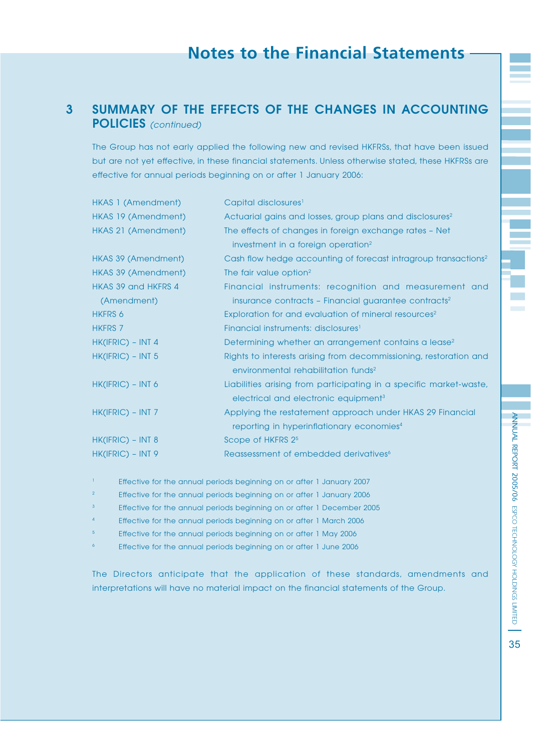#### **3 SUMMARY OF THE EFFECTS OF THE CHANGES IN ACCOUNTING POLICIES** *(continued)*

*The Group has not early applied the following new and revised HKFRSs, that have been issued but are not yet effective, in these financial statements. Unless otherwise stated, these HKFRSs are effective for annual periods beginning on or after 1 January 2006:*

| HKAS 1 (Amendment)  | Capital disclosures <sup>1</sup>                                            |
|---------------------|-----------------------------------------------------------------------------|
| HKAS 19 (Amendment) | Actuarial gains and losses, group plans and disclosures <sup>2</sup>        |
| HKAS 21 (Amendment) | The effects of changes in foreign exchange rates - Net                      |
|                     | investment in a foreign operation <sup>2</sup>                              |
| HKAS 39 (Amendment) | Cash flow hedge accounting of forecast intragroup transactions <sup>2</sup> |
| HKAS 39 (Amendment) | The fair value option <sup>2</sup>                                          |
| HKAS 39 and HKFRS 4 | Financial instruments: recognition and measurement and                      |
| (Amendment)         | insurance contracts - Financial guarantee contracts <sup>2</sup>            |
| <b>HKFRS 6</b>      | Exploration for and evaluation of mineral resources <sup>2</sup>            |
| <b>HKFRS 7</b>      | Financial instruments: disclosures <sup>1</sup>                             |
| $HK(IFRIC) - INT 4$ | Determining whether an arrangement contains a lease <sup>2</sup>            |
| $HK(IFRIC) - INT 5$ | Rights to interests arising from decommissioning, restoration and           |
|                     | environmental rehabilitation funds <sup>2</sup>                             |
| HK(IFRIC) - INT 6   | Liabilities arising from participating in a specific market-waste,          |
|                     | electrical and electronic equipment <sup>3</sup>                            |
| HK(IFRIC) - INT 7   | Applying the restatement approach under HKAS 29 Financial                   |
|                     | reporting in hyperinflationary economies <sup>4</sup>                       |
| $HK(IFRIC) - INT 8$ | Scope of HKFRS 2 <sup>5</sup>                                               |
| HK(IFRIC) - INT 9   | Reassessment of embedded derivatives <sup>6</sup>                           |
|                     |                                                                             |

*<sup>1</sup> Effective for the annual periods beginning on or after 1 January 2007*

- *<sup>2</sup> Effective for the annual periods beginning on or after 1 January 2006*
- *<sup>3</sup> Effective for the annual periods beginning on or after 1 December 2005*
- *<sup>4</sup> Effective for the annual periods beginning on or after 1 March 2006*
- *<sup>5</sup> Effective for the annual periods beginning on or after 1 May 2006*
- *<sup>6</sup> Effective for the annual periods beginning on or after 1 June 2006*

*The Directors anticipate that the application of these standards, amendments and interpretations will have no material impact on the financial statements of the Group.*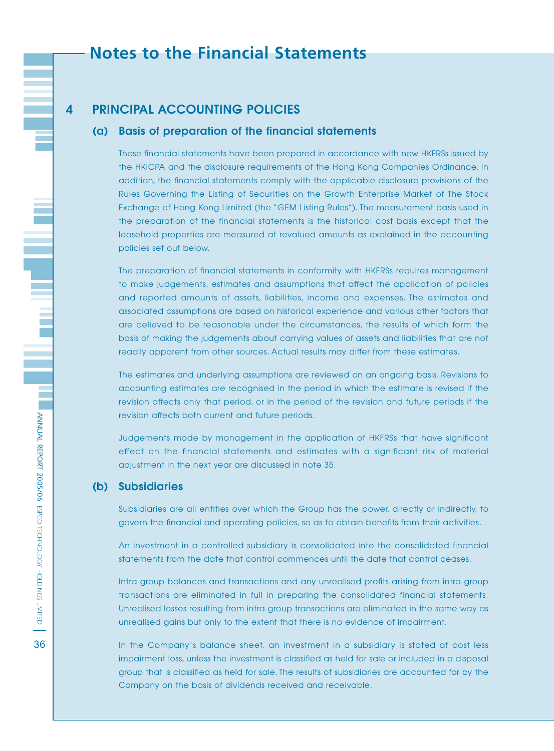### **4 PRINCIPAL ACCOUNTING POLICIES**

#### **(a) Basis of preparation of the financial statements**

*These financial statements have been prepared in accordance with new HKFRSs issued by the HKICPA and the disclosure requirements of the Hong Kong Companies Ordinance. In addition, the financial statements comply with the applicable disclosure provisions of the Rules Governing the Listing of Securities on the Growth Enterprise Market of The Stock Exchange of Hong Kong Limited (the "GEM Listing Rules"). The measurement basis used in the preparation of the financial statements is the historical cost basis except that the leasehold properties are measured at revalued amounts as explained in the accounting policies set out below.*

*The preparation of financial statements in conformity with HKFRSs requires management to make judgements, estimates and assumptions that affect the application of policies and reported amounts of assets, liabilities, income and expenses. The estimates and associated assumptions are based on historical experience and various other factors that are believed to be reasonable under the circumstances, the results of which form the basis of making the judgements about carrying values of assets and liabilities that are not readily apparent from other sources. Actual results may differ from these estimates.*

*The estimates and underlying assumptions are reviewed on an ongoing basis. Revisions to accounting estimates are recognised in the period in which the estimate is revised if the revision affects only that period, or in the period of the revision and future periods if the revision affects both current and future periods.*

*Judgements made by management in the application of HKFRSs that have significant effect on the financial statements and estimates with a significant risk of material adjustment in the next year are discussed in note 35.*

### **(b) Subsidiaries**

*Subsidiaries are all entities over which the Group has the power, directly or indirectly, to govern the financial and operating policies, so as to obtain benefits from their activities.*

*An investment in a controlled subsidiary is consolidated into the consolidated financial statements from the date that control commences until the date that control ceases.*

*Intra-group balances and transactions and any unrealised profits arising from intra-group transactions are eliminated in full in preparing the consolidated financial statements. Unrealised losses resulting from intra-group transactions are eliminated in the same way as unrealised gains but only to the extent that there is no evidence of impairment.*

*In the Company's balance sheet, an investment in a subsidiary is stated at cost less impairment loss, unless the investment is classified as held for sale or included in a disposal group that is classified as held for sale. The results of subsidiaries are accounted for by the Company on the basis of dividends received and receivable.*

ESPCO TECHNOLOGY HOLDINGS LIMITED ANNUAL REPORT 2005/06

**ANNUAL REPORT 2005/06 ESPCO TECHNOLOGY HOLDINGS LIMITED** 

Ē

Г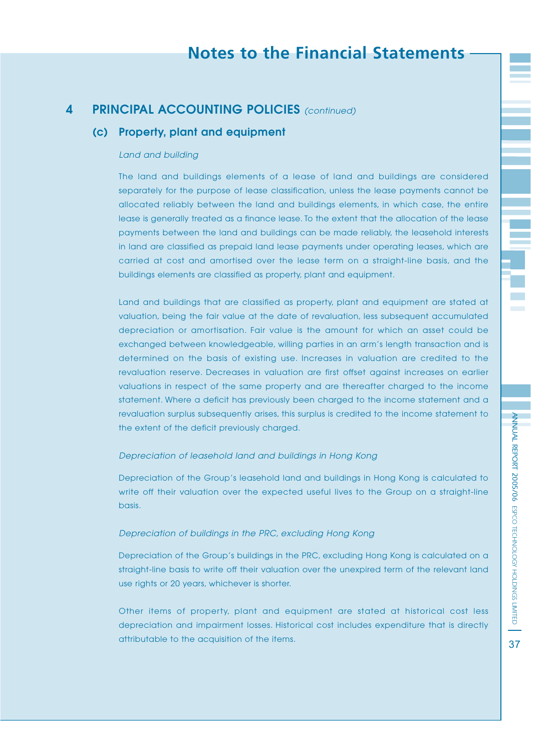### **4 PRINCIPAL ACCOUNTING POLICIES** *(continued)*

### **(c) Property, plant and equipment**

#### *Land and building*

*The land and buildings elements of a lease of land and buildings are considered separately for the purpose of lease classification, unless the lease payments cannot be allocated reliably between the land and buildings elements, in which case, the entire lease is generally treated as a finance lease. To the extent that the allocation of the lease payments between the land and buildings can be made reliably, the leasehold interests in land are classified as prepaid land lease payments under operating leases, which are carried at cost and amortised over the lease term on a straight-line basis, and the buildings elements are classified as property, plant and equipment.*

*Land and buildings that are classified as property, plant and equipment are stated at valuation, being the fair value at the date of revaluation, less subsequent accumulated depreciation or amortisation. Fair value is the amount for which an asset could be exchanged between knowledgeable, willing parties in an arm's length transaction and is determined on the basis of existing use. Increases in valuation are credited to the revaluation reserve. Decreases in valuation are first offset against increases on earlier valuations in respect of the same property and are thereafter charged to the income statement. Where a deficit has previously been charged to the income statement and a revaluation surplus subsequently arises, this surplus is credited to the income statement to the extent of the deficit previously charged.*

#### *Depreciation of leasehold land and buildings in Hong Kong*

*Depreciation of the Group's leasehold land and buildings in Hong Kong is calculated to write off their valuation over the expected useful lives to the Group on a straight-line basis.*

#### *Depreciation of buildings in the PRC, excluding Hong Kong*

*Depreciation of the Group's buildings in the PRC, excluding Hong Kong is calculated on a straight-line basis to write off their valuation over the unexpired term of the relevant land use rights or 20 years, whichever is shorter.*

*Other items of property, plant and equipment are stated at historical cost less depreciation and impairment losses. Historical cost includes expenditure that is directly attributable to the acquisition of the items.*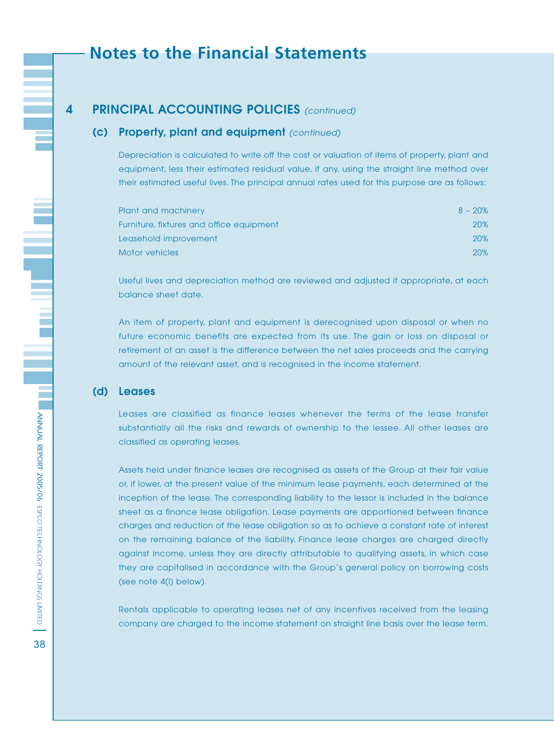### **4 PRINCIPAL ACCOUNTING POLICIES** *(continued)*

### **(c) Property, plant and equipment** *(continued)*

*Depreciation is calculated to write off the cost or valuation of items of property, plant and equipment, less their estimated residual value, if any, using the straight line method over their estimated useful lives. The principal annual rates used for this purpose are as follows:*

| Plant and machinery                      | $8 - 20%$  |
|------------------------------------------|------------|
| Furniture, fixtures and office equipment | <b>20%</b> |
| Leasehold improvement                    | 20%        |
| Motor vehicles                           | 20%        |

*Useful lives and depreciation method are reviewed and adjusted if appropriate, at each balance sheet date.*

*An item of property, plant and equipment is derecognised upon disposal or when no future economic benefits are expected from its use. The gain or loss on disposal or retirement of an asset is the difference between the net sales proceeds and the carrying amount of the relevant asset, and is recognised in the income statement.*

### **(d) Leases**

*Leases are classified as finance leases whenever the terms of the lease transfer substantially all the risks and rewards of ownership to the lessee. All other leases are classified as operating leases.*

*Assets held under finance leases are recognised as assets of the Group at their fair value or, if lower, at the present value of the minimum lease payments, each determined at the inception of the lease. The corresponding liability to the lessor is included in the balance sheet as a finance lease obligation. Lease payments are apportioned between finance charges and reduction of the lease obligation so as to achieve a constant rate of interest on the remaining balance of the liability. Finance lease charges are charged directly against income, unless they are directly attributable to qualifying assets, in which case they are capitalised in accordance with the Group's general policy on borrowing costs (see note 4(l) below).*

*Rentals applicable to operating leases net of any incentives received from the leasing company are charged to the income statement on straight line basis over the lease term.*

Ī

Г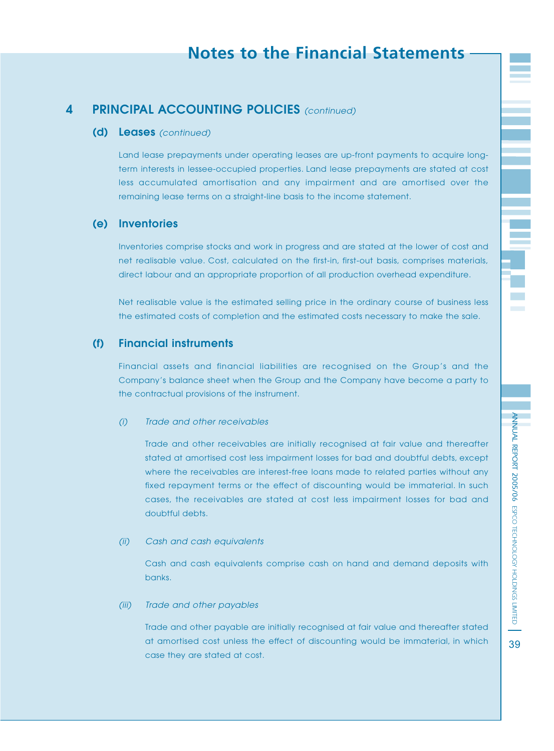### **4 PRINCIPAL ACCOUNTING POLICIES** *(continued)*

#### **(d) Leases** *(continued)*

*Land lease prepayments under operating leases are up-front payments to acquire longterm interests in lessee-occupied properties. Land lease prepayments are stated at cost less accumulated amortisation and any impairment and are amortised over the remaining lease terms on a straight-line basis to the income statement.*

### **(e) Inventories**

*Inventories comprise stocks and work in progress and are stated at the lower of cost and net realisable value. Cost, calculated on the first-in, first-out basis, comprises materials, direct labour and an appropriate proportion of all production overhead expenditure.*

*Net realisable value is the estimated selling price in the ordinary course of business less the estimated costs of completion and the estimated costs necessary to make the sale.*

### **(f) Financial instruments**

*Financial assets and financial liabilities are recognised on the Group's and the Company's balance sheet when the Group and the Company have become a party to the contractual provisions of the instrument.*

#### *(i) Trade and other receivables*

*Trade and other receivables are initially recognised at fair value and thereafter stated at amortised cost less impairment losses for bad and doubtful debts, except where the receivables are interest-free loans made to related parties without any fixed repayment terms or the effect of discounting would be immaterial. In such cases, the receivables are stated at cost less impairment losses for bad and doubtful debts.*

#### *(ii) Cash and cash equivalents*

*Cash and cash equivalents comprise cash on hand and demand deposits with banks.*

#### *(iii) Trade and other payables*

*Trade and other payable are initially recognised at fair value and thereafter stated at amortised cost unless the effect of discounting would be immaterial, in which case they are stated at cost.*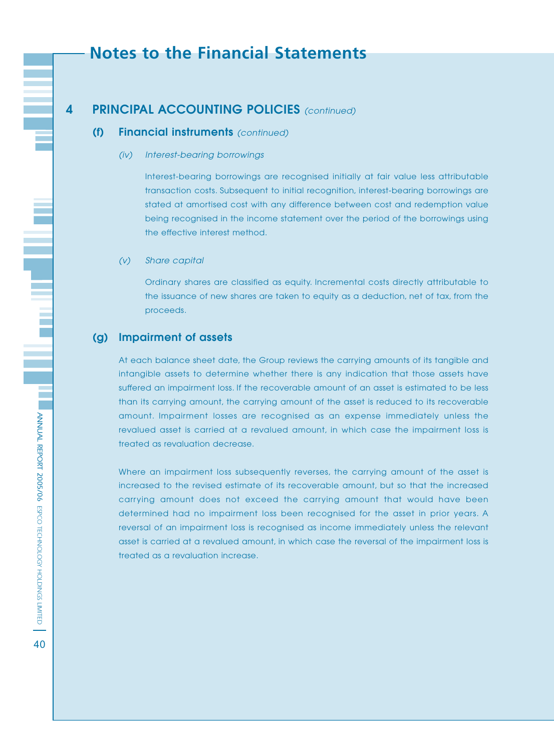### **4 PRINCIPAL ACCOUNTING POLICIES** *(continued)*

#### **(f) Financial instruments** *(continued)*

#### *(iv) Interest-bearing borrowings*

*Interest-bearing borrowings are recognised initially at fair value less attributable transaction costs. Subsequent to initial recognition, interest-bearing borrowings are stated at amortised cost with any difference between cost and redemption value being recognised in the income statement over the period of the borrowings using the effective interest method.*

#### *(v) Share capital*

*Ordinary shares are classified as equity. Incremental costs directly attributable to the issuance of new shares are taken to equity as a deduction, net of tax, from the proceeds.*

#### **(g) Impairment of assets**

*At each balance sheet date, the Group reviews the carrying amounts of its tangible and intangible assets to determine whether there is any indication that those assets have suffered an impairment loss. If the recoverable amount of an asset is estimated to be less than its carrying amount, the carrying amount of the asset is reduced to its recoverable amount. Impairment losses are recognised as an expense immediately unless the revalued asset is carried at a revalued amount, in which case the impairment loss is treated as revaluation decrease.*

*Where an impairment loss subsequently reverses, the carrying amount of the asset is increased to the revised estimate of its recoverable amount, but so that the increased carrying amount does not exceed the carrying amount that would have been determined had no impairment loss been recognised for the asset in prior years. A reversal of an impairment loss is recognised as income immediately unless the relevant asset is carried at a revalued amount, in which case the reversal of the impairment loss is treated as a revaluation increase.*

i<br>F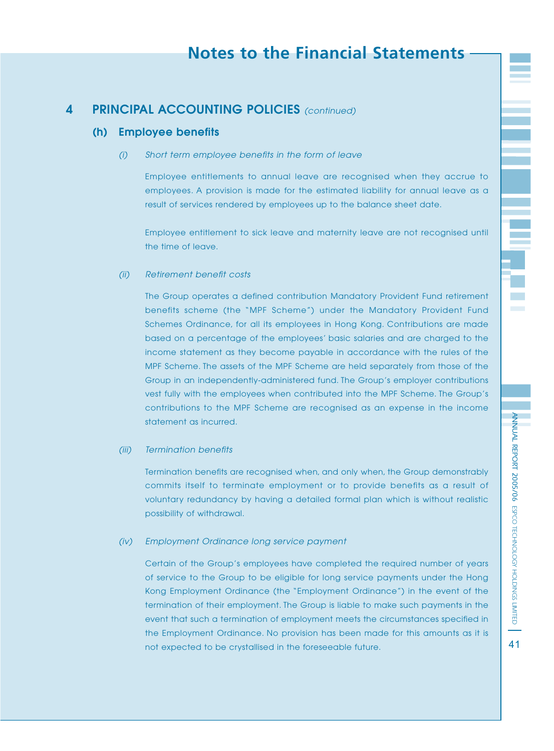### **4 PRINCIPAL ACCOUNTING POLICIES** *(continued)*

### **(h) Employee benefits**

#### *(i) Short term employee benefits in the form of leave*

*Employee entitlements to annual leave are recognised when they accrue to employees. A provision is made for the estimated liability for annual leave as a result of services rendered by employees up to the balance sheet date.*

*Employee entitlement to sick leave and maternity leave are not recognised until the time of leave.*

#### *(ii) Retirement benefit costs*

*The Group operates a defined contribution Mandatory Provident Fund retirement benefits scheme (the "MPF Scheme") under the Mandatory Provident Fund Schemes Ordinance, for all its employees in Hong Kong. Contributions are made based on a percentage of the employees' basic salaries and are charged to the income statement as they become payable in accordance with the rules of the MPF Scheme. The assets of the MPF Scheme are held separately from those of the Group in an independently-administered fund. The Group's employer contributions vest fully with the employees when contributed into the MPF Scheme. The Group's contributions to the MPF Scheme are recognised as an expense in the income statement as incurred.*

#### *(iii) Termination benefits*

*Termination benefits are recognised when, and only when, the Group demonstrably commits itself to terminate employment or to provide benefits as a result of voluntary redundancy by having a detailed formal plan which is without realistic possibility of withdrawal.*

#### *(iv) Employment Ordinance long service payment*

*Certain of the Group's employees have completed the required number of years of service to the Group to be eligible for long service payments under the Hong Kong Employment Ordinance (the "Employment Ordinance") in the event of the termination of their employment. The Group is liable to make such payments in the event that such a termination of employment meets the circumstances specified in the Employment Ordinance. No provision has been made for this amounts as it is not expected to be crystallised in the foreseeable future.*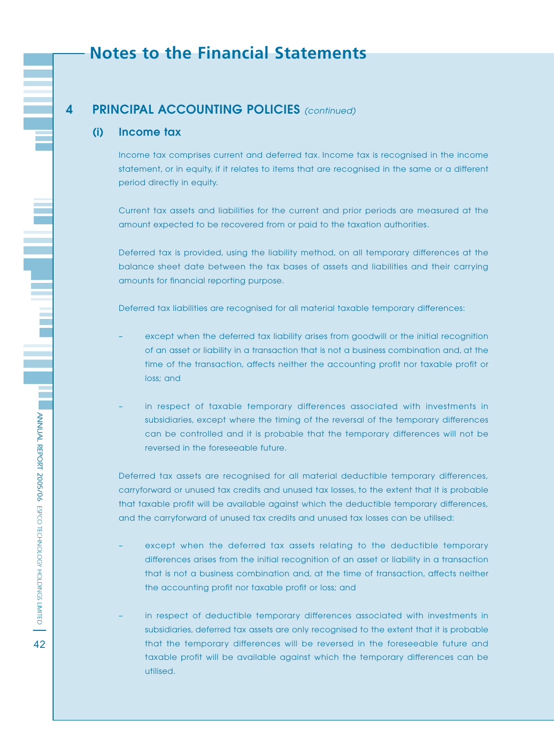### **4 PRINCIPAL ACCOUNTING POLICIES** *(continued)*

### **(i) Income tax**

*Income tax comprises current and deferred tax. Income tax is recognised in the income statement, or in equity, if it relates to items that are recognised in the same or a different period directly in equity.*

*Current tax assets and liabilities for the current and prior periods are measured at the amount expected to be recovered from or paid to the taxation authorities.*

*Deferred tax is provided, using the liability method, on all temporary differences at the balance sheet date between the tax bases of assets and liabilities and their carrying amounts for financial reporting purpose.*

*Deferred tax liabilities are recognised for all material taxable temporary differences:*

- *– except when the deferred tax liability arises from goodwill or the initial recognition of an asset or liability in a transaction that is not a business combination and, at the time of the transaction, affects neither the accounting profit nor taxable profit or loss; and*
- *– in respect of taxable temporary differences associated with investments in subsidiaries, except where the timing of the reversal of the temporary differences can be controlled and it is probable that the temporary differences will not be reversed in the foreseeable future.*

*Deferred tax assets are recognised for all material deductible temporary differences, carryforward or unused tax credits and unused tax losses, to the extent that it is probable that taxable profit will be available against which the deductible temporary differences, and the carryforward of unused tax credits and unused tax losses can be utilised:*

- *– except when the deferred tax assets relating to the deductible temporary differences arises from the initial recognition of an asset or liability in a transaction that is not a business combination and, at the time of transaction, affects neither the accounting profit nor taxable profit or loss; and*
- *– in respect of deductible temporary differences associated with investments in subsidiaries, deferred tax assets are only recognised to the extent that it is probable that the temporary differences will be reversed in the foreseeable future and taxable profit will be available against which the temporary differences can be utilised.*

ī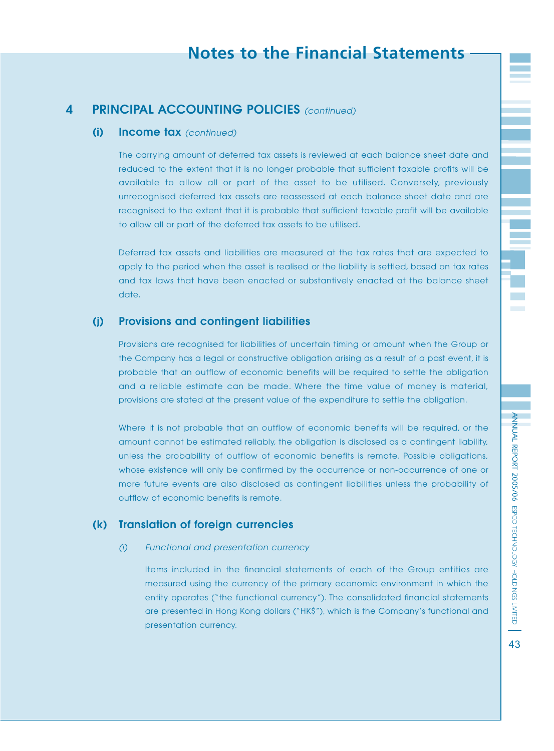### **4 PRINCIPAL ACCOUNTING POLICIES** *(continued)*

#### **(i) Income tax** *(continued)*

*The carrying amount of deferred tax assets is reviewed at each balance sheet date and reduced to the extent that it is no longer probable that sufficient taxable profits will be available to allow all or part of the asset to be utilised. Conversely, previously unrecognised deferred tax assets are reassessed at each balance sheet date and are recognised to the extent that it is probable that sufficient taxable profit will be available to allow all or part of the deferred tax assets to be utilised.*

*Deferred tax assets and liabilities are measured at the tax rates that are expected to apply to the period when the asset is realised or the liability is settled, based on tax rates and tax laws that have been enacted or substantively enacted at the balance sheet date.*

#### **(j) Provisions and contingent liabilities**

*Provisions are recognised for liabilities of uncertain timing or amount when the Group or the Company has a legal or constructive obligation arising as a result of a past event, it is probable that an outflow of economic benefits will be required to settle the obligation and a reliable estimate can be made. Where the time value of money is material, provisions are stated at the present value of the expenditure to settle the obligation.*

*Where it is not probable that an outflow of economic benefits will be required, or the amount cannot be estimated reliably, the obligation is disclosed as a contingent liability, unless the probability of outflow of economic benefits is remote. Possible obligations, whose existence will only be confirmed by the occurrence or non-occurrence of one or more future events are also disclosed as contingent liabilities unless the probability of outflow of economic benefits is remote.*

#### **(k) Translation of foreign currencies**

#### *(i) Functional and presentation currency*

*Items included in the financial statements of each of the Group entities are measured using the currency of the primary economic environment in which the entity operates ("the functional currency"). The consolidated financial statements are presented in Hong Kong dollars ("HK\$"), which is the Company's functional and presentation currency.*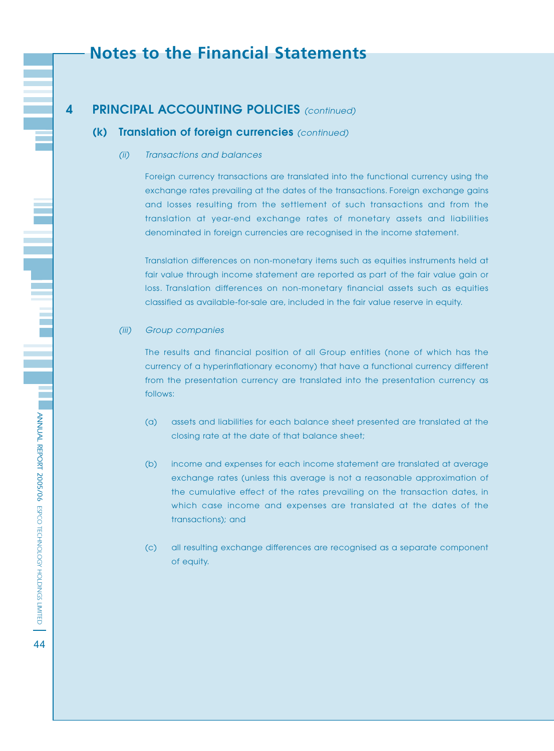### **4 PRINCIPAL ACCOUNTING POLICIES** *(continued)*

### **(k) Translation of foreign currencies** *(continued)*

#### *(ii) Transactions and balances*

*Foreign currency transactions are translated into the functional currency using the exchange rates prevailing at the dates of the transactions. Foreign exchange gains and losses resulting from the settlement of such transactions and from the translation at year-end exchange rates of monetary assets and liabilities denominated in foreign currencies are recognised in the income statement.*

*Translation differences on non-monetary items such as equities instruments held at fair value through income statement are reported as part of the fair value gain or loss. Translation differences on non-monetary financial assets such as equities classified as available-for-sale are, included in the fair value reserve in equity.*

#### *(iii) Group companies*

*The results and financial position of all Group entities (none of which has the currency of a hyperinflationary economy) that have a functional currency different from the presentation currency are translated into the presentation currency as follows:*

- *(a) assets and liabilities for each balance sheet presented are translated at the closing rate at the date of that balance sheet;*
- *(b) income and expenses for each income statement are translated at average exchange rates (unless this average is not a reasonable approximation of the cumulative effect of the rates prevailing on the transaction dates, in which case income and expenses are translated at the dates of the transactions); and*
- *(c) all resulting exchange differences are recognised as a separate component of equity.*

 $\frac{1}{2}$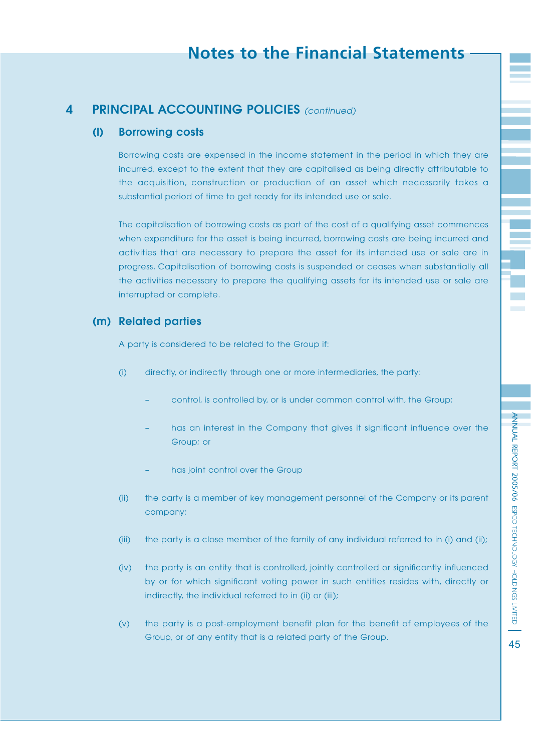### **4 PRINCIPAL ACCOUNTING POLICIES** *(continued)*

### **(l) Borrowing costs**

*Borrowing costs are expensed in the income statement in the period in which they are incurred, except to the extent that they are capitalised as being directly attributable to the acquisition, construction or production of an asset which necessarily takes a substantial period of time to get ready for its intended use or sale.*

*The capitalisation of borrowing costs as part of the cost of a qualifying asset commences when expenditure for the asset is being incurred, borrowing costs are being incurred and activities that are necessary to prepare the asset for its intended use or sale are in progress. Capitalisation of borrowing costs is suspended or ceases when substantially all the activities necessary to prepare the qualifying assets for its intended use or sale are interrupted or complete.*

### **(m) Related parties**

*A party is considered to be related to the Group if:*

- *(i) directly, or indirectly through one or more intermediaries, the party:*
	- *– control, is controlled by, or is under common control with, the Group;*
	- *– has an interest in the Company that gives it significant influence over the Group; or*
	- *– has joint control over the Group*
- *(ii) the party is a member of key management personnel of the Company or its parent company;*
- *(iii) the party is a close member of the family of any individual referred to in (i) and (ii);*
- *(iv) the party is an entity that is controlled, jointly controlled or significantly influenced by or for which significant voting power in such entities resides with, directly or indirectly, the individual referred to in (ii) or (iii);*
- *(v) the party is a post-employment benefit plan for the benefit of employees of the Group, or of any entity that is a related party of the Group.*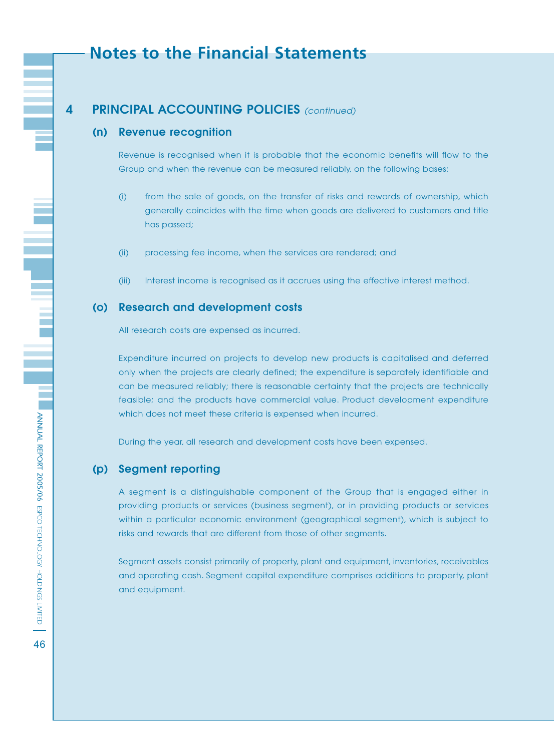### **4 PRINCIPAL ACCOUNTING POLICIES** *(continued)*

#### **(n) Revenue recognition**

*Revenue is recognised when it is probable that the economic benefits will flow to the Group and when the revenue can be measured reliably, on the following bases:*

- *(i) from the sale of goods, on the transfer of risks and rewards of ownership, which generally coincides with the time when goods are delivered to customers and title has passed;*
- *(ii) processing fee income, when the services are rendered; and*
- *(iii) Interest income is recognised as it accrues using the effective interest method.*

### **(o) Research and development costs**

*All research costs are expensed as incurred.*

*Expenditure incurred on projects to develop new products is capitalised and deferred only when the projects are clearly defined; the expenditure is separately identifiable and can be measured reliably; there is reasonable certainty that the projects are technically feasible; and the products have commercial value. Product development expenditure which does not meet these criteria is expensed when incurred.*

*During the year, all research and development costs have been expensed.*

### **(p) Segment reporting**

*A segment is a distinguishable component of the Group that is engaged either in providing products or services (business segment), or in providing products or services within a particular economic environment (geographical segment), which is subject to risks and rewards that are different from those of other segments.*

*Segment assets consist primarily of property, plant and equipment, inventories, receivables and operating cash. Segment capital expenditure comprises additions to property, plant and equipment.*

i<br>I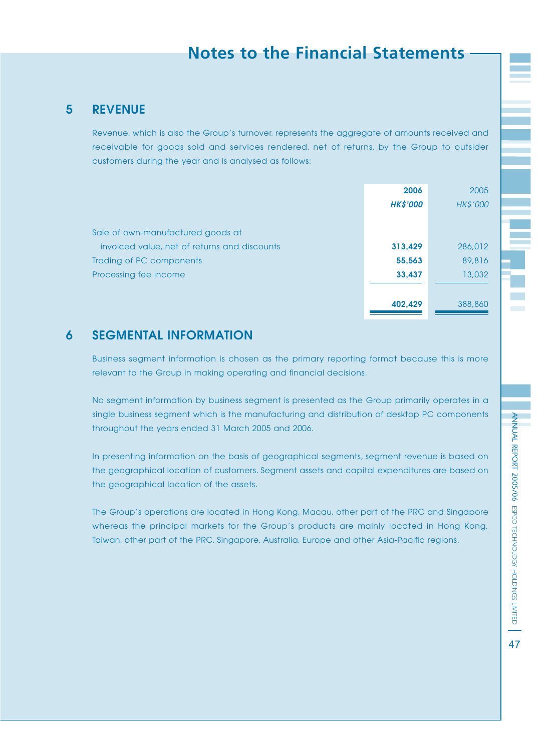### **5 REVENUE**

*Revenue, which is also the Group's turnover, represents the aggregate of amounts received and receivable for goods sold and services rendered, net of returns, by the Group to outsider customers during the year and is analysed as follows:*

|                                              | 2006            | 2005            |
|----------------------------------------------|-----------------|-----------------|
|                                              | <b>HK\$'000</b> | <b>HK\$'000</b> |
|                                              |                 |                 |
| Sale of own-manufactured goods at            |                 |                 |
| invoiced value, net of returns and discounts | 313,429         | 286,012         |
| Trading of PC components                     | 55,563          | 89,816          |
| Processing fee income                        | 33,437          | 13,032          |
|                                              |                 |                 |
|                                              | 402,429         | 388,860         |

## **6 SEGMENTAL INFORMATION**

*Business segment information is chosen as the primary reporting format because this is more relevant to the Group in making operating and financial decisions.*

*No segment information by business segment is presented as the Group primarily operates in a single business segment which is the manufacturing and distribution of desktop PC components throughout the years ended 31 March 2005 and 2006.*

*In presenting information on the basis of geographical segments, segment revenue is based on the geographical location of customers. Segment assets and capital expenditures are based on the geographical location of the assets.*

*The Group's operations are located in Hong Kong, Macau, other part of the PRC and Singapore whereas the principal markets for the Group's products are mainly located in Hong Kong, Taiwan, other part of the PRC, Singapore, Australia, Europe and other Asia-Pacific regions.*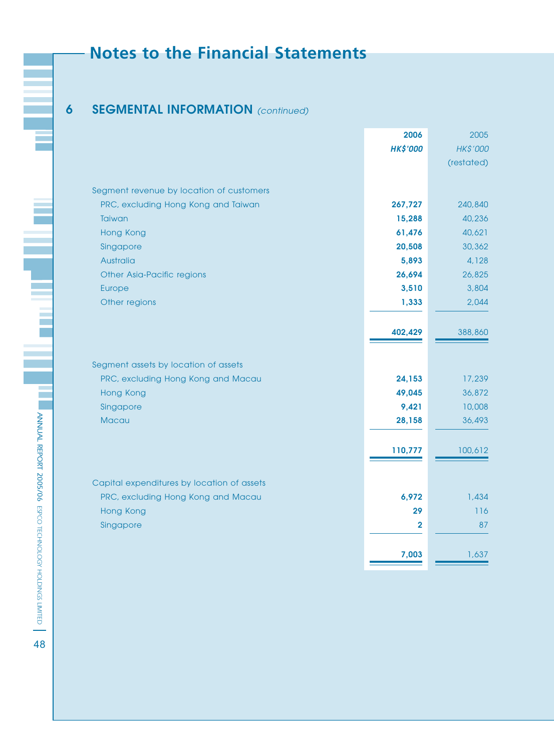

## **6 SEGMENTAL INFORMATION** *(continued)*

|                                            | 2006                    | 2005            |
|--------------------------------------------|-------------------------|-----------------|
|                                            | <b>HK\$'000</b>         | <b>HK\$'000</b> |
|                                            |                         | (restated)      |
|                                            |                         |                 |
| Segment revenue by location of customers   |                         |                 |
| PRC, excluding Hong Kong and Taiwan        | 267,727                 | 240,840         |
| Taiwan                                     | 15,288                  | 40,236          |
| <b>Hong Kong</b>                           | 61,476                  | 40,621          |
| Singapore                                  | 20,508                  | 30,362          |
| Australia                                  | 5,893                   | 4,128           |
| Other Asia-Pacific regions                 | 26,694                  | 26,825          |
| Europe                                     | 3,510                   | 3,804           |
| Other regions                              | 1,333                   | 2,044           |
|                                            |                         |                 |
|                                            | 402,429                 | 388,860         |
|                                            |                         |                 |
| Segment assets by location of assets       |                         |                 |
| PRC, excluding Hong Kong and Macau         | 24,153                  | 17,239          |
| <b>Hong Kong</b>                           | 49,045                  | 36,872          |
| Singapore                                  | 9,421                   | 10,008          |
| Macau                                      | 28,158                  | 36,493          |
|                                            |                         |                 |
|                                            | 110,777                 | 100,612         |
|                                            |                         |                 |
|                                            |                         |                 |
| Capital expenditures by location of assets |                         |                 |
| PRC, excluding Hong Kong and Macau         | 6,972                   | 1,434           |
| Hong Kong                                  | 29                      | 116             |
| Singapore                                  | $\overline{\mathbf{2}}$ | 87              |
|                                            |                         |                 |
|                                            | 7,003                   | 1,637           |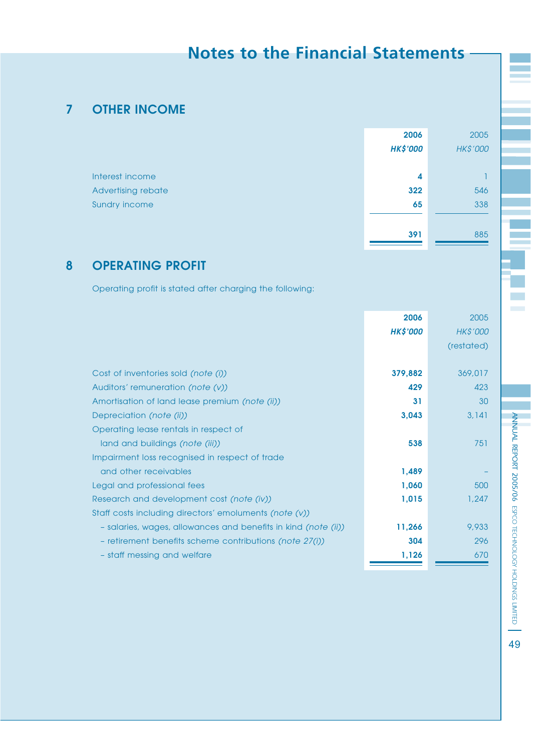## **7 OTHER INCOME**

|                      | 2006            | 2005            |
|----------------------|-----------------|-----------------|
|                      | <b>HK\$'000</b> | <b>HK\$'000</b> |
|                      |                 |                 |
| Interest income      | 4               |                 |
| Advertising rebate   | 322             | 546             |
| <b>Sundry income</b> | 65              | 338             |
|                      |                 |                 |
|                      | 391             | 885             |

## **8 OPERATING PROFIT**

*Operating profit is stated after charging the following:*

|                                                                | 2006            | 2005            |
|----------------------------------------------------------------|-----------------|-----------------|
|                                                                | <b>HK\$'000</b> | <b>HK\$'000</b> |
|                                                                |                 | (restated)      |
|                                                                |                 |                 |
| Cost of inventories sold (note (i))                            | 379,882         | 369,017         |
| Auditors' remuneration (note (v))                              | 429             | 423             |
| Amortisation of land lease premium (note (ii))                 | 31              | 30              |
| Depreciation (note (ii))                                       | 3,043           | 3,141           |
| Operating lease rentals in respect of                          |                 |                 |
| land and buildings (note (iii))                                | 538             | 751             |
| Impairment loss recognised in respect of trade                 |                 |                 |
| and other receivables                                          | 1,489           |                 |
| Legal and professional fees                                    | 1,060           | 500             |
| Research and development cost (note (iv))                      | 1,015           | 1,247           |
| Staff costs including directors' emoluments (note (v))         |                 |                 |
| - salaries, wages, allowances and benefits in kind (note (ii)) | 11,266          | 9,933           |
| - retirement benefits scheme contributions (note 27(i))        | 304             | 296             |
| - staff messing and welfare                                    | 1,126           | 670             |

**ANNUAL REPORT 2005/06 ESPCO TECHNOLOGY HOLDINGS LIMITED** ANNUAL REPORT 2005/06 ESPCO TECHNOLOGY HOLDINGS LIMITED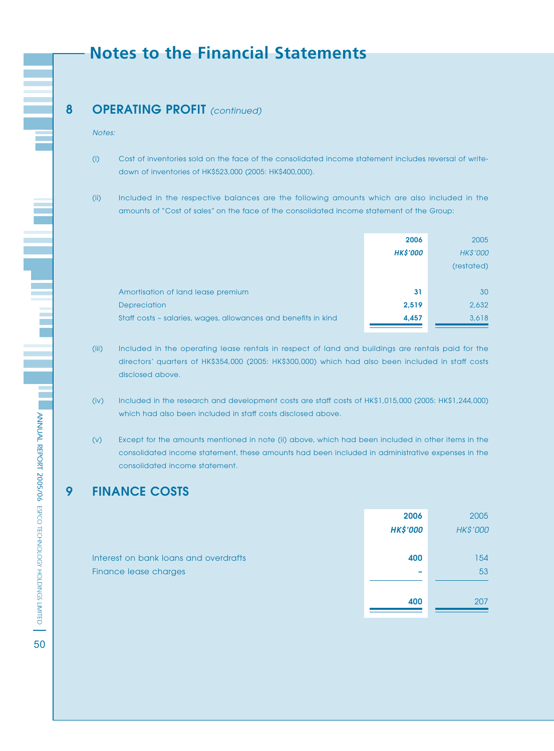### **8 OPERATING PROFIT** *(continued)*

*Notes:*

Ē

**Contract Contract** 

- *(i) Cost of inventories sold on the face of the consolidated income statement includes reversal of writedown of inventories of HK\$523,000 (2005: HK\$400,000).*
- *(ii) Included in the respective balances are the following amounts which are also included in the amounts of "Cost of sales" on the face of the consolidated income statement of the Group:*

|                                                                | 2006            | 2005            |
|----------------------------------------------------------------|-----------------|-----------------|
|                                                                | <b>HK\$'000</b> | <b>HK\$'000</b> |
|                                                                |                 | (restated)      |
|                                                                |                 |                 |
| Amortisation of land lease premium                             | 31              | 30              |
| Depreciation                                                   | 2,519           | 2,632           |
| Staff costs - salaries, wages, allowances and benefits in kind | 4,457           | 3,618           |

- *(iii) Included in the operating lease rentals in respect of land and buildings are rentals paid for the directors' quarters of HK\$354,000 (2005: HK\$300,000) which had also been included in staff costs disclosed above.*
- *(iv) Included in the research and development costs are staff costs of HK\$1,015,000 (2005: HK\$1,244,000) which had also been included in staff costs disclosed above.*
- *(v) Except for the amounts mentioned in note (ii) above, which had been included in other items in the consolidated income statement, these amounts had been included in administrative expenses in the consolidated income statement.*

## **9 FINANCE COSTS**

|                                       | 2006            | 2005            |
|---------------------------------------|-----------------|-----------------|
|                                       | <b>HK\$'000</b> | <b>HK\$'000</b> |
|                                       |                 |                 |
| Interest on bank loans and overdrafts | 400             | 154             |
| Finance lease charges                 | -               | 53              |
|                                       |                 |                 |
|                                       | 400             | 207             |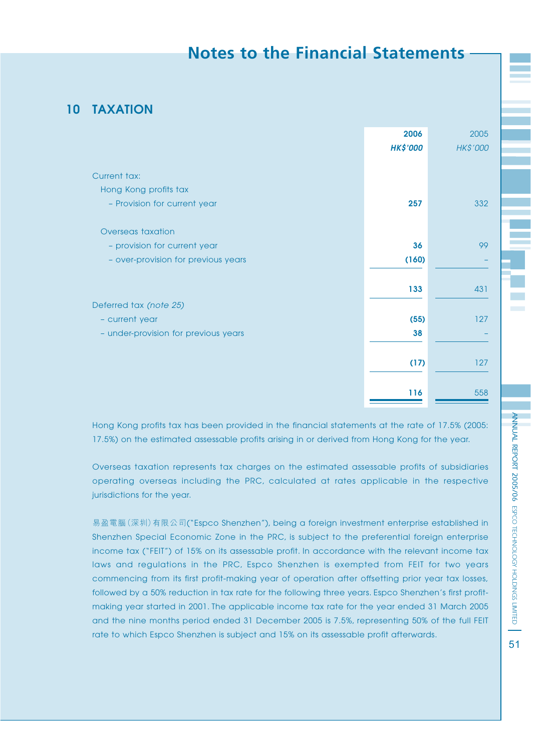### **10 TAXATION**

|                                      | 2006            | 2005     |
|--------------------------------------|-----------------|----------|
|                                      | <b>HK\$'000</b> | HK\$'000 |
|                                      |                 |          |
| <b>Current tax:</b>                  |                 |          |
| Hong Kong profits tax                |                 |          |
| - Provision for current year         | 257             | 332      |
|                                      |                 |          |
| Overseas taxation                    |                 |          |
| - provision for current year         | 36              | 99       |
| - over-provision for previous years  | (160)           |          |
|                                      |                 |          |
|                                      | 133             | 431      |
| Deferred tax (note 25)               |                 |          |
| - current year                       | (55)            | 127      |
| - under-provision for previous years | 38              |          |
|                                      |                 |          |
|                                      | (17)            | 127      |
|                                      |                 |          |
|                                      | 116             | 558      |
|                                      |                 |          |

*Hong Kong profits tax has been provided in the financial statements at the rate of 17.5% (2005: 17.5%) on the estimated assessable profits arising in or derived from Hong Kong for the year.*

*Overseas taxation represents tax charges on the estimated assessable profits of subsidiaries operating overseas including the PRC, calculated at rates applicable in the respective jurisdictions for the year.*

易盈電腦(深圳)有限公司*("Espco Shenzhen"), being a foreign investment enterprise established in Shenzhen Special Economic Zone in the PRC, is subject to the preferential foreign enterprise income tax ("FEIT") of 15% on its assessable profit. In accordance with the relevant income tax laws and regulations in the PRC, Espco Shenzhen is exempted from FEIT for two years commencing from its first profit-making year of operation after offsetting prior year tax losses, followed by a 50% reduction in tax rate for the following three years. Espco Shenzhen's first profitmaking year started in 2001. The applicable income tax rate for the year ended 31 March 2005 and the nine months period ended 31 December 2005 is 7.5%, representing 50% of the full FEIT rate to which Espco Shenzhen is subject and 15% on its assessable profit afterwards.*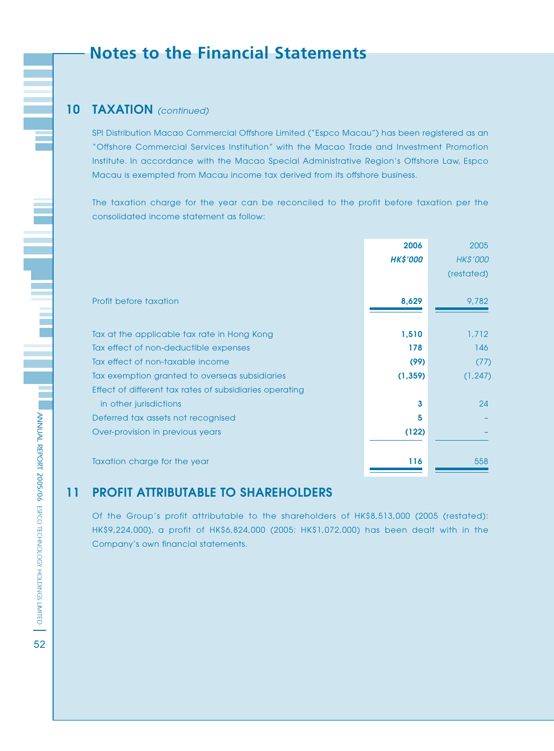### **10 TAXATION** *(continued)*

*SPI Distribution Macao Commercial Offshore Limited ("Espco Macau") has been registered as an "Offshore Commercial Services Institution" with the Macao Trade and Investment Promotion Institute. In accordance with the Macao Special Administrative Region's Offshore Law, Espco Macau is exempted from Macau income tax derived from its offshore business.*

*The taxation charge for the year can be reconciled to the profit before taxation per the consolidated income statement as follow:*

|                                                         | 2006            | 2005            |
|---------------------------------------------------------|-----------------|-----------------|
|                                                         | <b>HK\$'000</b> | <b>HK\$'000</b> |
|                                                         |                 | (restated)      |
| Profit before taxation                                  | 8,629           | 9,782           |
| Tax at the applicable tax rate in Hong Kong             | 1,510           | 1,712           |
| Tax effect of non-deductible expenses                   | 178             | 146             |
| Tax effect of non-taxable income                        | (99)            | (77)            |
| Tax exemption granted to overseas subsidiaries          | (1, 359)        | (1, 247)        |
| Effect of different tax rates of subsidiaries operating |                 |                 |
| in other jurisdictions                                  | 3               | 24              |
| Deferred tax assets not recognised                      | 5               |                 |
| Over-provision in previous years                        | (122)           |                 |
|                                                         |                 |                 |
| Taxation charge for the year                            | 116             | 558             |
|                                                         |                 |                 |

### **11 PROFIT ATTRIBUTABLE TO SHAREHOLDERS**

*Of the Group's profit attributable to the shareholders of HK\$8,513,000 (2005 (restated): HK\$9,224,000), a profit of HK\$6,824,000 (2005: HK\$1,072,000) has been dealt with in the Company's own financial statements.*

Ē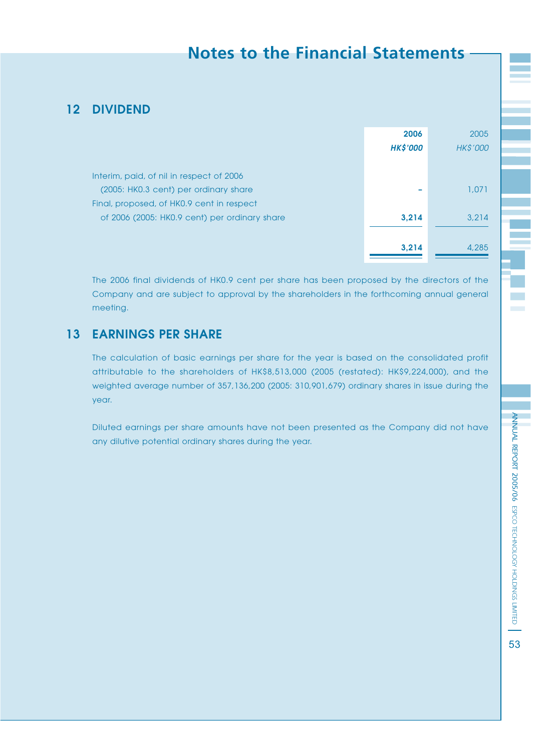## **12 DIVIDEND**

|                                               | 2006            | 2005           |
|-----------------------------------------------|-----------------|----------------|
|                                               | <b>HK\$'000</b> | <b>HKS'000</b> |
|                                               |                 |                |
| Interim, paid, of nil in respect of 2006      |                 |                |
| (2005: HK0.3 cent) per ordinary share         |                 | 1,071          |
| Final, proposed, of HK0.9 cent in respect     |                 |                |
| of 2006 (2005: HK0.9 cent) per ordinary share | 3,214           | 3.214          |
|                                               |                 |                |
|                                               | 3,214           | 4.285          |

*The 2006 final dividends of HK0.9 cent per share has been proposed by the directors of the Company and are subject to approval by the shareholders in the forthcoming annual general meeting.*

## **13 EARNINGS PER SHARE**

*The calculation of basic earnings per share for the year is based on the consolidated profit attributable to the shareholders of HK\$8,513,000 (2005 (restated): HK\$9,224,000), and the weighted average number of 357,136,200 (2005: 310,901,679) ordinary shares in issue during the year.*

*Diluted earnings per share amounts have not been presented as the Company did not have any dilutive potential ordinary shares during the year.*

 $\mathcal{O}(\mathbb{R}^d)$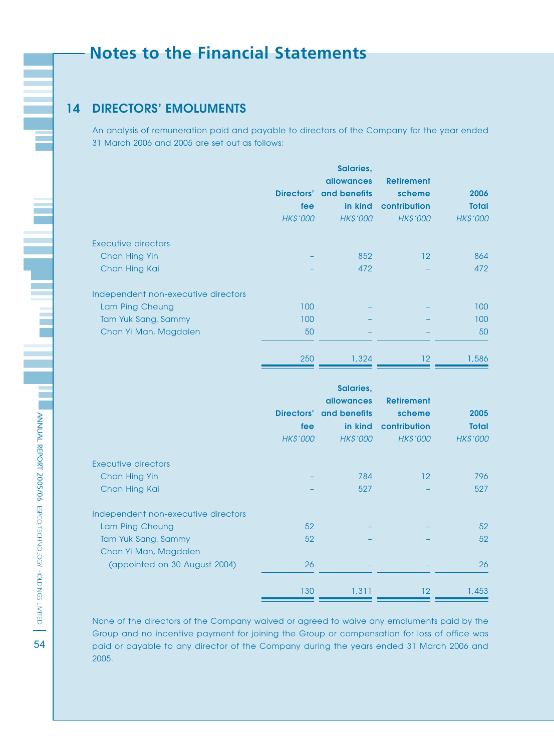## **14 DIRECTORS' EMOLUMENTS**

*An analysis of remuneration paid and payable to directors of the Company for the year ended 31 March 2006 and 2005 are set out as follows:*

|                                     |            | Salaries,         |                   |                 |
|-------------------------------------|------------|-------------------|-------------------|-----------------|
|                                     |            | <b>allowances</b> | <b>Retirement</b> |                 |
|                                     | Directors' | and benefits      | scheme            | 2006            |
|                                     | fee        | in kind           | contribution      | <b>Total</b>    |
|                                     | HK\$'000   | <b>HK\$'000</b>   | <b>HK\$'000</b>   | <b>HK\$'000</b> |
| Executive directors                 |            |                   |                   |                 |
| Chan Hing Yin                       |            | 852               | 12 <sup>2</sup>   | 864             |
| Chan Hing Kai                       |            | 472               |                   | 472             |
| Independent non-executive directors |            |                   |                   |                 |
| Lam Ping Cheung                     | 100        |                   |                   | 100             |
| Tam Yuk Sang, Sammy                 | 100        |                   |                   | 100             |
| Chan Yi Man, Magdalen               | 50         |                   |                   | 50              |
|                                     | 250        | 1,324             | 12                | 1,586           |

|                                     | Directors'<br>fee<br><b>HK\$'000</b> | Salaries,<br><b>allowances</b><br>and benefits<br>in kind<br><b>HK\$'000</b> | <b>Retirement</b><br>scheme<br>contribution<br><b>HK\$'000</b> | 2005<br><b>Total</b><br><b>HK\$'000</b> |
|-------------------------------------|--------------------------------------|------------------------------------------------------------------------------|----------------------------------------------------------------|-----------------------------------------|
| Executive directors                 |                                      |                                                                              |                                                                |                                         |
| Chan Hing Yin                       |                                      | 784                                                                          | $12 \overline{ }$                                              | 796                                     |
| Chan Hing Kai                       |                                      | 527                                                                          |                                                                | 527                                     |
| Independent non-executive directors |                                      |                                                                              |                                                                |                                         |
| Lam Ping Cheung                     | 52                                   |                                                                              |                                                                | 52                                      |
| Tam Yuk Sang, Sammy                 | 52                                   |                                                                              |                                                                | 52                                      |
| Chan Yi Man, Magdalen               |                                      |                                                                              |                                                                |                                         |
| (appointed on 30 August 2004)       | 26                                   |                                                                              |                                                                | 26                                      |
|                                     | 130                                  | 1,311                                                                        | 12                                                             | 1,453                                   |

*None of the directors of the Company waived or agreed to waive any emoluments paid by the Group and no incentive payment for joining the Group or compensation for loss of office was paid or payable to any director of the Company during the years ended 31 March 2006 and 2005.*

È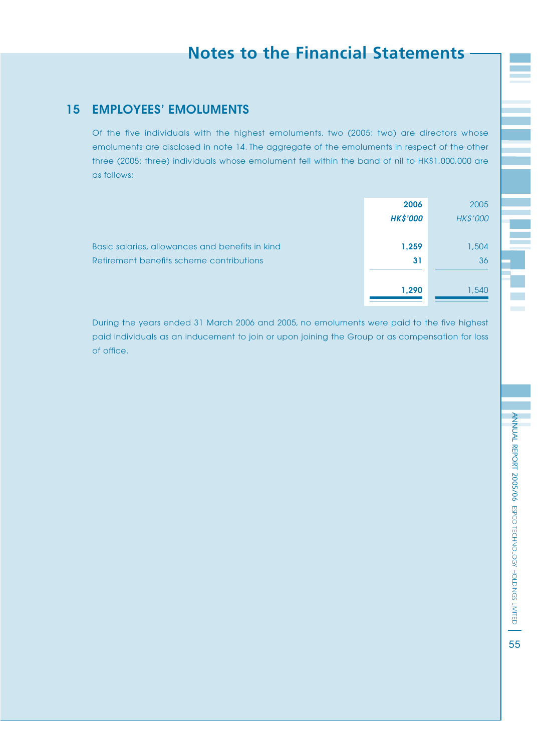## **15 EMPLOYEES' EMOLUMENTS**

*Of the five individuals with the highest emoluments, two (2005: two) are directors whose emoluments are disclosed in note 14. The aggregate of the emoluments in respect of the other three (2005: three) individuals whose emolument fell within the band of nil to HK\$1,000,000 are as follows:*

|                                                 | 2006            | 2005            |
|-------------------------------------------------|-----------------|-----------------|
|                                                 | <b>HK\$'000</b> | <b>HK\$'000</b> |
|                                                 |                 |                 |
| Basic salaries, allowances and benefits in kind | 1,259           | 1,504           |
| Retirement benefits scheme contributions        | 31              | 36              |
|                                                 |                 |                 |
|                                                 | 1,290           | 1,540           |

*During the years ended 31 March 2006 and 2005, no emoluments were paid to the five highest paid individuals as an inducement to join or upon joining the Group or as compensation for loss of office.*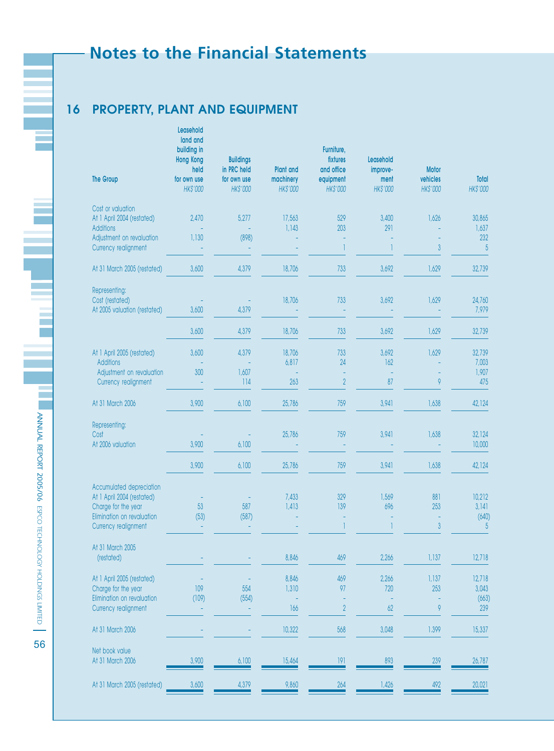## **16 PROPERTY, PLANT AND EQUIPMENT**

| <b>The Group</b>                                   | reasenoia<br>land and<br>building in<br><b>Hong Kong</b><br>held<br>for own use<br>HK\$'000 | <b>Buildings</b><br>in PRC held<br>for own use<br>HK\$'000 | <b>Plant and</b><br>machinery<br>HK\$'000 | Furniture,<br>fixtures<br>and office<br>equipment<br>HK\$'000 | Leasehold<br>improve-<br>ment<br>HK\$'000 | Motor<br>vehicles<br>HK\$'000 | Total<br>HK\$'000 |
|----------------------------------------------------|---------------------------------------------------------------------------------------------|------------------------------------------------------------|-------------------------------------------|---------------------------------------------------------------|-------------------------------------------|-------------------------------|-------------------|
| Cost or valuation                                  |                                                                                             |                                                            |                                           |                                                               |                                           |                               |                   |
| At 1 April 2004 (restated)<br><b>Additions</b>     | 2,470                                                                                       | 5,277                                                      | 17,563<br>1,143                           | 529<br>203                                                    | 3,400<br>291                              | 1,626                         | 30,865<br>1,637   |
| Adjustment on revaluation                          | 1,130                                                                                       | (898)                                                      |                                           |                                                               |                                           |                               | 232               |
| Currency realignment                               |                                                                                             |                                                            |                                           |                                                               |                                           | $\mathfrak{z}$                | 5                 |
| At 31 March 2005 (restated)                        | 3,600                                                                                       | 4,379                                                      | 18,706                                    | 733                                                           | 3,692                                     | 1,629                         | 32,739            |
| Representing:                                      |                                                                                             |                                                            |                                           |                                                               |                                           |                               |                   |
| Cost (restated)                                    |                                                                                             |                                                            | 18,706                                    | 733                                                           | 3,692                                     | 1,629                         | 24,760            |
| At 2005 valuation (restated)                       | 3,600                                                                                       | 4,379                                                      |                                           |                                                               |                                           |                               | 7,979             |
|                                                    | 3,600                                                                                       | 4,379                                                      | 18,706                                    | 733                                                           | 3,692                                     | 1,629                         | 32,739            |
| At 1 April 2005 (restated)                         | 3,600                                                                                       | 4,379                                                      | 18,706                                    | 733                                                           | 3,692                                     | 1,629                         | 32,739            |
| <b>Additions</b>                                   |                                                                                             |                                                            | 6,817                                     | 24                                                            | 162                                       |                               | 7,003             |
| Adjustment on revaluation<br>Currency realignment  | 300                                                                                         | 1,607<br>114                                               | 263                                       | $\overline{2}$                                                | 87                                        | 9                             | 1,907<br>475      |
|                                                    |                                                                                             |                                                            |                                           |                                                               |                                           |                               |                   |
| At 31 March 2006                                   | 3,900                                                                                       | 6,100                                                      | 25,786                                    | 759                                                           | 3,941                                     | 1,638                         | 42,124            |
| Representing:                                      |                                                                                             |                                                            |                                           |                                                               |                                           |                               |                   |
| Cost<br>At 2006 valuation                          | 3,900                                                                                       | 6,100                                                      | 25,786                                    | 759                                                           | 3,941                                     | 1,638                         | 32,124<br>10,000  |
|                                                    |                                                                                             |                                                            |                                           |                                                               |                                           |                               |                   |
|                                                    | 3,900                                                                                       | 6,100                                                      | 25,786                                    | 759                                                           | 3,941                                     | 1,638                         | 42,124            |
| Accumulated depreciation                           |                                                                                             |                                                            |                                           |                                                               |                                           |                               |                   |
| At 1 April 2004 (restated)                         |                                                                                             |                                                            | 7,433                                     | 329                                                           | 1,569                                     | 881                           | 10,212            |
| Charge for the year<br>Elimination on revaluation  | 53<br>(53)                                                                                  | 587<br>(587)                                               | 1,413                                     | 139                                                           | 696                                       | 253                           | 3,141<br>(640)    |
| Currency realignment                               |                                                                                             |                                                            |                                           |                                                               |                                           | $\sqrt{3}$                    | $5\overline{)}$   |
| At 31 March 2005                                   |                                                                                             |                                                            |                                           |                                                               |                                           |                               |                   |
| (restated)                                         |                                                                                             |                                                            | 8,846                                     | 469                                                           | 2,266                                     | 1,137                         | 12,718            |
| At 1 April 2005 (restated)                         |                                                                                             |                                                            | 8,846                                     | 469                                                           | 2,266                                     | 1,137                         | 12,718            |
| Charge for the year                                | 109                                                                                         | 554                                                        | 1,310                                     | 97                                                            | 720                                       | 253                           | 3,043             |
| Elimination on revaluation<br>Currency realignment | (109)                                                                                       | (554)                                                      | 166                                       | $\overline{2}$                                                | 62                                        | 9                             | (663)<br>239      |
|                                                    |                                                                                             |                                                            |                                           |                                                               |                                           |                               |                   |
| At 31 March 2006                                   |                                                                                             |                                                            | 10,322                                    | 568                                                           | 3,048                                     | 1.399                         | 15,337            |
| Net book value                                     |                                                                                             |                                                            |                                           |                                                               |                                           |                               |                   |
| At 31 March 2006                                   | 3,900                                                                                       | 6,100                                                      | 15,464                                    | 9                                                             | 893                                       | 239                           | 26,787            |
| At 31 March 2005 (restated)                        | 3,600                                                                                       | 4,379                                                      | 9,860                                     | 264                                                           | 1,426                                     | 492                           | 20,021            |

÷

F

j

**Contract**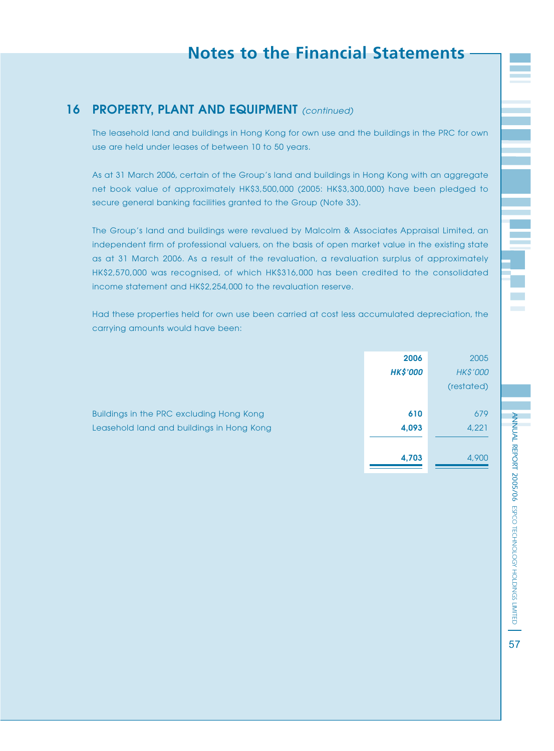### **16 PROPERTY, PLANT AND EQUIPMENT** *(continued)*

*The leasehold land and buildings in Hong Kong for own use and the buildings in the PRC for own use are held under leases of between 10 to 50 years.*

*As at 31 March 2006, certain of the Group's land and buildings in Hong Kong with an aggregate net book value of approximately HK\$3,500,000 (2005: HK\$3,300,000) have been pledged to secure general banking facilities granted to the Group (Note 33).*

*The Group's land and buildings were revalued by Malcolm & Associates Appraisal Limited, an independent firm of professional valuers, on the basis of open market value in the existing state as at 31 March 2006. As a result of the revaluation, a revaluation surplus of approximately HK\$2,570,000 was recognised, of which HK\$316,000 has been credited to the consolidated income statement and HK\$2,254,000 to the revaluation reserve.*

*Had these properties held for own use been carried at cost less accumulated depreciation, the carrying amounts would have been:*

|                                           | 2006            | 2005            |
|-------------------------------------------|-----------------|-----------------|
|                                           | <b>HK\$'000</b> | <b>HK\$'000</b> |
|                                           |                 | (restated)      |
|                                           |                 |                 |
| Buildings in the PRC excluding Hong Kong  | 610             | 679             |
| Leasehold land and buildings in Hong Kong | 4,093           | 4,221           |
|                                           |                 |                 |
|                                           | 4,703           | 4,900           |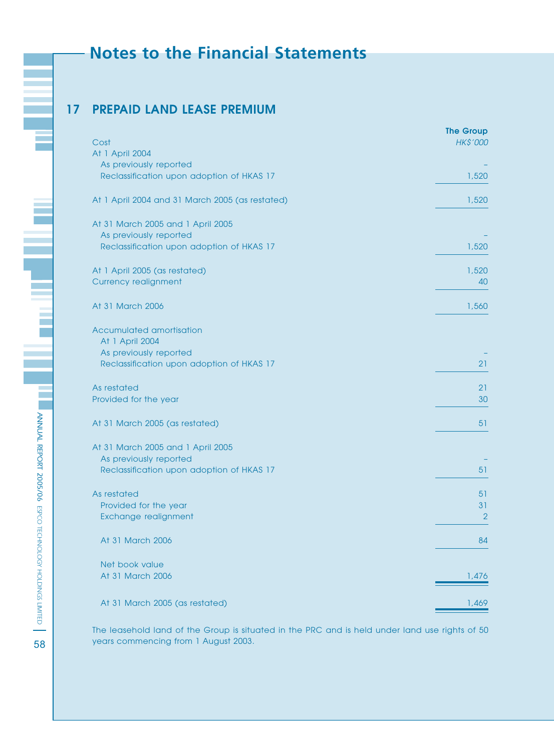## **17 PREPAID LAND LEASE PREMIUM**

| Cost                                                                | <b>The Group</b><br><b>HK\$'000</b> |
|---------------------------------------------------------------------|-------------------------------------|
| At 1 April 2004                                                     |                                     |
| As previously reported                                              |                                     |
| Reclassification upon adoption of HKAS 17                           | 1,520                               |
| At 1 April 2004 and 31 March 2005 (as restated)                     | 1,520                               |
| At 31 March 2005 and 1 April 2005<br>As previously reported         |                                     |
| Reclassification upon adoption of HKAS 17                           | 1,520                               |
| At 1 April 2005 (as restated)                                       | 1,520                               |
| <b>Currency realignment</b>                                         | 40                                  |
| At 31 March 2006                                                    | 1,560                               |
| <b>Accumulated amortisation</b>                                     |                                     |
| At 1 April 2004                                                     |                                     |
| As previously reported<br>Reclassification upon adoption of HKAS 17 | 21                                  |
| As restated                                                         | 21                                  |
| Provided for the year                                               | 30                                  |
| At 31 March 2005 (as restated)                                      | 51                                  |
| At 31 March 2005 and 1 April 2005<br>As previously reported         |                                     |
| Reclassification upon adoption of HKAS 17                           | 51                                  |
| As restated                                                         | 51                                  |
| Provided for the year                                               | 31                                  |
| Exchange realignment                                                | $\overline{2}$                      |
| At 31 March 2006                                                    | 84                                  |
| Net book value                                                      |                                     |
| At 31 March 2006                                                    | 1,476                               |
| At 31 March 2005 (as restated)                                      | 1,469                               |

*The leasehold land of the Group is situated in the PRC and is held under land use rights of 50 years commencing from 1 August 2003.*

Ē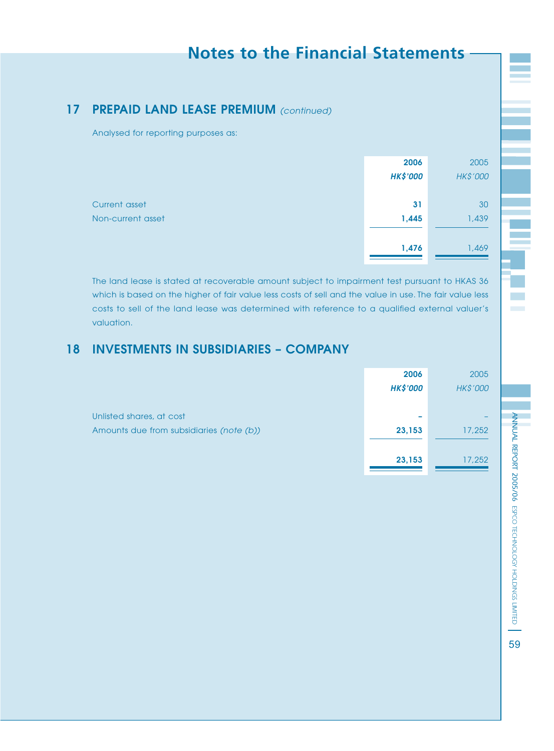## **17 PREPAID LAND LEASE PREMIUM** *(continued)*

*Analysed for reporting purposes as:*

|                                    | 2006<br><b>HK\$'000</b> | 2005<br>HK\$'000 |
|------------------------------------|-------------------------|------------------|
| Current asset<br>Non-current asset | 31<br>1,445             | 30<br>1,439      |
|                                    | 1,476                   | 1,469            |

*The land lease is stated at recoverable amount subject to impairment test pursuant to HKAS 36 which is based on the higher of fair value less costs of sell and the value in use. The fair value less costs to sell of the land lease was determined with reference to a qualified external valuer's valuation.*

## **18 INVESTMENTS IN SUBSIDIARIES – COMPANY**

|                                          | 2006            | 2005            |
|------------------------------------------|-----------------|-----------------|
|                                          | <b>HK\$'000</b> | <b>HK\$'000</b> |
|                                          |                 |                 |
| Unlisted shares, at cost                 | ۰               |                 |
| Amounts due from subsidiaries (note (b)) | 23,153          | 17,252          |
|                                          |                 |                 |
|                                          | 23,153          | 17,252          |

**College**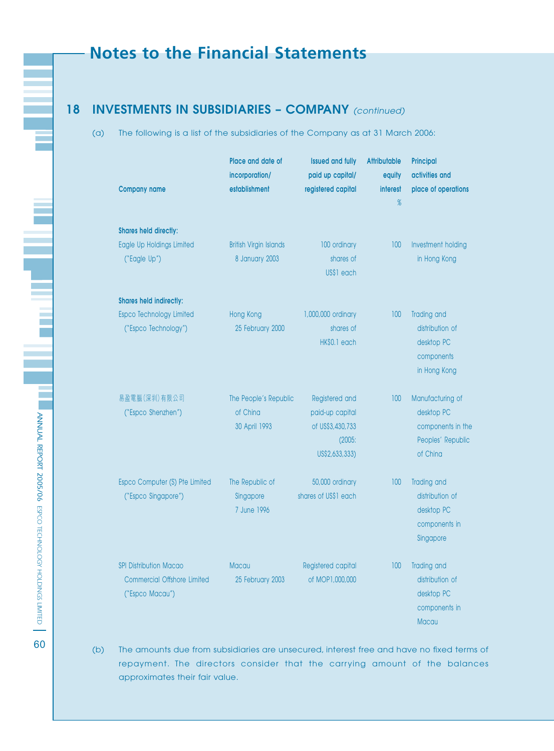## **18 INVESTMENTS IN SUBSIDIARIES – COMPANY** *(continued)*

*(a) The following is a list of the subsidiaries of the Company as at 31 March 2006:*

| <b>Company name</b>                                                                       | Place and date of<br>incorporation/<br>establishment | <b>Issued and fully</b><br>paid up capital/<br>registered capital                        | <b>Attributable</b><br>equity<br><b>interest</b><br>% | Principal<br>activities and<br>place of operations                                   |
|-------------------------------------------------------------------------------------------|------------------------------------------------------|------------------------------------------------------------------------------------------|-------------------------------------------------------|--------------------------------------------------------------------------------------|
| <b>Shares held directly:</b><br>Eagle Up Holdings Limited<br>("Eagle Up")                 | <b>British Virgin Islands</b><br>8 January 2003      | 100 ordinary<br>shares of<br>US\$1 each                                                  | 100                                                   | Investment holding<br>in Hong Kong                                                   |
| <b>Shares held indirectly:</b><br><b>Espco Technology Limited</b><br>("Espco Technology") | Hong Kong<br>25 February 2000                        | 1,000,000 ordinary<br>shares of<br>HK\$0.1 each                                          | 100                                                   | Trading and<br>distribution of<br>desktop PC<br>components<br>in Hong Kong           |
| 易盈電腦(深圳)有限公司<br>("Espco Shenzhen")                                                        | The People's Republic<br>of China<br>30 April 1993   | <b>Registered and</b><br>paid-up capital<br>of US\$3,430,733<br>(2005)<br>US\$2,633,333) | 100                                                   | Manufacturing of<br>desktop PC<br>components in the<br>Peoples' Republic<br>of China |
| Espco Computer (S) Pte Limited<br>("Espco Singapore")                                     | The Republic of<br>Singapore<br>7 June 1996          | 50,000 ordinary<br>shares of US\$1 each                                                  | 100                                                   | Trading and<br>distribution of<br>desktop PC<br>components in<br>Singapore           |
| <b>SPI Distribution Macao</b><br><b>Commercial Offshore Limited</b><br>("Espco Macau")    | <b>Macau</b><br>25 February 2003                     | <b>Registered capital</b><br>of MOP1,000,000                                             | 100                                                   | Trading and<br>distribution of<br>desktop PC<br>components in<br>Macau               |

*(b) The amounts due from subsidiaries are unsecured, interest free and have no fixed terms of repayment. The directors consider that the carrying amount of the balances approximates their fair value.*

Ē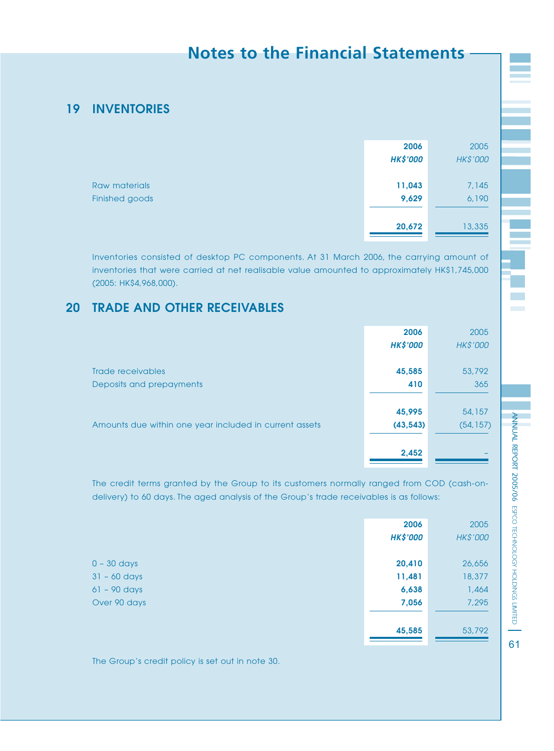## **19 INVENTORIES**

|                      | 2006            | 2005     |
|----------------------|-----------------|----------|
|                      | <b>HK\$'000</b> | HK\$'000 |
|                      |                 |          |
| <b>Raw materials</b> | 11,043          | 7,145    |
| Finished goods       | 9,629           | 6,190    |
|                      |                 |          |
|                      | 20,672          | 13,335   |
|                      |                 |          |

*Inventories consisted of desktop PC components. At 31 March 2006, the carrying amount of inventories that were carried at net realisable value amounted to approximately HK\$1,745,000 (2005: HK\$4,968,000).*

## **20 TRADE AND OTHER RECEIVABLES**

| <b>HK\$'000</b>                                                     | <b>HK\$'000</b> |
|---------------------------------------------------------------------|-----------------|
| 45,585<br>Trade receivables                                         | 53,792          |
| 410<br>Deposits and prepayments                                     | 365             |
|                                                                     |                 |
| 45,995                                                              | 54,157          |
| Amounts due within one year included in current assets<br>(43, 543) | (54, 157)       |
|                                                                     |                 |
| 2,452                                                               |                 |

*The credit terms granted by the Group to its customers normally ranged from COD (cash-ondelivery) to 60 days. The aged analysis of the Group's trade receivables is as follows:*

|                | 2006            | 2005            |
|----------------|-----------------|-----------------|
|                | <b>HK\$'000</b> | <b>HK\$'000</b> |
|                |                 |                 |
| $0 - 30$ days  | 20,410          | 26,656          |
| $31 - 60$ days | 11,481          | 18,377          |
| $61 - 90$ days | 6,638           | 1,464           |
| Over 90 days   | 7,056           | 7,295           |
|                |                 |                 |
|                | 45,585          | 53,792          |
|                |                 |                 |

*The Group's credit policy is set out in note 30.*

ANNUAL REPORT 2005/06 ESPCO TECHNOLOGY HOLDINGS LIMITED 61

**ANNUAL REPORT 2005/06 ESPCO TECHNOLOGY HOLDINGS LIMITED** 

 $\mathcal{O}(\mathbb{R}^d)$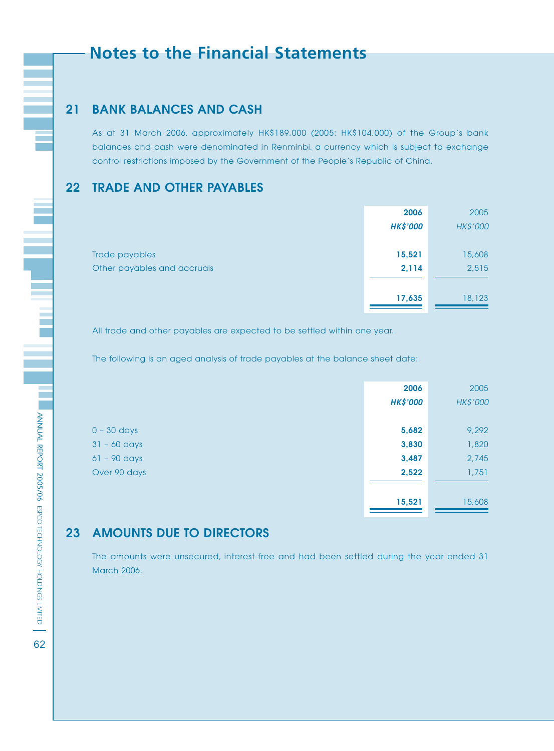## **21 BANK BALANCES AND CASH**

*As at 31 March 2006, approximately HK\$189,000 (2005: HK\$104,000) of the Group's bank balances and cash were denominated in Renminbi, a currency which is subject to exchange control restrictions imposed by the Government of the People's Republic of China.*

### **22 TRADE AND OTHER PAYABLES**

|                             | 2006            | 2005            |
|-----------------------------|-----------------|-----------------|
|                             | <b>HK\$'000</b> | <b>HK\$'000</b> |
|                             |                 |                 |
| Trade payables              | 15,521          | 15,608          |
| Other payables and accruals | 2,114           | 2,515           |
|                             |                 |                 |
|                             | 17,635          | 18,123          |
|                             |                 |                 |

*All trade and other payables are expected to be settled within one year.*

*The following is an aged analysis of trade payables at the balance sheet date:*

|                | 2006            | 2005            |
|----------------|-----------------|-----------------|
|                | <b>HK\$'000</b> | <b>HK\$'000</b> |
|                |                 |                 |
| $0 - 30$ days  | 5,682           | 9,292           |
| $31 - 60$ days | 3,830           | 1,820           |
| $61 - 90$ days | 3,487           | 2,745           |
| Over 90 days   | 2,522           | 1,751           |
|                |                 |                 |
|                | 15,521          | 15,608          |

## **23 AMOUNTS DUE TO DIRECTORS**

*The amounts were unsecured, interest-free and had been settled during the year ended 31 March 2006.*

 $\frac{1}{2}$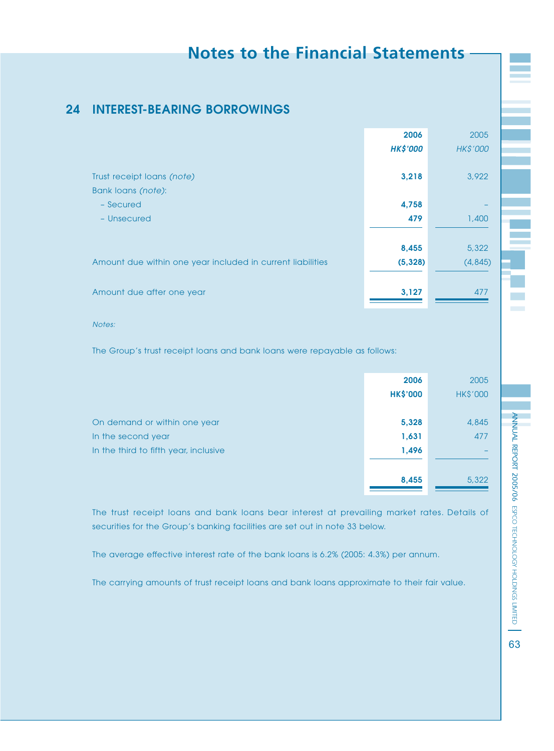## **24 INTEREST-BEARING BORROWINGS**

|                                                            | 2006            | 2005            |
|------------------------------------------------------------|-----------------|-----------------|
|                                                            | <b>HK\$'000</b> | <b>HK\$'000</b> |
|                                                            |                 |                 |
| Trust receipt loans (note)                                 | 3,218           | 3,922           |
| Bank loans (note):                                         |                 |                 |
| - Secured                                                  | 4,758           |                 |
| - Unsecured                                                | 479             | 1,400           |
|                                                            |                 |                 |
|                                                            |                 |                 |
|                                                            | 8,455           | 5,322           |
| Amount due within one year included in current liabilities | (5,328)         | (4, 845)        |
|                                                            |                 |                 |
| Amount due after one year                                  | 3,127           | 477             |
|                                                            |                 |                 |

#### *Notes:*

*The Group's trust receipt loans and bank loans were repayable as follows:*

|                                       | 2006            | 2005            |
|---------------------------------------|-----------------|-----------------|
|                                       | <b>HK\$'000</b> | <b>HK\$'000</b> |
|                                       |                 |                 |
| On demand or within one year          | 5,328           | 4,845           |
| In the second year                    | 1,631           | 477             |
| In the third to fifth year, inclusive | 1,496           |                 |
|                                       |                 |                 |
|                                       | 8,455           | 5,322           |
|                                       |                 |                 |

*The trust receipt loans and bank loans bear interest at prevailing market rates. Details of securities for the Group's banking facilities are set out in note 33 below.*

*The average effective interest rate of the bank loans is 6.2% (2005: 4.3%) per annum.*

*The carrying amounts of trust receipt loans and bank loans approximate to their fair value.*

ANNUAL REPORT 2005/06 ESPCO TECHNOLOGY HOLDINGS LIMITED ANNUAL REPORT 2005/06 ESPCO TECHNOLOGY HOLDINGS LIMITED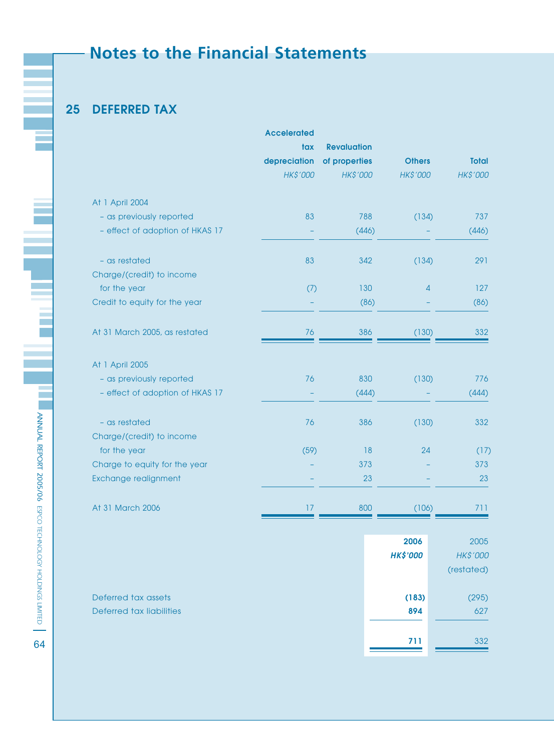## **25 DEFERRED TAX**

|                                 | <b>Accelerated</b> |                    |                |              |
|---------------------------------|--------------------|--------------------|----------------|--------------|
|                                 | tax                | <b>Revaluation</b> |                |              |
|                                 | depreciation       | of properties      | <b>Others</b>  | <b>Total</b> |
|                                 | HK\$'000           | HK\$'000           | HK\$'000       | HK\$'000     |
| At 1 April 2004                 |                    |                    |                |              |
| - as previously reported        | 83                 | 788                | (134)          | 737          |
| - effect of adoption of HKAS 17 |                    | (446)              |                | (446)        |
| - as restated                   | 83                 | 342                | (134)          | 291          |
| Charge/(credit) to income       |                    |                    |                |              |
| for the year                    | (7)                | 130                | $\overline{4}$ | 127          |
| Credit to equity for the year   |                    | (86)               |                | (86)         |
| At 31 March 2005, as restated   | 76                 | 386                | (130)          | 332          |
| At 1 April 2005                 |                    |                    |                |              |
| - as previously reported        | 76                 | 830                | (130)          | 776          |
| - effect of adoption of HKAS 17 |                    | (444)              |                | (444)        |
| - as restated                   | 76                 | 386                | (130)          | 332          |
| Charge/(credit) to income       |                    |                    |                |              |
| for the year                    | (59)               | 18                 | 24             | (17)         |
| Charge to equity for the year   |                    | 373                |                | 373          |
| Exchange realignment            |                    | 23                 |                | 23           |
| At 31 March 2006                | 17                 | 800                | (106)          | 711          |
|                                 |                    |                    |                |              |

|                          | 2006            | 2005       |
|--------------------------|-----------------|------------|
|                          | <b>HK\$'000</b> | HK\$'000   |
|                          |                 | (restated) |
|                          |                 |            |
| Deferred tax assets      | (183)           | (295)      |
| Deferred tax liabilities | 894             | 627        |
|                          |                 |            |
|                          | 711             | 332        |

F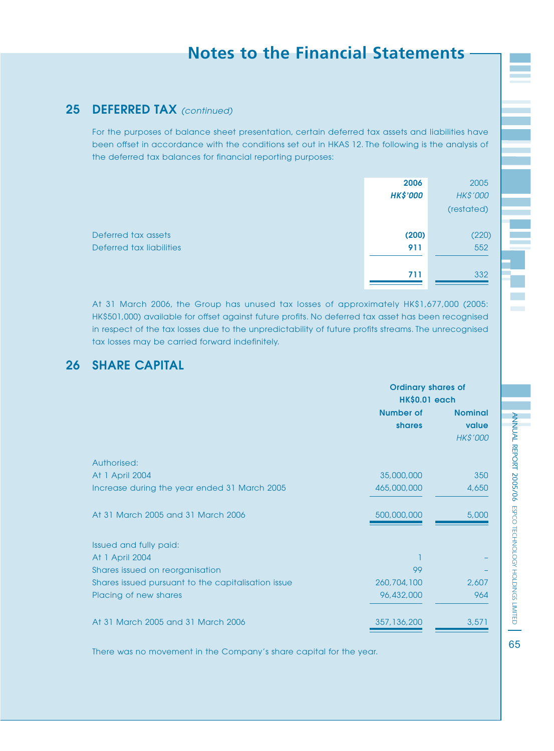## **25 DEFERRED TAX** *(continued)*

*For the purposes of balance sheet presentation, certain deferred tax assets and liabilities have been offset in accordance with the conditions set out in HKAS 12. The following is the analysis of the deferred tax balances for financial reporting purposes:*

|                                                 | 2006<br><b>HK\$'000</b> | 2005<br>HK\$'000<br>(restated) |
|-------------------------------------------------|-------------------------|--------------------------------|
| Deferred tax assets<br>Deferred tax liabilities | (200)<br>911            | (220)<br>552                   |
|                                                 | 711                     | 332                            |

*At 31 March 2006, the Group has unused tax losses of approximately HK\$1,677,000 (2005: HK\$501,000) available for offset against future profits. No deferred tax asset has been recognised in respect of the tax losses due to the unpredictability of future profits streams. The unrecognised tax losses may be carried forward indefinitely.*

## **26 SHARE CAPITAL**

|                                                    | <b>Ordinary shares of</b><br><b>HK\$0.01 each</b> |                                     |
|----------------------------------------------------|---------------------------------------------------|-------------------------------------|
|                                                    | <b>Number of</b><br><b>shares</b>                 | <b>Nominal</b><br>value<br>HK\$'000 |
| Authorised:                                        |                                                   |                                     |
| At 1 April 2004                                    | 35,000,000                                        | 350                                 |
| Increase during the year ended 31 March 2005       | 465,000,000                                       | 4,650                               |
| At 31 March 2005 and 31 March 2006                 | 500,000,000                                       | 5,000                               |
| Issued and fully paid:                             |                                                   |                                     |
| At 1 April 2004                                    |                                                   |                                     |
| Shares issued on reorganisation                    | 99                                                |                                     |
| Shares issued pursuant to the capitalisation issue | 260,704,100                                       | 2,607                               |
| Placing of new shares                              | 96,432,000                                        | 964                                 |
| At 31 March 2005 and 31 March 2006                 | 357, 136, 200                                     | 3,571                               |

*There was no movement in the Company's share capital for the year.*

and in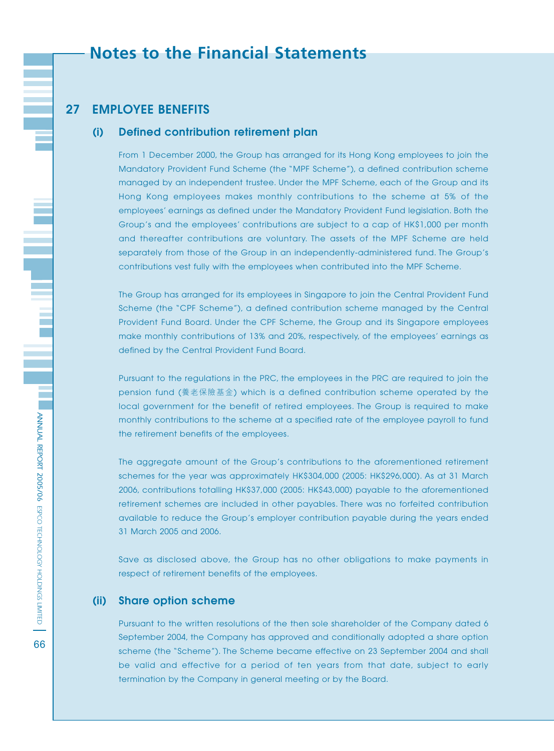### **27 EMPLOYEE BENEFITS**

### **(i) Defined contribution retirement plan**

*From 1 December 2000, the Group has arranged for its Hong Kong employees to join the Mandatory Provident Fund Scheme (the "MPF Scheme"), a defined contribution scheme managed by an independent trustee. Under the MPF Scheme, each of the Group and its Hong Kong employees makes monthly contributions to the scheme at 5% of the employees' earnings as defined under the Mandatory Provident Fund legislation. Both the Group's and the employees' contributions are subject to a cap of HK\$1,000 per month and thereafter contributions are voluntary. The assets of the MPF Scheme are held separately from those of the Group in an independently-administered fund. The Group's contributions vest fully with the employees when contributed into the MPF Scheme.*

*The Group has arranged for its employees in Singapore to join the Central Provident Fund Scheme (the "CPF Scheme"), a defined contribution scheme managed by the Central Provident Fund Board. Under the CPF Scheme, the Group and its Singapore employees make monthly contributions of 13% and 20%, respectively, of the employees' earnings as defined by the Central Provident Fund Board.*

*Pursuant to the regulations in the PRC, the employees in the PRC are required to join the pension fund (*養老保險基金*) which is a defined contribution scheme operated by the local government for the benefit of retired employees. The Group is required to make monthly contributions to the scheme at a specified rate of the employee payroll to fund the retirement benefits of the employees.*

*The aggregate amount of the Group's contributions to the aforementioned retirement schemes for the year was approximately HK\$304,000 (2005: HK\$296,000). As at 31 March 2006, contributions totalling HK\$37,000 (2005: HK\$43,000) payable to the aforementioned retirement schemes are included in other payables. There was no forfeited contribution available to reduce the Group's employer contribution payable during the years ended 31 March 2005 and 2006.*

*Save as disclosed above, the Group has no other obligations to make payments in respect of retirement benefits of the employees.*

### **(ii) Share option scheme**

*Pursuant to the written resolutions of the then sole shareholder of the Company dated 6 September 2004, the Company has approved and conditionally adopted a share option scheme (the "Scheme"). The Scheme became effective on 23 September 2004 and shall be valid and effective for a period of ten years from that date, subject to early termination by the Company in general meeting or by the Board.*

Ē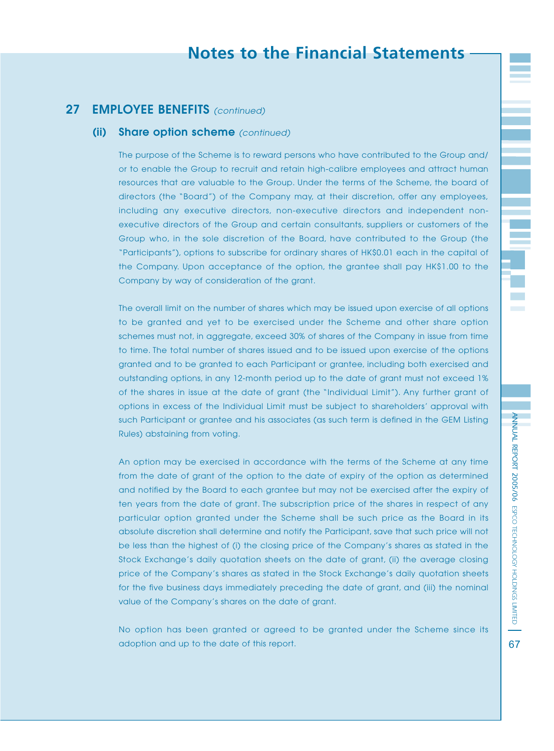### **27 EMPLOYEE BENEFITS** *(continued)*

#### **(ii) Share option scheme** *(continued)*

*The purpose of the Scheme is to reward persons who have contributed to the Group and/ or to enable the Group to recruit and retain high-calibre employees and attract human resources that are valuable to the Group. Under the terms of the Scheme, the board of directors (the "Board") of the Company may, at their discretion, offer any employees, including any executive directors, non-executive directors and independent nonexecutive directors of the Group and certain consultants, suppliers or customers of the Group who, in the sole discretion of the Board, have contributed to the Group (the "Participants"), options to subscribe for ordinary shares of HK\$0.01 each in the capital of the Company. Upon acceptance of the option, the grantee shall pay HK\$1.00 to the Company by way of consideration of the grant.*

*The overall limit on the number of shares which may be issued upon exercise of all options to be granted and yet to be exercised under the Scheme and other share option schemes must not, in aggregate, exceed 30% of shares of the Company in issue from time to time. The total number of shares issued and to be issued upon exercise of the options granted and to be granted to each Participant or grantee, including both exercised and outstanding options, in any 12-month period up to the date of grant must not exceed 1% of the shares in issue at the date of grant (the "Individual Limit"). Any further grant of options in excess of the Individual Limit must be subject to shareholders' approval with such Participant or grantee and his associates (as such term is defined in the GEM Listing Rules) abstaining from voting.*

*An option may be exercised in accordance with the terms of the Scheme at any time from the date of grant of the option to the date of expiry of the option as determined and notified by the Board to each grantee but may not be exercised after the expiry of ten years from the date of grant. The subscription price of the shares in respect of any particular option granted under the Scheme shall be such price as the Board in its absolute discretion shall determine and notify the Participant, save that such price will not* be less than the highest of (i) the closing price of the Company's shares as stated in the *Stock Exchange's daily quotation sheets on the date of grant, (ii) the average closing price of the Company's shares as stated in the Stock Exchange's daily quotation sheets for the five business days immediately preceding the date of grant, and (iii) the nominal value of the Company's shares on the date of grant.*

*No option has been granted or agreed to be granted under the Scheme since its adoption and up to the date of this report.*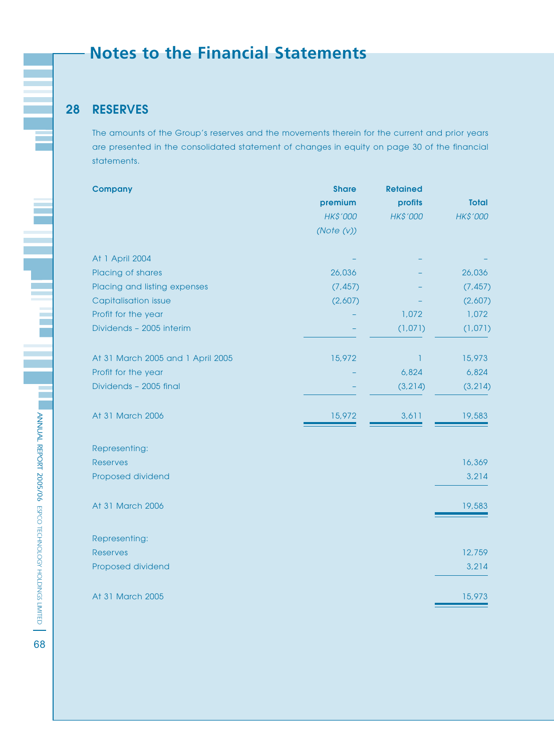### **28 RESERVES**

ī

*The amounts of the Group's reserves and the movements therein for the current and prior years are presented in the consolidated statement of changes in equity on page 30 of the financial statements.*

| <b>Company</b>                    | <b>Share</b>    | <b>Retained</b> |              |
|-----------------------------------|-----------------|-----------------|--------------|
|                                   | premium         | profits         | <b>Total</b> |
|                                   | <b>HK\$'000</b> | HK\$'000        | HK\$'000     |
|                                   | (Note (v))      |                 |              |
| At 1 April 2004                   |                 |                 |              |
| Placing of shares                 | 26,036          |                 | 26,036       |
| Placing and listing expenses      | (7, 457)        |                 | (7, 457)     |
| <b>Capitalisation issue</b>       | (2,607)         |                 | (2,607)      |
| Profit for the year               |                 | 1,072           | 1,072        |
| Dividends - 2005 interim          |                 | (1,071)         | (1,071)      |
|                                   |                 |                 |              |
| At 31 March 2005 and 1 April 2005 | 15,972          | 1               | 15,973       |
| Profit for the year               |                 | 6,824           | 6,824        |
| Dividends - 2005 final            |                 | (3, 214)        | (3,214)      |
| At 31 March 2006                  | 15,972          | 3,611           | 19,583       |
| Representing:                     |                 |                 |              |
| <b>Reserves</b>                   |                 |                 | 16,369       |
| Proposed dividend                 |                 |                 | 3,214        |
|                                   |                 |                 |              |
| At 31 March 2006                  |                 |                 | 19,583       |
|                                   |                 |                 |              |
| Representing:<br><b>Reserves</b>  |                 |                 | 12,759       |
| Proposed dividend                 |                 |                 | 3,214        |
|                                   |                 |                 |              |
| At 31 March 2005                  |                 |                 | 15,973       |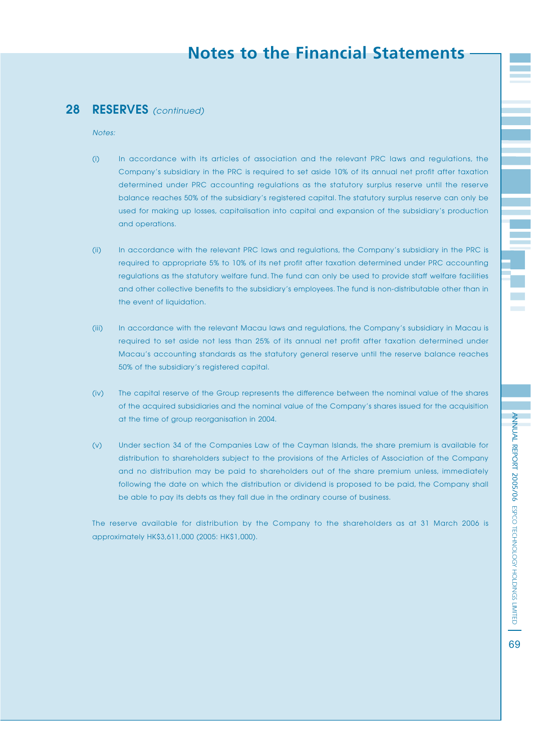### **28 RESERVES** *(continued)*

*Notes:*

- *(i) In accordance with its articles of association and the relevant PRC laws and regulations, the Company's subsidiary in the PRC is required to set aside 10% of its annual net profit after taxation determined under PRC accounting regulations as the statutory surplus reserve until the reserve balance reaches 50% of the subsidiary's registered capital. The statutory surplus reserve can only be used for making up losses, capitalisation into capital and expansion of the subsidiary's production and operations.*
- *(ii) In accordance with the relevant PRC laws and regulations, the Company's subsidiary in the PRC is required to appropriate 5% to 10% of its net profit after taxation determined under PRC accounting regulations as the statutory welfare fund. The fund can only be used to provide staff welfare facilities and other collective benefits to the subsidiary's employees. The fund is non-distributable other than in the event of liquidation.*
- *(iii) In accordance with the relevant Macau laws and regulations, the Company's subsidiary in Macau is required to set aside not less than 25% of its annual net profit after taxation determined under Macau's accounting standards as the statutory general reserve until the reserve balance reaches 50% of the subsidiary's registered capital.*
- *(iv) The capital reserve of the Group represents the difference between the nominal value of the shares of the acquired subsidiaries and the nominal value of the Company's shares issued for the acquisition at the time of group reorganisation in 2004.*
- *(v) Under section 34 of the Companies Law of the Cayman Islands, the share premium is available for distribution to shareholders subject to the provisions of the Articles of Association of the Company and no distribution may be paid to shareholders out of the share premium unless, immediately following the date on which the distribution or dividend is proposed to be paid, the Company shall be able to pay its debts as they fall due in the ordinary course of business.*

*The reserve available for distribution by the Company to the shareholders as at 31 March 2006 is approximately HK\$3,611,000 (2005: HK\$1,000).*

 $\mathcal{O}(\mathbb{R}^d)$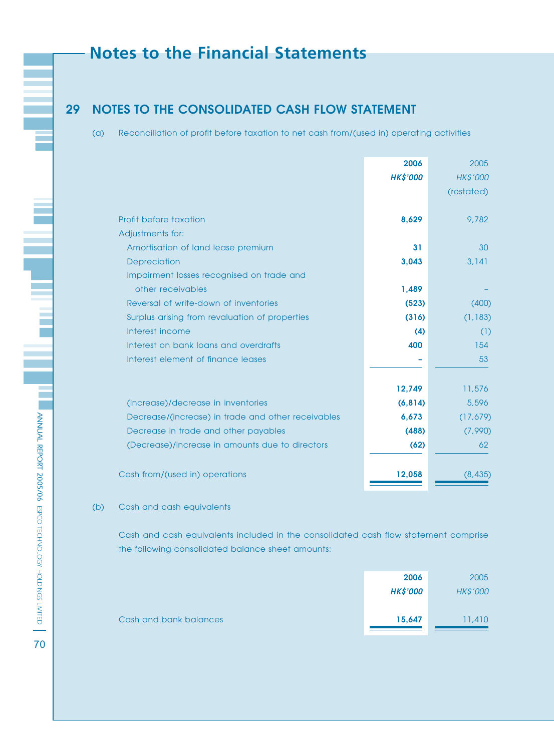## **29 NOTES TO THE CONSOLIDATED CASH FLOW STATEMENT**

*(a) Reconciliation of profit before taxation to net cash from/(used in) operating activities*

|                                                    | 2006            | 2005            |
|----------------------------------------------------|-----------------|-----------------|
|                                                    | <b>HK\$'000</b> | <b>HK\$'000</b> |
|                                                    |                 | (restated)      |
|                                                    |                 |                 |
| Profit before taxation                             | 8,629           | 9,782           |
| Adjustments for:                                   |                 |                 |
| Amortisation of land lease premium                 | 31              | 30              |
| Depreciation                                       | 3,043           | 3,141           |
| Impairment losses recognised on trade and          |                 |                 |
| other receivables                                  | 1,489           |                 |
| Reversal of write-down of inventories              | (523)           | (400)           |
| Surplus arising from revaluation of properties     | (316)           | (1, 183)        |
| Interest income                                    | (4)             | (1)             |
| Interest on bank loans and overdrafts              | 400             | 154             |
| Interest element of finance leases                 |                 | 53              |
|                                                    |                 |                 |
|                                                    | 12,749          | 11,576          |
| (Increase)/decrease in inventories                 | (6, 814)        | 5,596           |
| Decrease/(increase) in trade and other receivables | 6,673           | (17,679)        |
| Decrease in trade and other payables               | (488)           | (7,990)         |
| (Decrease)/increase in amounts due to directors    | (62)            | 62              |
|                                                    |                 |                 |
| Cash from/(used in) operations                     | 12,058          | (8, 435)        |
|                                                    |                 |                 |

#### *(b) Cash and cash equivalents*

*Cash and cash equivalents included in the consolidated cash flow statement comprise the following consolidated balance sheet amounts:*

|                        | 2006            | 2005            |
|------------------------|-----------------|-----------------|
|                        | <b>HK\$'000</b> | <b>HK\$'000</b> |
|                        |                 |                 |
| Cash and bank balances | 15,647          | 11,410          |

li<br>T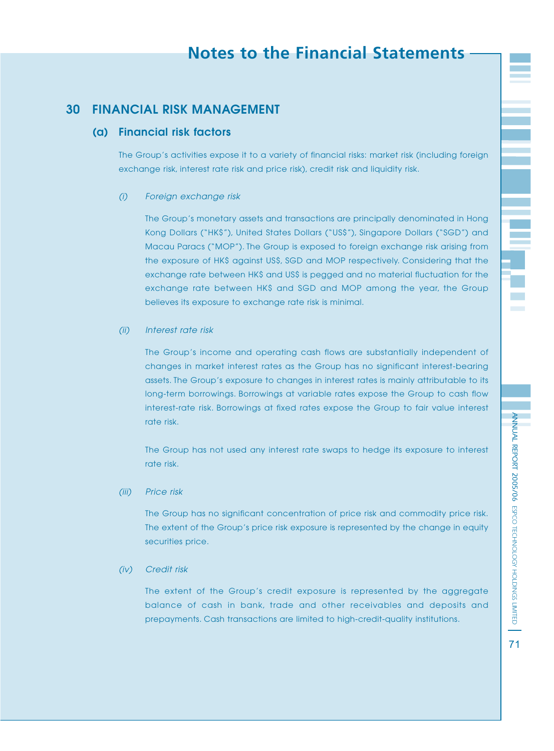### **30 FINANCIAL RISK MANAGEMENT**

### **(a) Financial risk factors**

*The Group's activities expose it to a variety of financial risks: market risk (including foreign exchange risk, interest rate risk and price risk), credit risk and liquidity risk.*

#### *(i) Foreign exchange risk*

*The Group's monetary assets and transactions are principally denominated in Hong Kong Dollars ("HK\$"), United States Dollars ("US\$"), Singapore Dollars ("SGD") and Macau Paracs ("MOP"). The Group is exposed to foreign exchange risk arising from the exposure of HK\$ against US\$, SGD and MOP respectively. Considering that the exchange rate between HK\$ and US\$ is pegged and no material fluctuation for the exchange rate between HK\$ and SGD and MOP among the year, the Group believes its exposure to exchange rate risk is minimal.*

#### *(ii) Interest rate risk*

*The Group's income and operating cash flows are substantially independent of changes in market interest rates as the Group has no significant interest-bearing assets. The Group's exposure to changes in interest rates is mainly attributable to its long-term borrowings. Borrowings at variable rates expose the Group to cash flow interest-rate risk. Borrowings at fixed rates expose the Group to fair value interest rate risk.*

*The Group has not used any interest rate swaps to hedge its exposure to interest rate risk.*

#### *(iii) Price risk*

*The Group has no significant concentration of price risk and commodity price risk. The extent of the Group's price risk exposure is represented by the change in equity securities price.*

#### *(iv) Credit risk*

*The extent of the Group's credit exposure is represented by the aggregate balance of cash in bank, trade and other receivables and deposits and prepayments. Cash transactions are limited to high-credit-quality institutions.*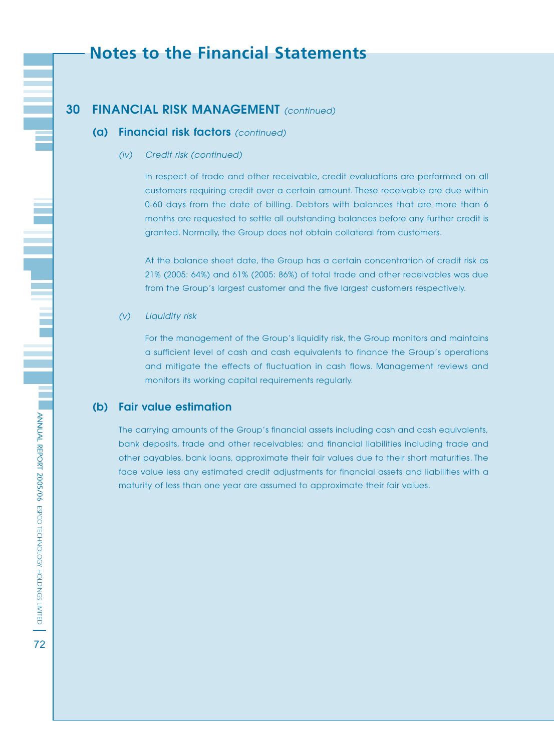#### **30 FINANCIAL RISK MANAGEMENT** *(continued)*

#### **(a) Financial risk factors** *(continued)*

#### *(iv) Credit risk (continued)*

*In respect of trade and other receivable, credit evaluations are performed on all customers requiring credit over a certain amount. These receivable are due within 0-60 days from the date of billing. Debtors with balances that are more than 6 months are requested to settle all outstanding balances before any further credit is granted. Normally, the Group does not obtain collateral from customers.*

*At the balance sheet date, the Group has a certain concentration of credit risk as 21% (2005: 64%) and 61% (2005: 86%) of total trade and other receivables was due from the Group's largest customer and the five largest customers respectively.*

#### *(v) Liquidity risk*

*For the management of the Group's liquidity risk, the Group monitors and maintains a sufficient level of cash and cash equivalents to finance the Group's operations and mitigate the effects of fluctuation in cash flows. Management reviews and monitors its working capital requirements regularly.*

#### **(b) Fair value estimation**

*The carrying amounts of the Group's financial assets including cash and cash equivalents, bank deposits, trade and other receivables; and financial liabilities including trade and other payables, bank loans, approximate their fair values due to their short maturities. The face value less any estimated credit adjustments for financial assets and liabilities with a maturity of less than one year are assumed to approximate their fair values.*

ī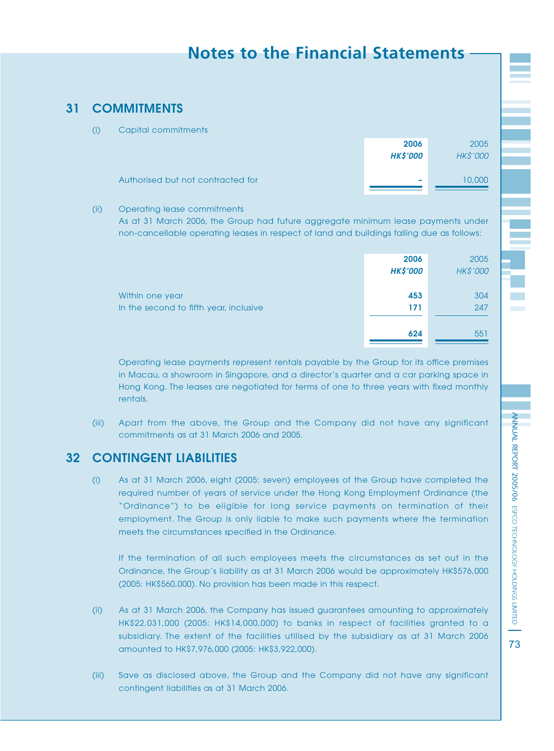### **31 COMMITMENTS**

*(i) Capital commitments*



*Authorised but not contracted for* **–** *10,000*

*(ii) Operating lease commitments*

*As at 31 March 2006, the Group had future aggregate minimum lease payments under non-cancellable operating leases in respect of land and buildings falling due as follows:*

|                                                           | 2006<br><b>HK\$'000</b> | 2005<br><b>HK\$'000</b> |
|-----------------------------------------------------------|-------------------------|-------------------------|
| Within one year<br>In the second to fifth year, inclusive | 453<br>171              | 304<br>247              |
|                                                           | 624                     | 551                     |

*Operating lease payments represent rentals payable by the Group for its office premises in Macau, a showroom in Singapore, and a director's quarter and a car parking space in Hong Kong. The leases are negotiated for terms of one to three years with fixed monthly rentals.*

*(iii) Apart from the above, the Group and the Company did not have any significant commitments as at 31 March 2006 and 2005.*

## **32 CONTINGENT LIABILITIES**

*(i) As at 31 March 2006, eight (2005: seven) employees of the Group have completed the required number of years of service under the Hong Kong Employment Ordinance (the "Ordinance") to be eligible for long service payments on termination of their employment. The Group is only liable to make such payments where the termination meets the circumstances specified in the Ordinance.*

*If the termination of all such employees meets the circumstances as set out in the Ordinance, the Group's liability as at 31 March 2006 would be approximately HK\$576,000 (2005: HK\$560,000). No provision has been made in this respect.*

- *(ii) As at 31 March 2006, the Company has issued guarantees amounting to approximately HK\$22,031,000 (2005: HK\$14,000,000) to banks in respect of facilities granted to a subsidiary. The extent of the facilities utilised by the subsidiary as at 31 March 2006 amounted to HK\$7,976,000 (2005: HK\$3,922,000).*
- *(iii) Save as disclosed above, the Group and the Company did not have any significant contingent liabilities as at 31 March 2006.*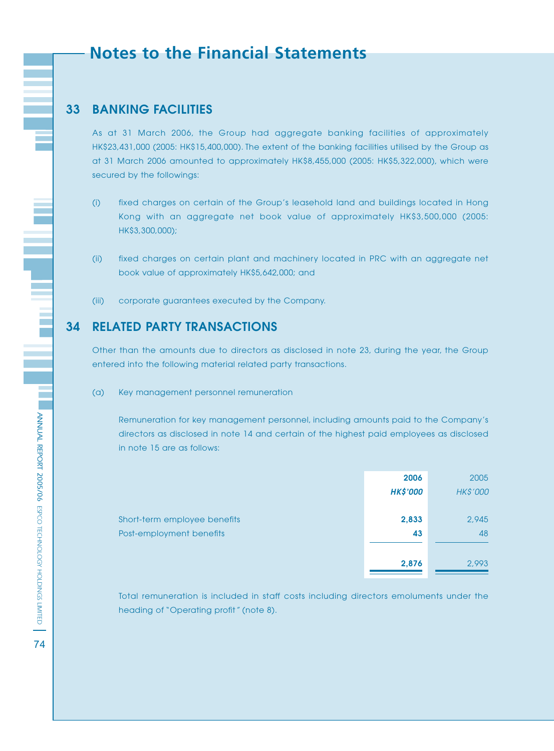### **33 BANKING FACILITIES**

*As at 31 March 2006, the Group had aggregate banking facilities of approximately HK\$23,431,000 (2005: HK\$15,400,000). The extent of the banking facilities utilised by the Group as at 31 March 2006 amounted to approximately HK\$8,455,000 (2005: HK\$5,322,000), which were secured by the followings:*

- *(i) fixed charges on certain of the Group's leasehold land and buildings located in Hong Kong with an aggregate net book value of approximately HK\$3,500,000 (2005: HK\$3,300,000);*
- *(ii) fixed charges on certain plant and machinery located in PRC with an aggregate net book value of approximately HK\$5,642,000; and*
- *(iii) corporate guarantees executed by the Company.*

## **34 RELATED PARTY TRANSACTIONS**

*Other than the amounts due to directors as disclosed in note 23, during the year, the Group entered into the following material related party transactions.*

#### *(a) Key management personnel remuneration*

*Remuneration for key management personnel, including amounts paid to the Company's directors as disclosed in note 14 and certain of the highest paid employees as disclosed in note 15 are as follows:*

|                              | 2006            | 2005            |
|------------------------------|-----------------|-----------------|
|                              | <b>HK\$'000</b> | <b>HK\$'000</b> |
| Short-term employee benefits | 2,833           | 2,945           |
| Post-employment benefits     | 43              | 48              |
|                              |                 |                 |
|                              | 2,876           | 2,993           |

*Total remuneration is included in staff costs including directors emoluments under the heading of "Operating profit" (note 8).*

Ē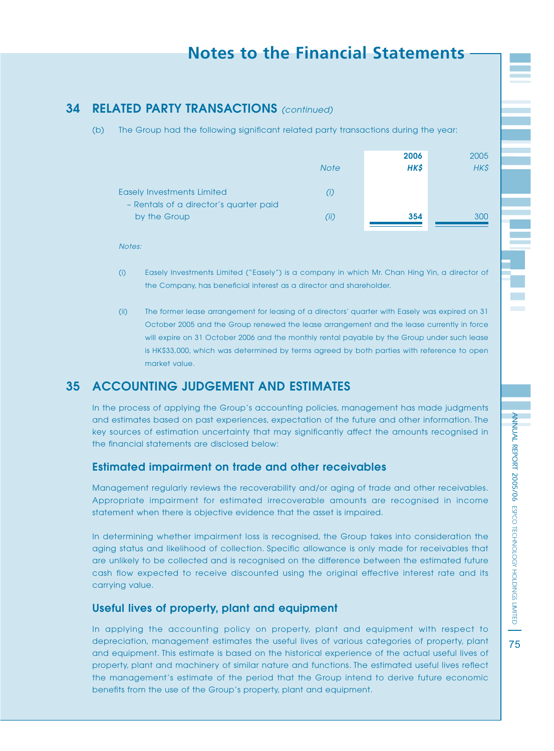### **34 RELATED PARTY TRANSACTIONS** *(continued)*

*(b) The Group had the following significant related party transactions during the year:*



*Notes:*

- *(i) Easely Investments Limited ("Easely") is a company in which Mr. Chan Hing Yin, a director of the Company, has beneficial interest as a director and shareholder.*
- *(ii) The former lease arrangement for leasing of a directors' quarter with Easely was expired on 31 October 2005 and the Group renewed the lease arrangement and the lease currently in force will expire on 31 October 2006 and the monthly rental payable by the Group under such lease is HK\$33,000, which was determined by terms agreed by both parties with reference to open market value.*

### **35 ACCOUNTING JUDGEMENT AND ESTIMATES**

*In the process of applying the Group's accounting policies, management has made judgments and estimates based on past experiences, expectation of the future and other information. The key sources of estimation uncertainty that may significantly affect the amounts recognised in the financial statements are disclosed below:*

#### **Estimated impairment on trade and other receivables**

*Management regularly reviews the recoverability and/or aging of trade and other receivables. Appropriate impairment for estimated irrecoverable amounts are recognised in income statement when there is objective evidence that the asset is impaired.*

In determining whether impairment loss is recognised, the Group takes into consideration the *aging status and likelihood of collection. Specific allowance is only made for receivables that are unlikely to be collected and is recognised on the difference between the estimated future cash flow expected to receive discounted using the original effective interest rate and its carrying value.*

#### **Useful lives of property, plant and equipment**

*In applying the accounting policy on property, plant and equipment with respect to depreciation, management estimates the useful lives of various categories of property, plant and equipment. This estimate is based on the historical experience of the actual useful lives of property, plant and machinery of similar nature and functions. The estimated useful lives reflect the management's estimate of the period that the Group intend to derive future economic benefits from the use of the Group's property, plant and equipment.*

75